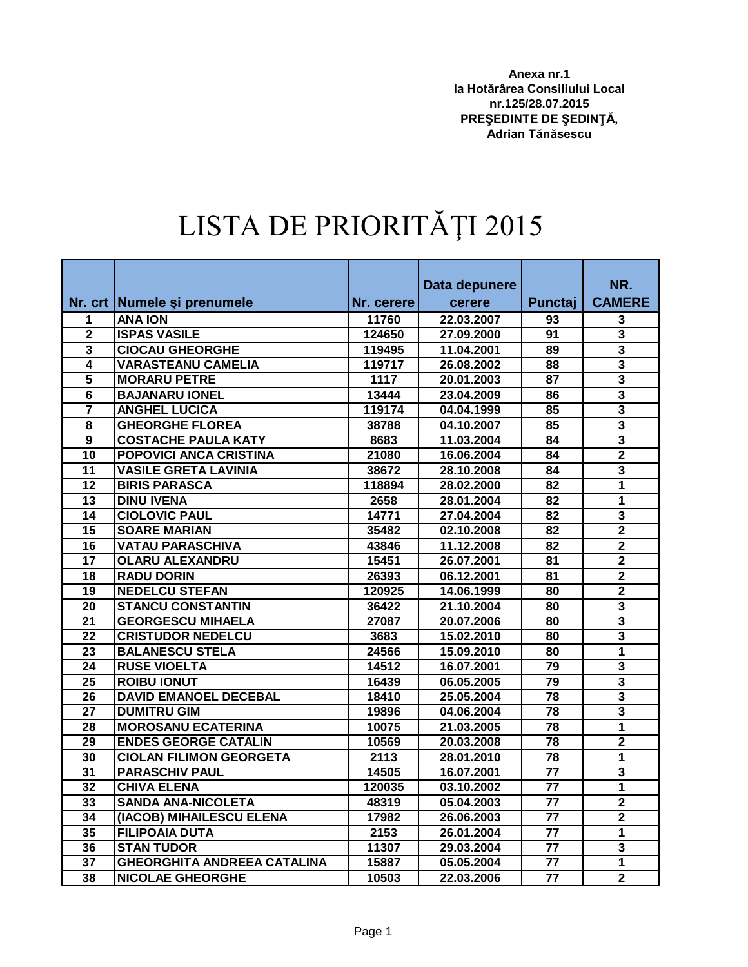**Anexa nr.1 la Hotărârea Consiliului Local nr.125/28.07.2015 PREŞEDINTE DE ŞEDINŢĂ, Adrian Tănăsescu**

## LISTA DE PRIORITĂŢI 2015

|                         |                                    |            | Data depunere |                 | NR.                     |
|-------------------------|------------------------------------|------------|---------------|-----------------|-------------------------|
|                         | Nr. crt   Numele și prenumele      | Nr. cerere | cerere        | Punctaj         | <b>CAMERE</b>           |
| 1                       | <b>ANA ION</b>                     | 11760      | 22.03.2007    | 93              | 3                       |
| $\overline{2}$          | <b>ISPAS VASILE</b>                | 124650     | 27.09.2000    | 91              | 3                       |
| $\overline{\mathbf{3}}$ | <b>CIOCAU GHEORGHE</b>             | 119495     | 11.04.2001    | 89              | $\overline{\mathbf{3}}$ |
| 4                       | <b>VARASTEANU CAMELIA</b>          | 119717     | 26.08.2002    | 88              | $\overline{\mathbf{3}}$ |
| $\overline{5}$          | <b>MORARU PETRE</b>                | 1117       | 20.01.2003    | 87              | $\overline{\mathbf{3}}$ |
| 6                       | <b>BAJANARU IONEL</b>              | 13444      | 23.04.2009    | 86              | $\overline{\mathbf{3}}$ |
| 7                       | <b>ANGHEL LUCICA</b>               | 119174     | 04.04.1999    | 85              | $\overline{\mathbf{3}}$ |
| $\overline{\mathbf{8}}$ | <b>GHEORGHE FLOREA</b>             | 38788      | 04.10.2007    | 85              | $\overline{\mathbf{3}}$ |
| $\overline{9}$          | <b>COSTACHE PAULA KATY</b>         | 8683       | 11.03.2004    | 84              | $\overline{\mathbf{3}}$ |
| 10                      | <b>POPOVICI ANCA CRISTINA</b>      | 21080      | 16.06.2004    | 84              | $\overline{2}$          |
| 11                      | <b>VASILE GRETA LAVINIA</b>        | 38672      | 28.10.2008    | 84              | 3                       |
| 12                      | <b>BIRIS PARASCA</b>               | 118894     | 28.02.2000    | 82              | 1                       |
| $\overline{13}$         | <b>DINU IVENA</b>                  | 2658       | 28.01.2004    | 82              | 1                       |
| 14                      | <b>CIOLOVIC PAUL</b>               | 14771      | 27.04.2004    | 82              | $\overline{\mathbf{3}}$ |
| 15                      | <b>SOARE MARIAN</b>                | 35482      | 02.10.2008    | 82              | $\overline{2}$          |
| 16                      | <b>VATAU PARASCHIVA</b>            | 43846      | 11.12.2008    | 82              | $\overline{\mathbf{2}}$ |
| 17                      | <b>OLARU ALEXANDRU</b>             | 15451      | 26.07.2001    | 81              | $\overline{\mathbf{2}}$ |
| 18                      | <b>RADU DORIN</b>                  | 26393      | 06.12.2001    | 81              | $\overline{2}$          |
| 19                      | <b>NEDELCU STEFAN</b>              | 120925     | 14.06.1999    | 80              | $\overline{2}$          |
| 20                      | <b>STANCU CONSTANTIN</b>           | 36422      | 21.10.2004    | 80              | $\overline{\mathbf{3}}$ |
| 21                      | <b>GEORGESCU MIHAELA</b>           | 27087      | 20.07.2006    | 80              | 3                       |
| 22                      | <b>CRISTUDOR NEDELCU</b>           | 3683       | 15.02.2010    | 80              | $\overline{\mathbf{3}}$ |
| $\overline{23}$         | <b>BALANESCU STELA</b>             | 24566      | 15.09.2010    | 80              | $\overline{1}$          |
| 24                      | <b>RUSE VIOELTA</b>                | 14512      | 16.07.2001    | 79              | 3                       |
| 25                      | <b>ROIBU IONUT</b>                 | 16439      | 06.05.2005    | $\overline{79}$ | $\overline{\mathbf{3}}$ |
| 26                      | <b>DAVID EMANOEL DECEBAL</b>       | 18410      | 25.05.2004    | 78              | 3                       |
| $\overline{27}$         | <b>DUMITRU GIM</b>                 | 19896      | 04.06.2004    | 78              | $\overline{\mathbf{3}}$ |
| $\overline{28}$         | <b>MOROSANU ECATERINA</b>          | 10075      | 21.03.2005    | $\overline{78}$ | $\overline{1}$          |
| 29                      | <b>ENDES GEORGE CATALIN</b>        | 10569      | 20.03.2008    | 78              | $\overline{2}$          |
| 30                      | <b>CIOLAN FILIMON GEORGETA</b>     | 2113       | 28.01.2010    | $\overline{78}$ | $\mathbf{1}$            |
| 31                      | <b>PARASCHIV PAUL</b>              | 14505      | 16.07.2001    | 77              | 3                       |
| 32                      | <b>CHIVA ELENA</b>                 | 120035     | 03.10.2002    | 77              | 1                       |
| 33                      | <b>SANDA ANA-NICOLETA</b>          | 48319      | 05.04.2003    | 77              | $\overline{2}$          |
| 34                      | (IACOB) MIHAILESCU ELENA           | 17982      | 26.06.2003    | 77              | $\overline{\mathbf{2}}$ |
| 35                      | <b>FILIPOAIA DUTA</b>              | 2153       | 26.01.2004    | $\overline{77}$ | $\mathbf{1}$            |
| 36                      | <b>STAN TUDOR</b>                  | 11307      | 29.03.2004    | 77              | $\overline{\mathbf{3}}$ |
| $\overline{37}$         | <b>GHEORGHITA ANDREEA CATALINA</b> | 15887      | 05.05.2004    | 77              | 1                       |
| 38                      | <b>NICOLAE GHEORGHE</b>            | 10503      | 22.03.2006    | $\overline{77}$ | $\overline{2}$          |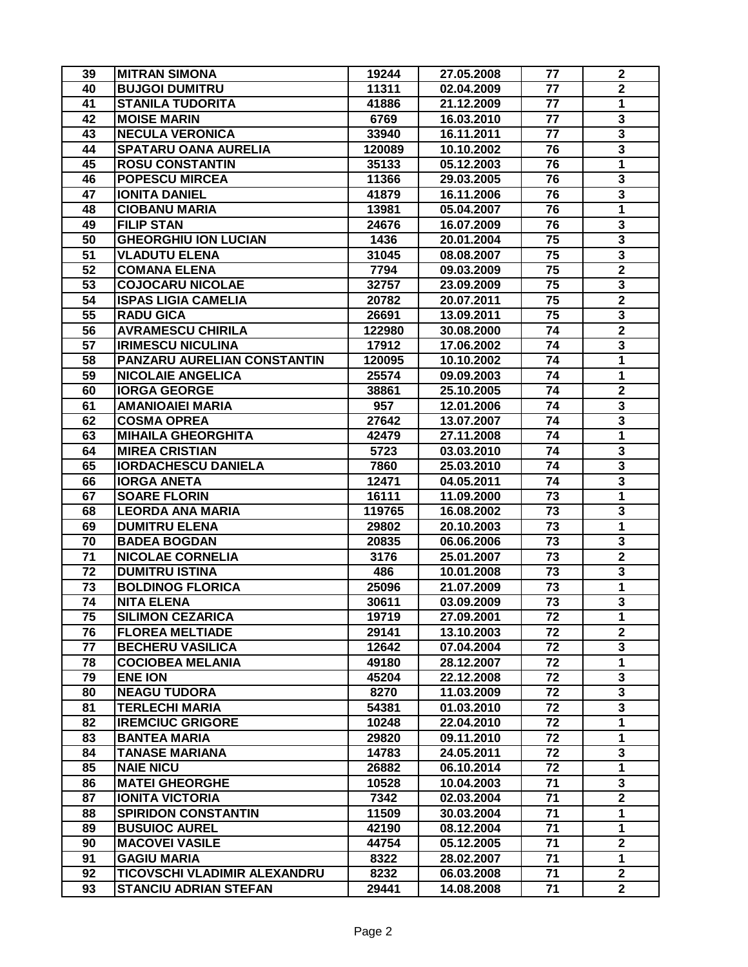| 39              | <b>MITRAN SIMONA</b>         | 19244  | 27.05.2008 | 77              | $\boldsymbol{2}$        |
|-----------------|------------------------------|--------|------------|-----------------|-------------------------|
| 40              | <b>BUJGOI DUMITRU</b>        | 11311  | 02.04.2009 | 77              | $\mathbf 2$             |
| 41              | <b>STANILA TUDORITA</b>      | 41886  | 21.12.2009 | 77              | $\mathbf{1}$            |
| 42              | <b>MOISE MARIN</b>           | 6769   | 16.03.2010 | 77              | 3                       |
| 43              | <b>NECULA VERONICA</b>       | 33940  | 16.11.2011 | 77              | 3                       |
| 44              | <b>SPATARU OANA AURELIA</b>  | 120089 | 10.10.2002 | 76              | $\overline{\mathbf{3}}$ |
| 45              | <b>ROSU CONSTANTIN</b>       | 35133  | 05.12.2003 | 76              | $\mathbf{1}$            |
| 46              | <b>POPESCU MIRCEA</b>        | 11366  | 29.03.2005 | 76              | 3                       |
| 47              | <b>IONITA DANIEL</b>         | 41879  | 16.11.2006 | 76              | 3                       |
| 48              | <b>CIOBANU MARIA</b>         | 13981  | 05.04.2007 | 76              | $\mathbf{1}$            |
| 49              | <b>FILIP STAN</b>            | 24676  | 16.07.2009 | 76              | 3                       |
| 50              | <b>GHEORGHIU ION LUCIAN</b>  | 1436   | 20.01.2004 | 75              | 3                       |
| 51              | <b>VLADUTU ELENA</b>         | 31045  | 08.08.2007 | 75              | 3                       |
| $\overline{52}$ | <b>COMANA ELENA</b>          | 7794   | 09.03.2009 | 75              | $\overline{\mathbf{2}}$ |
| 53              | <b>COJOCARU NICOLAE</b>      | 32757  | 23.09.2009 | 75              | $\overline{\mathbf{3}}$ |
| 54              | <b>ISPAS LIGIA CAMELIA</b>   | 20782  | 20.07.2011 | 75              | $\overline{\mathbf{2}}$ |
| 55              | <b>RADU GICA</b>             | 26691  | 13.09.2011 | 75              | 3                       |
| 56              | <b>AVRAMESCU CHIRILA</b>     | 122980 | 30.08.2000 | 74              | $\mathbf 2$             |
| 57              | <b>IRIMESCU NICULINA</b>     | 17912  | 17.06.2002 | 74              | $\overline{\mathbf{3}}$ |
| 58              | PANZARU AURELIAN CONSTANTIN  | 120095 | 10.10.2002 | 74              | 1                       |
| 59              | <b>NICOLAIE ANGELICA</b>     | 25574  | 09.09.2003 | 74              | 1                       |
| 60              | <b>IORGA GEORGE</b>          | 38861  | 25.10.2005 | 74              | $\mathbf 2$             |
| 61              | <b>AMANIOAIEI MARIA</b>      | 957    | 12.01.2006 | 74              | 3                       |
| 62              | <b>COSMA OPREA</b>           | 27642  | 13.07.2007 | 74              | 3                       |
| 63              | <b>MIHAILA GHEORGHITA</b>    | 42479  | 27.11.2008 | 74              | 1                       |
| 64              | <b>MIREA CRISTIAN</b>        | 5723   | 03.03.2010 | 74              | 3                       |
| 65              | <b>IORDACHESCU DANIELA</b>   | 7860   | 25.03.2010 | 74              | 3                       |
| 66              | <b>IORGA ANETA</b>           | 12471  | 04.05.2011 | 74              | 3                       |
| 67              | <b>SOARE FLORIN</b>          | 16111  | 11.09.2000 | 73              | $\overline{1}$          |
| 68              | <b>LEORDA ANA MARIA</b>      | 119765 | 16.08.2002 | 73              | 3                       |
| 69              | <b>DUMITRU ELENA</b>         | 29802  | 20.10.2003 | 73              | $\overline{1}$          |
| 70              | <b>BADEA BOGDAN</b>          | 20835  | 06.06.2006 | 73              | 3                       |
| $\overline{71}$ | <b>NICOLAE CORNELIA</b>      | 3176   | 25.01.2007 | 73              | $\overline{2}$          |
| 72              | <b>DUMITRU ISTINA</b>        | 486    | 10.01.2008 | 73              | 3                       |
| 73              | <b>BOLDINOG FLORICA</b>      | 25096  | 21.07.2009 | 73              | $\overline{1}$          |
| 74              | <b>NITA ELENA</b>            | 30611  | 03.09.2009 | 73              | $\mathbf{3}$            |
| 75              | <b>SILIMON CEZARICA</b>      | 19719  | 27.09.2001 | 72              | 1                       |
| 76              | <b>FLOREA MELTIADE</b>       | 29141  | 13.10.2003 | 72              | $\overline{2}$          |
| 77              | <b>BECHERU VASILICA</b>      | 12642  | 07.04.2004 | 72              | 3                       |
| 78              | <b>COCIOBEA MELANIA</b>      | 49180  | 28.12.2007 | 72              | $\mathbf{1}$            |
| 79              | <b>ENE ION</b>               | 45204  | 22.12.2008 | 72              | 3                       |
| 80              | <b>NEAGU TUDORA</b>          | 8270   | 11.03.2009 | 72              | 3                       |
| 81              | <b>TERLECHI MARIA</b>        | 54381  | 01.03.2010 | 72              | $\mathbf{3}$            |
| 82              | <b>IREMCIUC GRIGORE</b>      | 10248  | 22.04.2010 | 72              | $\mathbf{1}$            |
| 83              | <b>BANTEA MARIA</b>          | 29820  | 09.11.2010 | 72              | $\mathbf{1}$            |
| 84              | <b>TANASE MARIANA</b>        | 14783  | 24.05.2011 | 72              | 3                       |
| 85              | <b>NAIE NICU</b>             | 26882  | 06.10.2014 | $\overline{72}$ | $\overline{1}$          |
| 86              | <b>MATEI GHEORGHE</b>        | 10528  | 10.04.2003 | 71              | 3                       |
| 87              | <b>IONITA VICTORIA</b>       | 7342   | 02.03.2004 | 71              | $\overline{2}$          |
| 88              | <b>SPIRIDON CONSTANTIN</b>   | 11509  | 30.03.2004 | 71              | 1                       |
| 89              | <b>BUSUIOC AUREL</b>         | 42190  | 08.12.2004 | 71              | $\mathbf{1}$            |
| 90              | <b>MACOVEI VASILE</b>        | 44754  | 05.12.2005 | 71              | $\overline{2}$          |
| 91              | <b>GAGIU MARIA</b>           | 8322   | 28.02.2007 | 71              | 1                       |
| 92              | TICOVSCHI VLADIMIR ALEXANDRU | 8232   | 06.03.2008 | 71              | $\overline{\mathbf{2}}$ |
| 93              | <b>STANCIU ADRIAN STEFAN</b> | 29441  | 14.08.2008 | 71              | $\mathbf{2}$            |
|                 |                              |        |            |                 |                         |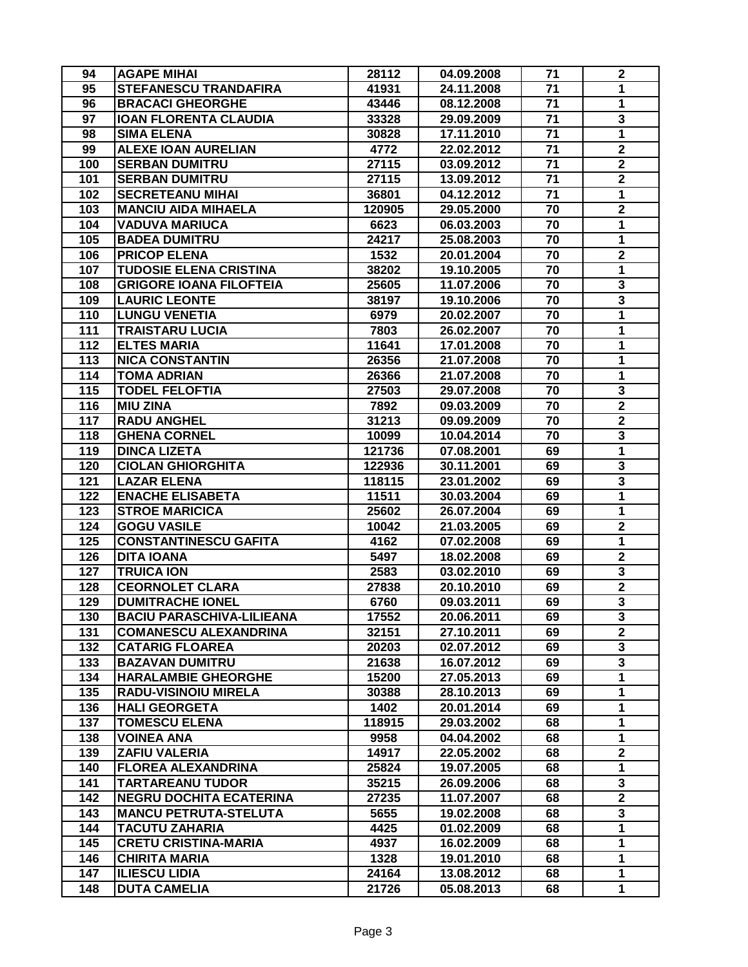| 94  | <b>AGAPE MIHAI</b>               | 28112  | 04.09.2008 | 71              | $\boldsymbol{2}$        |
|-----|----------------------------------|--------|------------|-----------------|-------------------------|
| 95  | <b>STEFANESCU TRANDAFIRA</b>     | 41931  | 24.11.2008 | 71              | $\mathbf{1}$            |
| 96  | <b>BRACACI GHEORGHE</b>          | 43446  | 08.12.2008 | 71              | 1                       |
| 97  | <b>IOAN FLORENTA CLAUDIA</b>     | 33328  | 29.09.2009 | 71              | 3                       |
| 98  | <b>SIMA ELENA</b>                | 30828  | 17.11.2010 | 71              | 1                       |
| 99  | <b>ALEXE IOAN AURELIAN</b>       | 4772   | 22.02.2012 | 71              | $\overline{2}$          |
| 100 | <b>SERBAN DUMITRU</b>            | 27115  | 03.09.2012 | 71              | $\overline{\mathbf{2}}$ |
| 101 | <b>SERBAN DUMITRU</b>            | 27115  | 13.09.2012 | $\overline{71}$ | $\overline{\mathbf{2}}$ |
| 102 | <b>SECRETEANU MIHAI</b>          | 36801  | 04.12.2012 | 71              | 1                       |
| 103 | <b>MANCIU AIDA MIHAELA</b>       | 120905 | 29.05.2000 | 70              | $\overline{\mathbf{2}}$ |
| 104 | <b>VADUVA MARIUCA</b>            | 6623   | 06.03.2003 | 70              | $\overline{1}$          |
| 105 | <b>BADEA DUMITRU</b>             | 24217  | 25.08.2003 | 70              | $\mathbf{1}$            |
| 106 | <b>PRICOP ELENA</b>              | 1532   | 20.01.2004 | 70              | $\mathbf 2$             |
| 107 | <b>TUDOSIE ELENA CRISTINA</b>    | 38202  | 19.10.2005 | 70              | 1                       |
| 108 | <b>GRIGORE IOANA FILOFTEIA</b>   | 25605  | 11.07.2006 | 70              | $\overline{\mathbf{3}}$ |
| 109 | <b>LAURIC LEONTE</b>             | 38197  | 19.10.2006 | 70              | $\overline{\mathbf{3}}$ |
| 110 | <b>LUNGU VENETIA</b>             | 6979   | 20.02.2007 | 70              | 1                       |
| 111 | <b>TRAISTARU LUCIA</b>           | 7803   | 26.02.2007 | 70              | 1                       |
| 112 | <b>ELTES MARIA</b>               | 11641  | 17.01.2008 | 70              | 1                       |
| 113 | <b>NICA CONSTANTIN</b>           | 26356  | 21.07.2008 | 70              | 1                       |
| 114 | <b>TOMA ADRIAN</b>               | 26366  | 21.07.2008 | 70              | 1                       |
| 115 | <b>TODEL FELOFTIA</b>            | 27503  | 29.07.2008 | 70              | 3                       |
| 116 | <b>MIU ZINA</b>                  | 7892   | 09.03.2009 | 70              | $\overline{\mathbf{2}}$ |
| 117 | <b>RADU ANGHEL</b>               | 31213  | 09.09.2009 | 70              | $\mathbf 2$             |
| 118 | <b>GHENA CORNEL</b>              | 10099  | 10.04.2014 | 70              | 3                       |
| 119 | <b>DINCA LIZETA</b>              | 121736 | 07.08.2001 | 69              | $\mathbf{1}$            |
| 120 | <b>CIOLAN GHIORGHITA</b>         | 122936 | 30.11.2001 | 69              | 3                       |
| 121 | <b>LAZAR ELENA</b>               | 118115 | 23.01.2002 | 69              | 3                       |
| 122 | <b>ENACHE ELISABETA</b>          | 11511  | 30.03.2004 | 69              | 1                       |
| 123 | <b>STROE MARICICA</b>            | 25602  | 26.07.2004 | 69              | 1                       |
| 124 | <b>GOGU VASILE</b>               | 10042  | 21.03.2005 | 69              | $\overline{\mathbf{2}}$ |
| 125 | <b>CONSTANTINESCU GAFITA</b>     | 4162   | 07.02.2008 | 69              | $\mathbf{1}$            |
| 126 | <b>DITA IOANA</b>                | 5497   | 18.02.2008 | 69              | $\mathbf 2$             |
| 127 | <b>TRUICA ION</b>                | 2583   | 03.02.2010 | 69              | 3                       |
| 128 | <b>CEORNOLET CLARA</b>           | 27838  | 20.10.2010 | 69              | $\overline{2}$          |
| 129 | <b>DUMITRACHE IONEL</b>          | 6760   | 09.03.2011 | 69              | $\mathbf{3}$            |
| 130 | <b>BACIU PARASCHIVA-LILIEANA</b> | 17552  | 20.06.2011 | 69              | 3                       |
| 131 | <b>COMANESCU ALEXANDRINA</b>     | 32151  | 27.10.2011 | 69              | $\overline{2}$          |
| 132 | <b>CATARIG FLOAREA</b>           | 20203  | 02.07.2012 | 69              | 3                       |
| 133 | <b>BAZAVAN DUMITRU</b>           | 21638  | 16.07.2012 | 69              | 3                       |
| 134 | <b>HARALAMBIE GHEORGHE</b>       | 15200  | 27.05.2013 | 69              | $\mathbf{1}$            |
| 135 | <b>RADU-VISINOIU MIRELA</b>      | 30388  | 28.10.2013 | 69              | $\mathbf 1$             |
| 136 | <b>HALI GEORGETA</b>             | 1402   | 20.01.2014 | 69              | $\mathbf{1}$            |
| 137 | <b>TOMESCU ELENA</b>             | 118915 | 29.03.2002 | 68              | $\mathbf{1}$            |
| 138 | <b>VOINEA ANA</b>                | 9958   | 04.04.2002 | 68              | 1                       |
| 139 | <b>ZAFIU VALERIA</b>             | 14917  | 22.05.2002 | 68              | $\mathbf 2$             |
| 140 | <b>FLOREA ALEXANDRINA</b>        | 25824  | 19.07.2005 | 68              | $\overline{1}$          |
| 141 | <b>TARTAREANU TUDOR</b>          | 35215  | 26.09.2006 | 68              | 3                       |
| 142 | <b>NEGRU DOCHITA ECATERINA</b>   | 27235  | 11.07.2007 | 68              | $\overline{2}$          |
| 143 | <b>MANCU PETRUTA-STELUTA</b>     | 5655   | 19.02.2008 | 68              | 3                       |
| 144 | <b>TACUTU ZAHARIA</b>            | 4425   | 01.02.2009 | 68              | $\mathbf 1$             |
| 145 | <b>CRETU CRISTINA-MARIA</b>      | 4937   | 16.02.2009 | 68              | $\mathbf{1}$            |
| 146 | <b>CHIRITA MARIA</b>             | 1328   | 19.01.2010 | 68              | 1                       |
| 147 | <b>ILIESCU LIDIA</b>             | 24164  | 13.08.2012 | 68              | 1                       |
| 148 | <b>DUTA CAMELIA</b>              | 21726  | 05.08.2013 | 68              | $\mathbf{1}$            |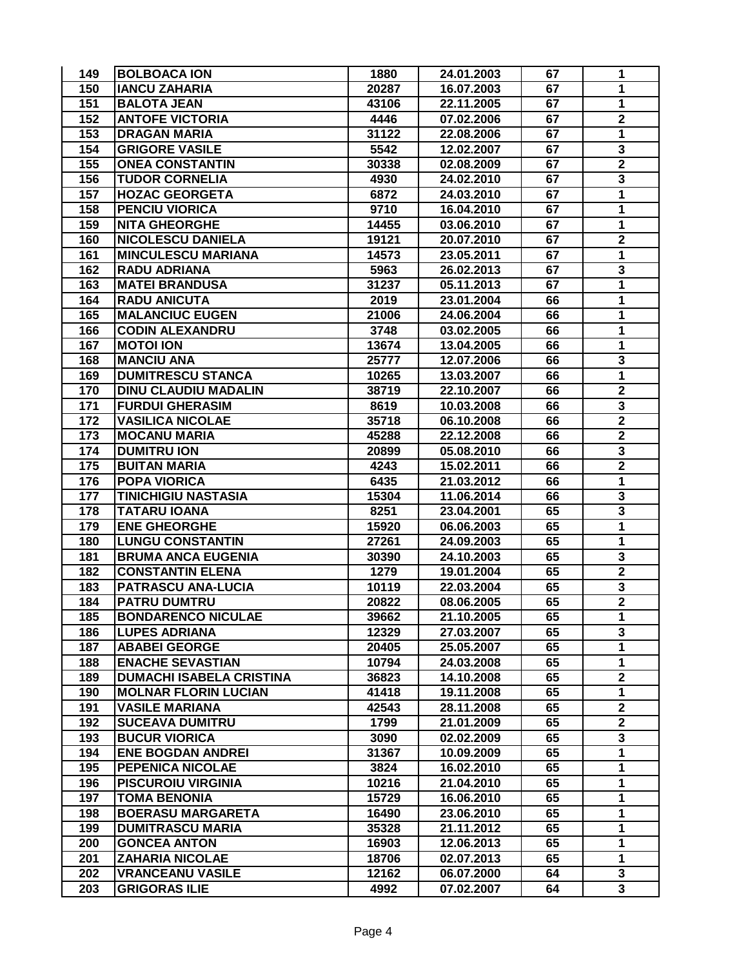| 149 | <b>BOLBOACA ION</b>             | 1880  | 24.01.2003 | 67 | 1                       |
|-----|---------------------------------|-------|------------|----|-------------------------|
| 150 | <b>IANCU ZAHARIA</b>            | 20287 | 16.07.2003 | 67 | 1                       |
| 151 | <b>BALOTA JEAN</b>              | 43106 | 22.11.2005 | 67 | 1                       |
| 152 | <b>ANTOFE VICTORIA</b>          | 4446  | 07.02.2006 | 67 | $\mathbf 2$             |
| 153 | <b>DRAGAN MARIA</b>             | 31122 | 22.08.2006 | 67 | 1                       |
| 154 | <b>GRIGORE VASILE</b>           | 5542  | 12.02.2007 | 67 | 3                       |
| 155 | <b>ONEA CONSTANTIN</b>          | 30338 | 02.08.2009 | 67 | $\overline{\mathbf{2}}$ |
| 156 | <b>TUDOR CORNELIA</b>           | 4930  | 24.02.2010 | 67 | 3                       |
| 157 | <b>HOZAC GEORGETA</b>           | 6872  | 24.03.2010 | 67 | 1                       |
| 158 | <b>PENCIU VIORICA</b>           | 9710  | 16.04.2010 | 67 | $\mathbf{1}$            |
| 159 | <b>NITA GHEORGHE</b>            | 14455 | 03.06.2010 | 67 | $\overline{1}$          |
| 160 | <b>NICOLESCU DANIELA</b>        | 19121 | 20.07.2010 | 67 | $\overline{\mathbf{2}}$ |
| 161 | <b>MINCULESCU MARIANA</b>       | 14573 | 23.05.2011 | 67 | 1                       |
| 162 | <b>RADU ADRIANA</b>             | 5963  | 26.02.2013 | 67 | 3                       |
| 163 | <b>MATEI BRANDUSA</b>           | 31237 | 05.11.2013 | 67 | $\overline{\mathbf{1}}$ |
| 164 | <b>RADU ANICUTA</b>             | 2019  | 23.01.2004 | 66 | 1                       |
| 165 | <b>MALANCIUC EUGEN</b>          | 21006 | 24.06.2004 | 66 | 1                       |
| 166 | <b>CODIN ALEXANDRU</b>          | 3748  | 03.02.2005 | 66 | 1                       |
| 167 | <b>MOTOI ION</b>                | 13674 | 13.04.2005 | 66 | 1                       |
| 168 | <b>MANCIU ANA</b>               | 25777 | 12.07.2006 | 66 | $\overline{\mathbf{3}}$ |
| 169 | <b>DUMITRESCU STANCA</b>        | 10265 | 13.03.2007 | 66 | 1                       |
| 170 | <b>DINU CLAUDIU MADALIN</b>     | 38719 | 22.10.2007 | 66 | $\mathbf 2$             |
| 171 | <b>FURDUI GHERASIM</b>          | 8619  | 10.03.2008 | 66 | 3                       |
| 172 | <b>VASILICA NICOLAE</b>         | 35718 | 06.10.2008 | 66 | $\mathbf 2$             |
| 173 | <b>MOCANU MARIA</b>             | 45288 | 22.12.2008 | 66 | $\overline{\mathbf{2}}$ |
| 174 | <b>DUMITRU ION</b>              | 20899 | 05.08.2010 | 66 | 3                       |
| 175 | <b>BUITAN MARIA</b>             | 4243  | 15.02.2011 | 66 | $\mathbf 2$             |
| 176 | <b>POPA VIORICA</b>             | 6435  | 21.03.2012 | 66 | $\overline{1}$          |
| 177 | <b>TINICHIGIU NASTASIA</b>      | 15304 | 11.06.2014 | 66 | 3                       |
| 178 | <b>TATARU IOANA</b>             | 8251  | 23.04.2001 | 65 | 3                       |
| 179 | <b>ENE GHEORGHE</b>             | 15920 | 06.06.2003 | 65 | $\overline{\mathbf{1}}$ |
| 180 | <b>LUNGU CONSTANTIN</b>         | 27261 | 24.09.2003 | 65 | $\mathbf{1}$            |
| 181 | <b>BRUMA ANCA EUGENIA</b>       | 30390 | 24.10.2003 | 65 | 3                       |
| 182 | <b>CONSTANTIN ELENA</b>         | 1279  | 19.01.2004 | 65 | $\mathbf 2$             |
| 183 | PATRASCU ANA-LUCIA              | 10119 | 22.03.2004 | 65 | 3                       |
| 184 | <b>PATRU DUMTRU</b>             | 20822 | 08.06.2005 | 65 | $\overline{2}$          |
| 185 | <b>BONDARENCO NICULAE</b>       | 39662 | 21.10.2005 | 65 | 1                       |
| 186 | <b>LUPES ADRIANA</b>            | 12329 | 27.03.2007 | 65 | 3                       |
| 187 | <b>ABABEI GEORGE</b>            | 20405 | 25.05.2007 | 65 | $\mathbf{1}$            |
| 188 | <b>ENACHE SEVASTIAN</b>         | 10794 | 24.03.2008 | 65 | $\mathbf 1$             |
| 189 | <b>DUMACHI ISABELA CRISTINA</b> | 36823 | 14.10.2008 | 65 | $\overline{\mathbf{2}}$ |
| 190 | <b>MOLNAR FLORIN LUCIAN</b>     | 41418 | 19.11.2008 | 65 | $\mathbf{1}$            |
| 191 | <b>VASILE MARIANA</b>           | 42543 | 28.11.2008 | 65 | $\overline{2}$          |
| 192 | <b>SUCEAVA DUMITRU</b>          | 1799  | 21.01.2009 | 65 | $\overline{\mathbf{2}}$ |
| 193 | <b>BUCUR VIORICA</b>            | 3090  | 02.02.2009 | 65 | 3                       |
| 194 | <b>ENE BOGDAN ANDREI</b>        | 31367 | 10.09.2009 | 65 | 1                       |
| 195 | PEPENICA NICOLAE                | 3824  | 16.02.2010 | 65 | 1                       |
| 196 | <b>PISCUROIU VIRGINIA</b>       | 10216 | 21.04.2010 | 65 | 1                       |
| 197 | <b>TOMA BENONIA</b>             | 15729 | 16.06.2010 | 65 | 1                       |
| 198 | <b>BOERASU MARGARETA</b>        | 16490 | 23.06.2010 | 65 | 1                       |
| 199 | <b>DUMITRASCU MARIA</b>         | 35328 | 21.11.2012 | 65 | 1                       |
| 200 | <b>GONCEA ANTON</b>             | 16903 | 12.06.2013 | 65 | $\mathbf{1}$            |
| 201 | <b>ZAHARIA NICOLAE</b>          | 18706 | 02.07.2013 | 65 | $\mathbf 1$             |
| 202 | <b>VRANCEANU VASILE</b>         | 12162 | 06.07.2000 | 64 | 3                       |
| 203 | <b>GRIGORAS ILIE</b>            | 4992  | 07.02.2007 | 64 | $\overline{\mathbf{3}}$ |
|     |                                 |       |            |    |                         |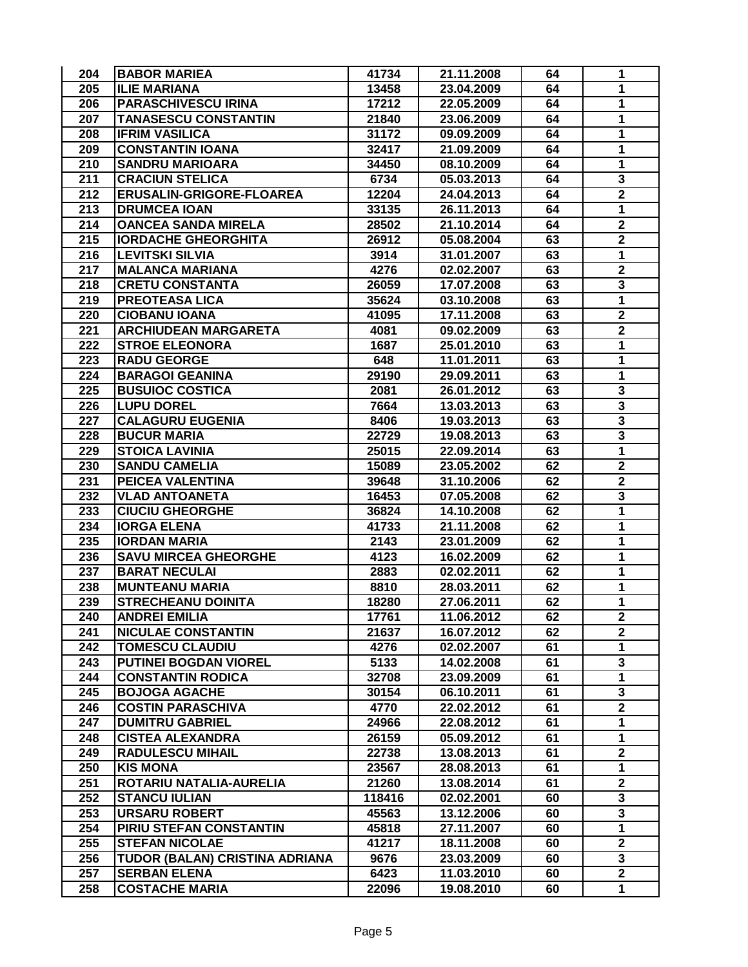| 204 | <b>BABOR MARIEA</b>             | 41734  | 21.11.2008 | 64 | 1                       |
|-----|---------------------------------|--------|------------|----|-------------------------|
| 205 | <b>ILIE MARIANA</b>             | 13458  | 23.04.2009 | 64 | 1                       |
| 206 | <b>PARASCHIVESCU IRINA</b>      | 17212  | 22.05.2009 | 64 | 1                       |
| 207 | <b>TANASESCU CONSTANTIN</b>     | 21840  | 23.06.2009 | 64 | 1                       |
| 208 | <b>IFRIM VASILICA</b>           | 31172  | 09.09.2009 | 64 | 1                       |
| 209 | <b>CONSTANTIN IOANA</b>         | 32417  | 21.09.2009 | 64 | 1                       |
| 210 | <b>SANDRU MARIOARA</b>          | 34450  | 08.10.2009 | 64 | 1                       |
| 211 | <b>CRACIUN STELICA</b>          | 6734   | 05.03.2013 | 64 | 3                       |
| 212 | <b>ERUSALIN-GRIGORE-FLOAREA</b> | 12204  | 24.04.2013 | 64 | $\mathbf 2$             |
| 213 | <b>DRUMCEA IOAN</b>             | 33135  | 26.11.2013 | 64 | $\mathbf{1}$            |
| 214 | <b>OANCEA SANDA MIRELA</b>      | 28502  | 21.10.2014 | 64 | $\overline{\mathbf{2}}$ |
| 215 | <b>IORDACHE GHEORGHITA</b>      | 26912  | 05.08.2004 | 63 | $\overline{\mathbf{2}}$ |
| 216 | <b>LEVITSKI SILVIA</b>          | 3914   | 31.01.2007 | 63 | 1                       |
| 217 | <b>MALANCA MARIANA</b>          | 4276   | 02.02.2007 | 63 | $\overline{\mathbf{2}}$ |
| 218 | <b>CRETU CONSTANTA</b>          | 26059  | 17.07.2008 | 63 | $\overline{\mathbf{3}}$ |
| 219 | <b>PREOTEASA LICA</b>           | 35624  | 03.10.2008 | 63 | 1                       |
| 220 | <b>CIOBANU IOANA</b>            | 41095  | 17.11.2008 | 63 | $\overline{\mathbf{2}}$ |
| 221 | <b>ARCHIUDEAN MARGARETA</b>     | 4081   | 09.02.2009 | 63 | $\mathbf 2$             |
| 222 | <b>STROE ELEONORA</b>           | 1687   | 25.01.2010 | 63 | 1                       |
| 223 | <b>RADU GEORGE</b>              | 648    | 11.01.2011 | 63 | 1                       |
| 224 | <b>BARAGOI GEANINA</b>          | 29190  | 29.09.2011 | 63 | 1                       |
| 225 | <b>BUSUIOC COSTICA</b>          | 2081   | 26.01.2012 | 63 | 3                       |
| 226 | <b>LUPU DOREL</b>               | 7664   | 13.03.2013 | 63 | $\overline{\mathbf{3}}$ |
| 227 | <b>CALAGURU EUGENIA</b>         | 8406   | 19.03.2013 | 63 | 3                       |
| 228 | <b>BUCUR MARIA</b>              | 22729  | 19.08.2013 | 63 | 3                       |
| 229 | <b>STOICA LAVINIA</b>           | 25015  | 22.09.2014 | 63 | $\mathbf{1}$            |
| 230 | <b>SANDU CAMELIA</b>            | 15089  | 23.05.2002 | 62 | $\mathbf 2$             |
| 231 | PEICEA VALENTINA                | 39648  | 31.10.2006 | 62 | $\overline{\mathbf{2}}$ |
| 232 | <b>VLAD ANTOANETA</b>           | 16453  | 07.05.2008 | 62 | 3                       |
| 233 | <b>CIUCIU GHEORGHE</b>          | 36824  | 14.10.2008 | 62 | 1                       |
| 234 | <b>IORGA ELENA</b>              | 41733  | 21.11.2008 | 62 | 1                       |
| 235 | <b>IORDAN MARIA</b>             | 2143   | 23.01.2009 | 62 | 1                       |
| 236 | <b>SAVU MIRCEA GHEORGHE</b>     | 4123   | 16.02.2009 | 62 | 1                       |
| 237 | <b>BARAT NECULAI</b>            | 2883   | 02.02.2011 | 62 | 1                       |
| 238 | <b>MUNTEANU MARIA</b>           | 8810   | 28.03.2011 | 62 | $\mathbf{1}$            |
| 239 | <b>STRECHEANU DOINITA</b>       | 18280  | 27.06.2011 | 62 | $\mathbf{1}$            |
| 240 | <b>ANDREI EMILIA</b>            | 17761  | 11.06.2012 | 62 | 2                       |
| 241 | <b>NICULAE CONSTANTIN</b>       | 21637  | 16.07.2012 | 62 | $\mathbf{2}$            |
| 242 | <b>TOMESCU CLAUDIU</b>          | 4276   | 02.02.2007 | 61 | $\mathbf{1}$            |
| 243 | <b>PUTINEI BOGDAN VIOREL</b>    | 5133   | 14.02.2008 | 61 | 3                       |
| 244 | <b>CONSTANTIN RODICA</b>        | 32708  | 23.09.2009 | 61 | $\mathbf{1}$            |
| 245 | <b>BOJOGA AGACHE</b>            | 30154  | 06.10.2011 | 61 | 3                       |
| 246 | <b>COSTIN PARASCHIVA</b>        | 4770   | 22.02.2012 | 61 | $\overline{2}$          |
| 247 | <b>DUMITRU GABRIEL</b>          | 24966  | 22.08.2012 | 61 | $\mathbf{1}$            |
| 248 | <b>CISTEA ALEXANDRA</b>         | 26159  | 05.09.2012 | 61 | $\mathbf{1}$            |
| 249 | <b>RADULESCU MIHAIL</b>         | 22738  | 13.08.2013 | 61 | $\mathbf 2$             |
| 250 | <b>KIS MONA</b>                 | 23567  | 28.08.2013 | 61 | $\overline{1}$          |
| 251 | ROTARIU NATALIA-AURELIA         | 21260  | 13.08.2014 | 61 | $\mathbf 2$             |
| 252 | <b>STANCU IULIAN</b>            | 118416 | 02.02.2001 | 60 | $\overline{\mathbf{3}}$ |
| 253 | <b>URSARU ROBERT</b>            | 45563  | 13.12.2006 | 60 | 3                       |
| 254 | PIRIU STEFAN CONSTANTIN         | 45818  | 27.11.2007 | 60 | $\overline{\mathbf{1}}$ |
| 255 | <b>STEFAN NICOLAE</b>           | 41217  | 18.11.2008 | 60 | $\overline{\mathbf{2}}$ |
| 256 | TUDOR (BALAN) CRISTINA ADRIANA  | 9676   | 23.03.2009 | 60 | 3                       |
| 257 | <b>SERBAN ELENA</b>             | 6423   | 11.03.2010 | 60 | $\mathbf 2$             |
| 258 | <b>COSTACHE MARIA</b>           | 22096  | 19.08.2010 | 60 | 1                       |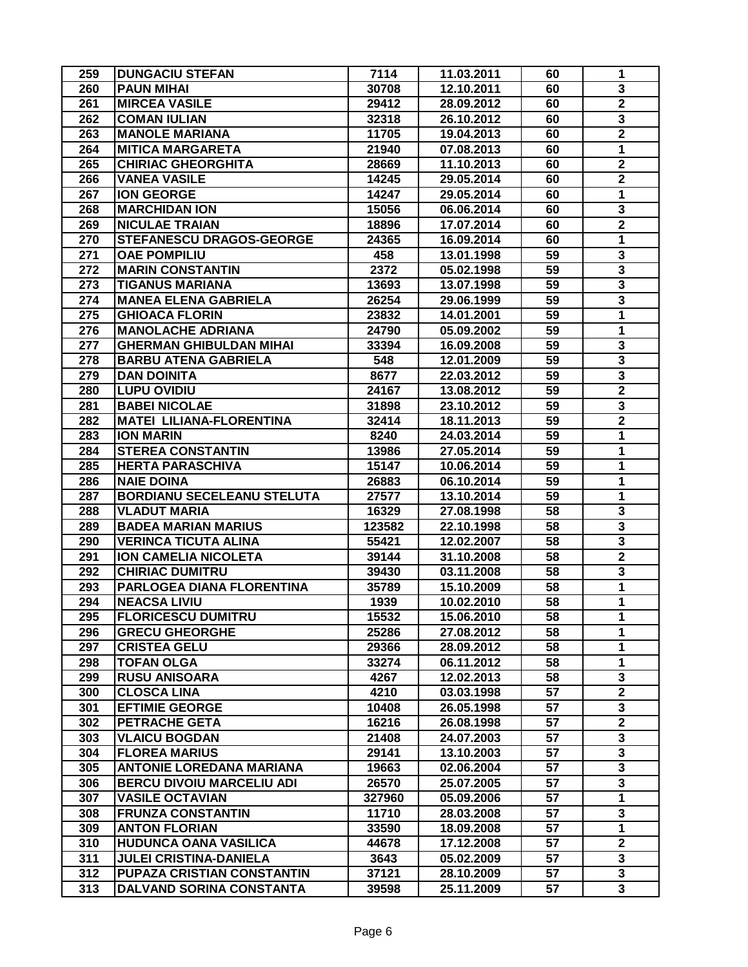| 259 | <b>DUNGACIU STEFAN</b>            | 7114           | 11.03.2011               | 60 | 1                       |
|-----|-----------------------------------|----------------|--------------------------|----|-------------------------|
| 260 | <b>PAUN MIHAI</b>                 | 30708          | 12.10.2011               | 60 | 3                       |
| 261 | <b>MIRCEA VASILE</b>              | 29412          | 28.09.2012               | 60 | $\overline{2}$          |
| 262 | <b>COMAN IULIAN</b>               | 32318          | 26.10.2012               | 60 | 3                       |
| 263 | <b>MANOLE MARIANA</b>             | 11705          | 19.04.2013               | 60 | $\overline{\mathbf{2}}$ |
| 264 | <b>MITICA MARGARETA</b>           | 21940          | 07.08.2013               | 60 | 1                       |
| 265 | <b>CHIRIAC GHEORGHITA</b>         | 28669          | 11.10.2013               | 60 | $\overline{2}$          |
| 266 | <b>VANEA VASILE</b>               | 14245          | 29.05.2014               | 60 | $\mathbf 2$             |
| 267 | <b>ION GEORGE</b>                 | 14247          | 29.05.2014               | 60 | $\mathbf{1}$            |
| 268 | <b>MARCHIDAN ION</b>              | 15056          | 06.06.2014               | 60 | $\overline{\mathbf{3}}$ |
| 269 | <b>NICULAE TRAIAN</b>             | 18896          | 17.07.2014               | 60 | $\overline{\mathbf{2}}$ |
| 270 | STEFANESCU DRAGOS-GEORGE          | 24365          | 16.09.2014               | 60 | $\mathbf{1}$            |
| 271 | <b>OAE POMPILIU</b>               | 458            | 13.01.1998               | 59 | 3                       |
| 272 | <b>MARIN CONSTANTIN</b>           | 2372           | 05.02.1998               | 59 | 3                       |
| 273 | <b>TIGANUS MARIANA</b>            | 13693          | 13.07.1998               | 59 | 3                       |
| 274 | <b>MANEA ELENA GABRIELA</b>       | 26254          | 29.06.1999               | 59 | $\overline{\mathbf{3}}$ |
| 275 | <b>GHIOACA FLORIN</b>             | 23832          | 14.01.2001               | 59 | 1                       |
| 276 | <b>MANOLACHE ADRIANA</b>          | 24790          | 05.09.2002               | 59 | 1                       |
| 277 | <b>GHERMAN GHIBULDAN MIHAI</b>    | 33394          | 16.09.2008               | 59 | 3                       |
| 278 | <b>BARBU ATENA GABRIELA</b>       | 548            | 12.01.2009               | 59 | $\overline{\mathbf{3}}$ |
| 279 | <b>DAN DOINITA</b>                | 8677           | 22.03.2012               | 59 | 3                       |
| 280 | <b>LUPU OVIDIU</b>                | 24167          | 13.08.2012               | 59 | $\mathbf 2$             |
| 281 | <b>BABEI NICOLAE</b>              | 31898          | 23.10.2012               | 59 | 3                       |
| 282 | <b>MATEI LILIANA-FLORENTINA</b>   | 32414          | 18.11.2013               | 59 | $\overline{\mathbf{2}}$ |
| 283 | <b>ION MARIN</b>                  | 8240           | 24.03.2014               | 59 | 1                       |
| 284 | <b>STEREA CONSTANTIN</b>          | 13986          | 27.05.2014               | 59 | 1                       |
| 285 | <b>HERTA PARASCHIVA</b>           |                |                          | 59 |                         |
| 286 | <b>NAIE DOINA</b>                 | 15147<br>26883 | 10.06.2014<br>06.10.2014 | 59 | 1<br>1                  |
| 287 | <b>BORDIANU SECELEANU STELUTA</b> | 27577          | 13.10.2014               | 59 | 1                       |
| 288 | <b>VLADUT MARIA</b>               | 16329          | 27.08.1998               | 58 | 3                       |
| 289 | <b>BADEA MARIAN MARIUS</b>        | 123582         | 22.10.1998               | 58 | 3                       |
| 290 | <b>VERINCA TICUTA ALINA</b>       | 55421          | 12.02.2007               | 58 | $\overline{\mathbf{3}}$ |
| 291 | <b>ION CAMELIA NICOLETA</b>       |                |                          | 58 | $\overline{2}$          |
| 292 |                                   | 39144<br>39430 | 31.10.2008               |    |                         |
|     | <b>CHIRIAC DUMITRU</b>            |                | 03.11.2008               | 58 | 3                       |
| 293 | PARLOGEA DIANA FLORENTINA         | 35789          | 15.10.2009               | 58 | 1<br>$\mathbf{1}$       |
| 294 | <b>NEACSA LIVIU</b>               | 1939           | 10.02.2010               | 58 |                         |
| 295 | FLORICESCU DUMITRU                | 15532          | 15.06.2010               | 58 | 1                       |
| 296 | <b>GRECU GHEORGHE</b>             | 25286          | 27.08.2012               | 58 | 1                       |
| 297 | <b>CRISTEA GELU</b>               | 29366          | 28.09.2012               | 58 | 1                       |
| 298 | <b>TOFAN OLGA</b>                 | 33274          | 06.11.2012               | 58 | $\mathbf{1}$            |
| 299 | <b>RUSU ANISOARA</b>              | 4267           | 12.02.2013               | 58 | 3                       |
| 300 | <b>CLOSCA LINA</b>                | 4210           | 03.03.1998               | 57 | $\overline{\mathbf{2}}$ |
| 301 | <b>EFTIMIE GEORGE</b>             | 10408          | 26.05.1998               | 57 | 3                       |
| 302 | <b>PETRACHE GETA</b>              | 16216          | 26.08.1998               | 57 | $\overline{\mathbf{2}}$ |
| 303 | <b>VLAICU BOGDAN</b>              | 21408          | 24.07.2003               | 57 | 3                       |
| 304 | <b>FLOREA MARIUS</b>              | 29141          | 13.10.2003               | 57 | 3                       |
| 305 | <b>ANTONIE LOREDANA MARIANA</b>   | 19663          | 02.06.2004               | 57 | 3                       |
| 306 | <b>BERCU DIVOIU MARCELIU ADI</b>  | 26570          | 25.07.2005               | 57 | $\overline{\mathbf{3}}$ |
| 307 | <b>VASILE OCTAVIAN</b>            | 327960         | 05.09.2006               | 57 | $\overline{1}$          |
| 308 | <b>FRUNZA CONSTANTIN</b>          | 11710          | 28.03.2008               | 57 | 3                       |
| 309 | <b>ANTON FLORIAN</b>              | 33590          | 18.09.2008               | 57 | $\mathbf 1$             |
| 310 | <b>HUDUNCA OANA VASILICA</b>      | 44678          | 17.12.2008               | 57 | $\mathbf{2}$            |
| 311 | <b>JULEI CRISTINA-DANIELA</b>     | 3643           | 05.02.2009               | 57 | 3                       |
| 312 | PUPAZA CRISTIAN CONSTANTIN        | 37121          | 28.10.2009               | 57 | $\overline{\mathbf{3}}$ |
| 313 | DALVAND SORINA CONSTANTA          | 39598          | 25.11.2009               | 57 | 3                       |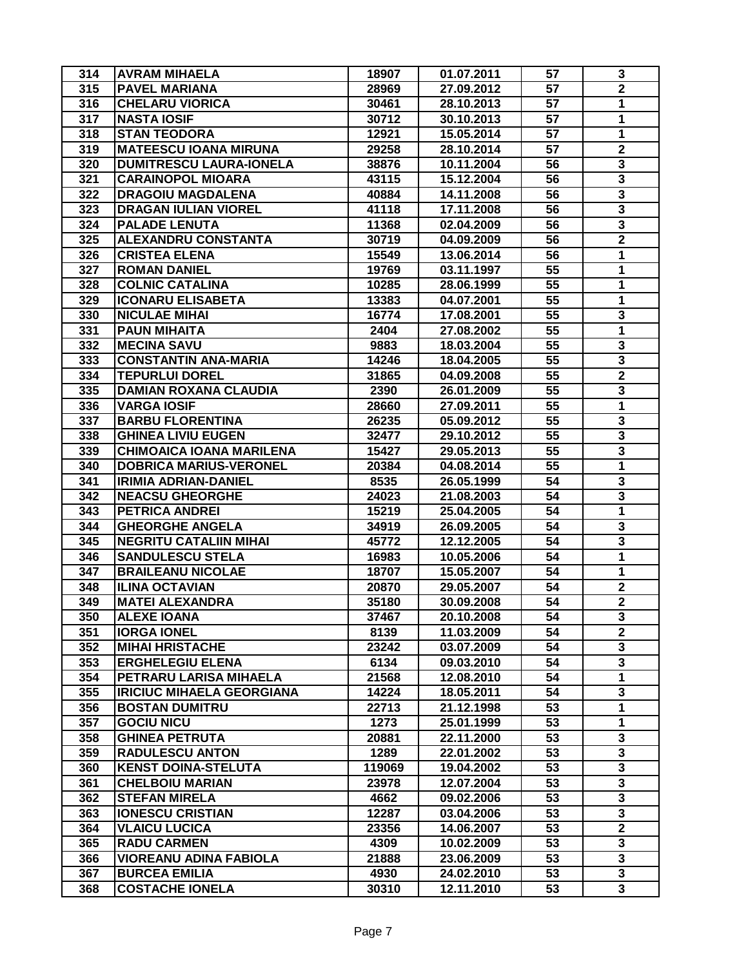| 314 | <b>AVRAM MIHAELA</b>             | 18907  | 01.07.2011 | 57              | 3                       |
|-----|----------------------------------|--------|------------|-----------------|-------------------------|
| 315 | <b>PAVEL MARIANA</b>             | 28969  | 27.09.2012 | 57              | $\overline{\mathbf{2}}$ |
| 316 | <b>CHELARU VIORICA</b>           | 30461  | 28.10.2013 | 57              | $\mathbf{1}$            |
| 317 | <b>NASTA IOSIF</b>               | 30712  | 30.10.2013 | 57              | 1                       |
| 318 | <b>STAN TEODORA</b>              | 12921  | 15.05.2014 | 57              | 1                       |
| 319 | <b>MATEESCU IOANA MIRUNA</b>     | 29258  | 28.10.2014 | 57              | $\overline{\mathbf{2}}$ |
| 320 | <b>DUMITRESCU LAURA-IONELA</b>   | 38876  | 10.11.2004 | 56              | 3                       |
| 321 | <b>CARAINOPOL MIOARA</b>         | 43115  | 15.12.2004 | 56              | 3                       |
| 322 | <b>DRAGOIU MAGDALENA</b>         | 40884  | 14.11.2008 | 56              | 3                       |
| 323 | <b>DRAGAN IULIAN VIOREL</b>      | 41118  | 17.11.2008 | 56              | $\overline{\mathbf{3}}$ |
| 324 | <b>PALADE LENUTA</b>             | 11368  | 02.04.2009 | 56              | $\overline{\mathbf{3}}$ |
| 325 | <b>ALEXANDRU CONSTANTA</b>       | 30719  | 04.09.2009 | 56              | $\overline{\mathbf{2}}$ |
| 326 | <b>CRISTEA ELENA</b>             | 15549  | 13.06.2014 | 56              | 1                       |
| 327 | <b>ROMAN DANIEL</b>              | 19769  | 03.11.1997 | 55              | 1                       |
| 328 | <b>COLNIC CATALINA</b>           | 10285  | 28.06.1999 | 55              | 1                       |
| 329 | <b>ICONARU ELISABETA</b>         | 13383  | 04.07.2001 | 55              | 1                       |
| 330 | <b>NICULAE MIHAI</b>             | 16774  | 17.08.2001 | 55              | 3                       |
| 331 | <b>PAUN MIHAITA</b>              | 2404   | 27.08.2002 | 55              | 1                       |
| 332 | <b>MECINA SAVU</b>               | 9883   | 18.03.2004 | 55              | 3                       |
| 333 | <b>CONSTANTIN ANA-MARIA</b>      | 14246  | 18.04.2005 | 55              | $\overline{\mathbf{3}}$ |
| 334 | <b>TEPURLUI DOREL</b>            |        |            | 55              | $\overline{\mathbf{2}}$ |
|     | <b>DAMIAN ROXANA CLAUDIA</b>     | 31865  | 04.09.2008 |                 |                         |
| 335 | <b>VARGA IOSIF</b>               | 2390   | 26.01.2009 | 55              | 3                       |
| 336 |                                  | 28660  | 27.09.2011 | 55              | 1                       |
| 337 | <b>BARBU FLORENTINA</b>          | 26235  | 05.09.2012 | 55              | 3                       |
| 338 | <b>GHINEA LIVIU EUGEN</b>        | 32477  | 29.10.2012 | 55              | 3                       |
| 339 | <b>CHIMOAICA IOANA MARILENA</b>  | 15427  | 29.05.2013 | 55              | 3                       |
| 340 | <b>DOBRICA MARIUS-VERONEL</b>    | 20384  | 04.08.2014 | 55              | $\mathbf{1}$            |
| 341 | <b>IRIMIA ADRIAN-DANIEL</b>      | 8535   | 26.05.1999 | 54              | 3                       |
| 342 | <b>NEACSU GHEORGHE</b>           | 24023  | 21.08.2003 | 54              | 3                       |
| 343 | <b>PETRICA ANDREI</b>            | 15219  | 25.04.2005 | 54              | $\mathbf{1}$            |
| 344 | <b>GHEORGHE ANGELA</b>           | 34919  | 26.09.2005 | 54              | 3                       |
| 345 | <b>NEGRITU CATALIIN MIHAI</b>    | 45772  | 12.12.2005 | 54              | $\overline{\mathbf{3}}$ |
| 346 | <b>SANDULESCU STELA</b>          | 16983  | 10.05.2006 | 54              | $\mathbf{1}$            |
| 347 | <b>BRAILEANU NICOLAE</b>         | 18707  | 15.05.2007 | 54              | 1                       |
| 348 | <b>ILINA OCTAVIAN</b>            | 20870  | 29.05.2007 | 54              | $\mathbf 2$             |
| 349 | <b>MATEI ALEXANDRA</b>           | 35180  | 30.09.2008 | 54              | $\mathbf{2}$            |
| 350 | <b>ALEXE IOANA</b>               | 37467  | 20.10.2008 | 54              | 3                       |
| 351 | <b>IORGA IONEL</b>               | 8139   | 11.03.2009 | 54              | $\overline{2}$          |
| 352 | <b>MIHAI HRISTACHE</b>           | 23242  | 03.07.2009 | 54              | 3                       |
| 353 | <b>ERGHELEGIU ELENA</b>          | 6134   | 09.03.2010 | 54              | 3                       |
| 354 | PETRARU LARISA MIHAELA           | 21568  | 12.08.2010 | 54              | $\mathbf{1}$            |
| 355 | <b>IRICIUC MIHAELA GEORGIANA</b> | 14224  | 18.05.2011 | 54              | 3                       |
| 356 | <b>BOSTAN DUMITRU</b>            | 22713  | 21.12.1998 | 53              | $\mathbf{1}$            |
| 357 | <b>GOCIU NICU</b>                | 1273   | 25.01.1999 | 53              | $\mathbf{1}$            |
| 358 | <b>GHINEA PETRUTA</b>            | 20881  | 22.11.2000 | 53              | 3                       |
| 359 | <b>RADULESCU ANTON</b>           | 1289   | 22.01.2002 | 53              | 3                       |
| 360 | <b>KENST DOINA-STELUTA</b>       | 119069 | 19.04.2002 | 53              | $\overline{\mathbf{3}}$ |
| 361 | <b>CHELBOIU MARIAN</b>           | 23978  | 12.07.2004 | 53              | $\overline{\mathbf{3}}$ |
| 362 | <b>STEFAN MIRELA</b>             | 4662   | 09.02.2006 | 53              | $\overline{\mathbf{3}}$ |
| 363 | <b>IONESCU CRISTIAN</b>          | 12287  | 03.04.2006 | 53              | $\overline{\mathbf{3}}$ |
| 364 | <b>VLAICU LUCICA</b>             | 23356  | 14.06.2007 | $\overline{53}$ | $\overline{2}$          |
| 365 | <b>RADU CARMEN</b>               | 4309   | 10.02.2009 | 53              | 3                       |
| 366 | <b>VIOREANU ADINA FABIOLA</b>    | 21888  | 23.06.2009 | 53              | 3                       |
| 367 | <b>BURCEA EMILIA</b>             | 4930   | 24.02.2010 | 53              | 3                       |
| 368 | <b>COSTACHE IONELA</b>           | 30310  | 12.11.2010 | 53              | $\overline{\mathbf{3}}$ |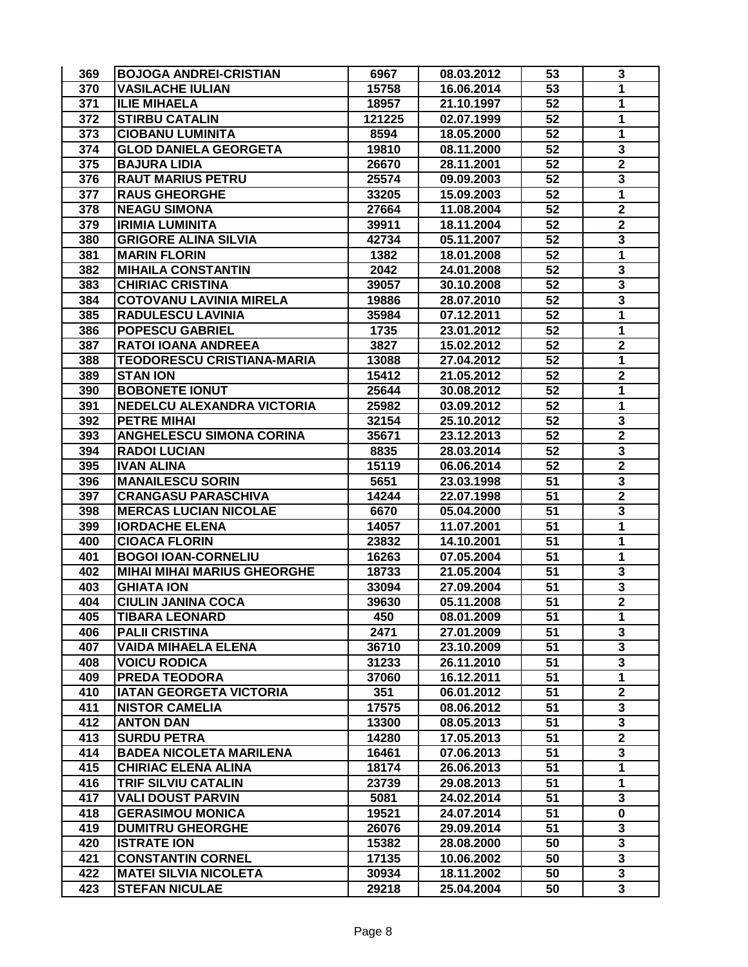| 369 | <b>BOJOGA ANDREI-CRISTIAN</b>      | 6967   | 08.03.2012 | 53              | 3                       |
|-----|------------------------------------|--------|------------|-----------------|-------------------------|
| 370 | <b>VASILACHE IULIAN</b>            | 15758  | 16.06.2014 | 53              | 1                       |
| 371 | <b>ILIE MIHAELA</b>                | 18957  | 21.10.1997 | 52              | 1                       |
| 372 | <b>STIRBU CATALIN</b>              | 121225 | 02.07.1999 | 52              | 1                       |
| 373 | <b>CIOBANU LUMINITA</b>            | 8594   | 18.05.2000 | 52              | 1                       |
| 374 | <b>GLOD DANIELA GEORGETA</b>       | 19810  | 08.11.2000 | 52              | 3                       |
| 375 | <b>BAJURA LIDIA</b>                | 26670  | 28.11.2001 | 52              | $\overline{\mathbf{2}}$ |
| 376 | <b>RAUT MARIUS PETRU</b>           | 25574  | 09.09.2003 | 52              | 3                       |
| 377 | <b>RAUS GHEORGHE</b>               | 33205  | 15.09.2003 | 52              | 1                       |
| 378 | <b>NEAGU SIMONA</b>                | 27664  | 11.08.2004 | $\overline{52}$ | $\overline{\mathbf{2}}$ |
| 379 | <b>IRIMIA LUMINITA</b>             | 39911  | 18.11.2004 | 52              | $\overline{\mathbf{2}}$ |
| 380 | <b>GRIGORE ALINA SILVIA</b>        | 42734  | 05.11.2007 | 52              | 3                       |
| 381 | <b>MARIN FLORIN</b>                | 1382   | 18.01.2008 | 52              | 1                       |
| 382 | <b>MIHAILA CONSTANTIN</b>          | 2042   | 24.01.2008 | $\overline{52}$ | 3                       |
| 383 | <b>CHIRIAC CRISTINA</b>            | 39057  | 30.10.2008 | 52              | $\overline{\mathbf{3}}$ |
| 384 | <b>COTOVANU LAVINIA MIRELA</b>     | 19886  | 28.07.2010 | 52              | $\overline{\mathbf{3}}$ |
| 385 | <b>RADULESCU LAVINIA</b>           | 35984  | 07.12.2011 | 52              | 1                       |
| 386 | <b>POPESCU GABRIEL</b>             | 1735   | 23.01.2012 | 52              | 1                       |
| 387 | <b>RATOI IOANA ANDREEA</b>         | 3827   | 15.02.2012 | 52              | $\mathbf 2$             |
| 388 | <b>TEODORESCU CRISTIANA-MARIA</b>  | 13088  | 27.04.2012 | 52              | 1                       |
| 389 | <b>STAN ION</b>                    | 15412  | 21.05.2012 | 52              | $\mathbf 2$             |
| 390 | <b>BOBONETE IONUT</b>              | 25644  | 30.08.2012 | 52              | 1                       |
| 391 | NEDELCU ALEXANDRA VICTORIA         | 25982  | 03.09.2012 | 52              | 1                       |
| 392 | <b>PETRE MIHAI</b>                 | 32154  | 25.10.2012 | 52              | 3                       |
| 393 | <b>ANGHELESCU SIMONA CORINA</b>    | 35671  | 23.12.2013 | 52              | $\overline{\mathbf{2}}$ |
| 394 | <b>RADOI LUCIAN</b>                | 8835   | 28.03.2014 | 52              | 3                       |
| 395 | <b>IVAN ALINA</b>                  | 15119  | 06.06.2014 | 52              | $\mathbf 2$             |
| 396 | <b>MANAILESCU SORIN</b>            | 5651   | 23.03.1998 | 51              | 3                       |
| 397 | <b>CRANGASU PARASCHIVA</b>         | 14244  | 22.07.1998 | 51              | $\overline{\mathbf{2}}$ |
| 398 | <b>MERCAS LUCIAN NICOLAE</b>       | 6670   | 05.04.2000 | 51              | 3                       |
| 399 | <b>IORDACHE ELENA</b>              | 14057  | 11.07.2001 | 51              | $\overline{1}$          |
| 400 | <b>CIOACA FLORIN</b>               | 23832  | 14.10.2001 | 51              | 1                       |
| 401 | <b>BOGOI IOAN-CORNELIU</b>         | 16263  | 07.05.2004 | 51              | 1                       |
| 402 | <b>MIHAI MIHAI MARIUS GHEORGHE</b> | 18733  | 21.05.2004 | 51              | 3                       |
| 403 | <b>GHIATA ION</b>                  | 33094  | 27.09.2004 | 51              | $\overline{\mathbf{3}}$ |
| 404 | <b>CIULIN JANINA COCA</b>          | 39630  | 05.11.2008 | 51              | $\overline{\mathbf{2}}$ |
| 405 | <b>TIBARA LEONARD</b>              | 450    | 08.01.2009 | 51              | 1                       |
| 406 | <b>PALII CRISTINA</b>              | 2471   | 27.01.2009 | 51              | 3                       |
| 407 | <b>VAIDA MIHAELA ELENA</b>         | 36710  | 23.10.2009 | 51              | $\overline{\mathbf{3}}$ |
| 408 | <b>VOICU RODICA</b>                | 31233  | 26.11.2010 | 51              | 3                       |
| 409 | <b>PREDA TEODORA</b>               | 37060  | 16.12.2011 | 51              | $\mathbf{1}$            |
| 410 | <b>IATAN GEORGETA VICTORIA</b>     | 351    | 06.01.2012 | 51              | $\mathbf 2$             |
| 411 | <b>NISTOR CAMELIA</b>              | 17575  | 08.06.2012 | 51              | $\overline{\mathbf{3}}$ |
| 412 | <b>ANTON DAN</b>                   | 13300  | 08.05.2013 | 51              | 3                       |
| 413 | <b>SURDU PETRA</b>                 | 14280  | 17.05.2013 | 51              | $\overline{\mathbf{2}}$ |
| 414 | <b>BADEA NICOLETA MARILENA</b>     | 16461  | 07.06.2013 | 51              | 3                       |
| 415 | <b>CHIRIAC ELENA ALINA</b>         | 18174  | 26.06.2013 | 51              | $\overline{\mathbf{1}}$ |
| 416 | <b>TRIF SILVIU CATALIN</b>         | 23739  | 29.08.2013 | 51              | $\mathbf{1}$            |
| 417 | <b>VALI DOUST PARVIN</b>           | 5081   | 24.02.2014 | 51              | 3                       |
| 418 | <b>GERASIMOU MONICA</b>            | 19521  | 24.07.2014 | 51              | $\mathbf 0$             |
| 419 | <b>DUMITRU GHEORGHE</b>            | 26076  | 29.09.2014 | $\overline{51}$ | $\overline{\mathbf{3}}$ |
| 420 | <b>ISTRATE ION</b>                 | 15382  | 28.08.2000 | 50              | $\overline{\mathbf{3}}$ |
| 421 | <b>CONSTANTIN CORNEL</b>           | 17135  | 10.06.2002 | 50              | 3                       |
| 422 | <b>MATEI SILVIA NICOLETA</b>       | 30934  | 18.11.2002 | 50              | 3                       |
| 423 | <b>STEFAN NICULAE</b>              | 29218  | 25.04.2004 | 50              | $\overline{\mathbf{3}}$ |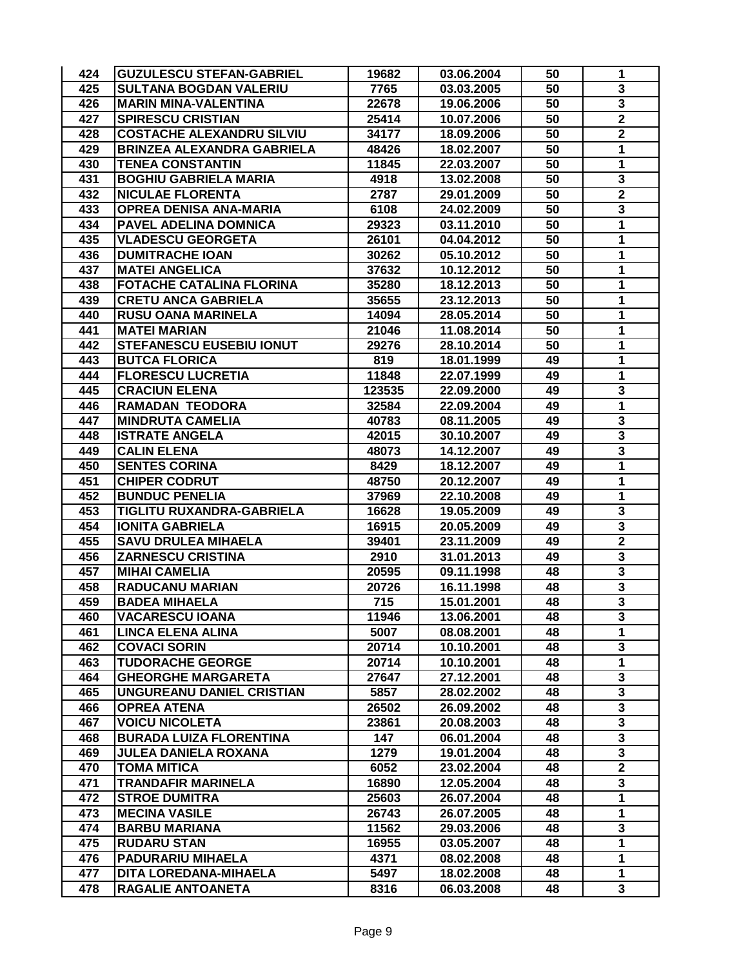| 424 | <b>GUZULESCU STEFAN-GABRIEL</b>   | 19682  | 03.06.2004 | 50 | 1                       |
|-----|-----------------------------------|--------|------------|----|-------------------------|
| 425 | <b>SULTANA BOGDAN VALERIU</b>     | 7765   | 03.03.2005 | 50 | 3                       |
| 426 | <b>MARIN MINA-VALENTINA</b>       | 22678  | 19.06.2006 | 50 | $\overline{\mathbf{3}}$ |
| 427 | <b>SPIRESCU CRISTIAN</b>          | 25414  | 10.07.2006 | 50 | $\mathbf 2$             |
| 428 | <b>COSTACHE ALEXANDRU SILVIU</b>  | 34177  | 18.09.2006 | 50 | $\overline{\mathbf{2}}$ |
| 429 | <b>BRINZEA ALEXANDRA GABRIELA</b> | 48426  | 18.02.2007 | 50 | 1                       |
| 430 | <b>TENEA CONSTANTIN</b>           | 11845  | 22.03.2007 | 50 | 1                       |
| 431 | <b>BOGHIU GABRIELA MARIA</b>      | 4918   | 13.02.2008 | 50 | 3                       |
| 432 | <b>NICULAE FLORENTA</b>           | 2787   | 29.01.2009 | 50 | $\overline{\mathbf{2}}$ |
| 433 | <b>OPREA DENISA ANA-MARIA</b>     | 6108   | 24.02.2009 | 50 | 3                       |
| 434 | PAVEL ADELINA DOMNICA             | 29323  | 03.11.2010 | 50 | $\mathbf{1}$            |
| 435 | <b>VLADESCU GEORGETA</b>          | 26101  | 04.04.2012 | 50 | 1                       |
| 436 | <b>DUMITRACHE IOAN</b>            | 30262  | 05.10.2012 | 50 | 1                       |
| 437 | <b>MATEI ANGELICA</b>             | 37632  | 10.12.2012 | 50 | 1                       |
| 438 | <b>FOTACHE CATALINA FLORINA</b>   | 35280  | 18.12.2013 | 50 | 1                       |
| 439 | <b>CRETU ANCA GABRIELA</b>        | 35655  | 23.12.2013 | 50 | 1                       |
| 440 | <b>RUSU OANA MARINELA</b>         | 14094  | 28.05.2014 | 50 | 1                       |
| 441 | <b>MATEI MARIAN</b>               | 21046  | 11.08.2014 | 50 | 1                       |
| 442 | <b>STEFANESCU EUSEBIU IONUT</b>   | 29276  | 28.10.2014 | 50 | 1                       |
| 443 | <b>BUTCA FLORICA</b>              | 819    | 18.01.1999 | 49 | 1                       |
| 444 | <b>FLORESCU LUCRETIA</b>          | 11848  | 22.07.1999 | 49 | 1                       |
| 445 | <b>CRACIUN ELENA</b>              | 123535 | 22.09.2000 | 49 | 3                       |
| 446 | <b>RAMADAN TEODORA</b>            | 32584  | 22.09.2004 | 49 | 1                       |
| 447 | <b>MINDRUTA CAMELIA</b>           | 40783  | 08.11.2005 | 49 | $\overline{\mathbf{3}}$ |
| 448 | <b>ISTRATE ANGELA</b>             | 42015  | 30.10.2007 | 49 | 3                       |
| 449 | <b>CALIN ELENA</b>                | 48073  | 14.12.2007 | 49 | 3                       |
| 450 | <b>SENTES CORINA</b>              | 8429   | 18.12.2007 | 49 | $\mathbf{1}$            |
| 451 | <b>CHIPER CODRUT</b>              | 48750  | 20.12.2007 | 49 | $\mathbf{1}$            |
| 452 | <b>BUNDUC PENELIA</b>             | 37969  | 22.10.2008 | 49 | 1                       |
| 453 | TIGLITU RUXANDRA-GABRIELA         | 16628  | 19.05.2009 | 49 | 3                       |
| 454 | <b>IONITA GABRIELA</b>            | 16915  | 20.05.2009 | 49 | 3                       |
| 455 | <b>SAVU DRULEA MIHAELA</b>        | 39401  | 23.11.2009 | 49 | $\overline{2}$          |
| 456 | <b>ZARNESCU CRISTINA</b>          | 2910   | 31.01.2013 | 49 | 3                       |
| 457 | <b>MIHAI CAMELIA</b>              | 20595  | 09.11.1998 | 48 | $\overline{\mathbf{3}}$ |
| 458 | <b>RADUCANU MARIAN</b>            | 20726  | 16.11.1998 | 48 | 3                       |
| 459 | <b>BADEA MIHAELA</b>              | 715    | 15.01.2001 | 48 | $\overline{\mathbf{3}}$ |
| 460 | <b>VACARESCU IOANA</b>            | 11946  | 13.06.2001 | 48 | 3                       |
| 461 | <b>LINCA ELENA ALINA</b>          | 5007   | 08.08.2001 | 48 | 1                       |
| 462 | <b>COVACI SORIN</b>               | 20714  | 10.10.2001 | 48 | 3                       |
| 463 | <b>TUDORACHE GEORGE</b>           | 20714  | 10.10.2001 | 48 | $\mathbf{1}$            |
| 464 | <b>GHEORGHE MARGARETA</b>         | 27647  | 27.12.2001 | 48 | 3                       |
| 465 | UNGUREANU DANIEL CRISTIAN         | 5857   | 28.02.2002 | 48 | 3                       |
| 466 | <b>OPREA ATENA</b>                | 26502  | 26.09.2002 | 48 | 3                       |
| 467 | <b>VOICU NICOLETA</b>             | 23861  | 20.08.2003 | 48 | 3                       |
| 468 | <b>BURADA LUIZA FLORENTINA</b>    | 147    | 06.01.2004 | 48 | 3                       |
| 469 | <b>JULEA DANIELA ROXANA</b>       | 1279   | 19.01.2004 | 48 | 3                       |
| 470 | <b>TOMA MITICA</b>                | 6052   | 23.02.2004 | 48 | $\overline{2}$          |
| 471 | <b>TRANDAFIR MARINELA</b>         | 16890  | 12.05.2004 | 48 | $\overline{\mathbf{3}}$ |
| 472 | <b>STROE DUMITRA</b>              | 25603  | 26.07.2004 | 48 | $\overline{1}$          |
| 473 | <b>MECINA VASILE</b>              | 26743  | 26.07.2005 | 48 | $\mathbf{1}$            |
| 474 | <b>BARBU MARIANA</b>              | 11562  | 29.03.2006 | 48 | 3                       |
| 475 | <b>RUDARU STAN</b>                | 16955  | 03.05.2007 | 48 | $\mathbf 1$             |
| 476 | <b>PADURARIU MIHAELA</b>          | 4371   | 08.02.2008 | 48 | $\overline{1}$          |
| 477 | DITA LOREDANA-MIHAELA             | 5497   | 18.02.2008 | 48 | $\mathbf 1$             |
| 478 | RAGALIE ANTOANETA                 | 8316   | 06.03.2008 | 48 | 3                       |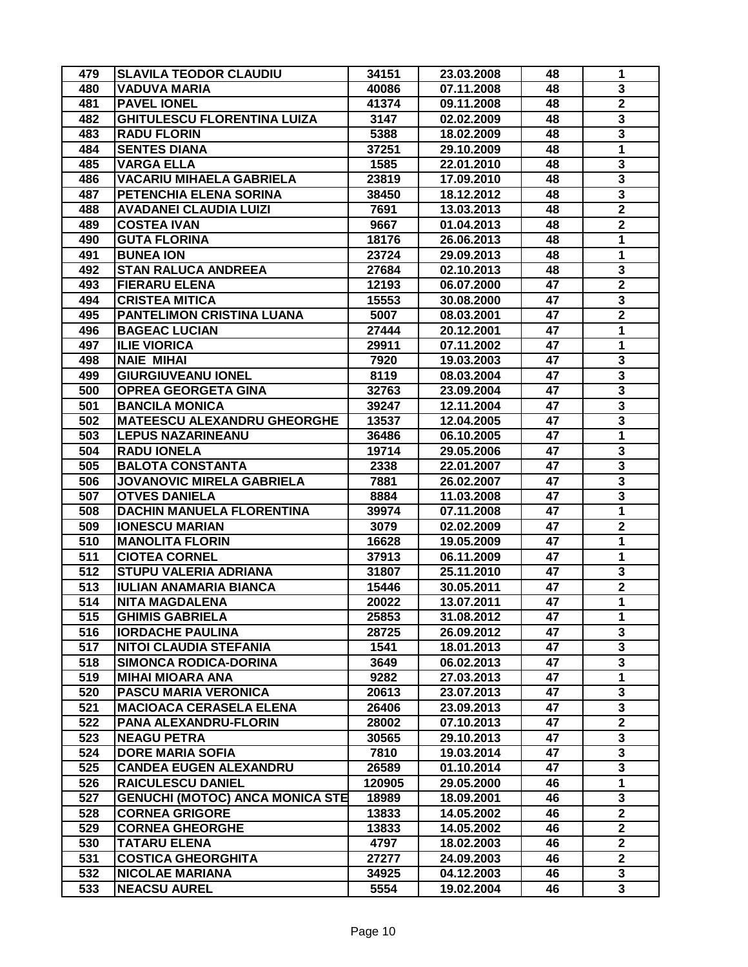| 479 | <b>SLAVILA TEODOR CLAUDIU</b>      | 34151  | 23.03.2008 | 48 | 1                       |
|-----|------------------------------------|--------|------------|----|-------------------------|
| 480 | <b>VADUVA MARIA</b>                | 40086  | 07.11.2008 | 48 | 3                       |
| 481 | <b>PAVEL IONEL</b>                 | 41374  | 09.11.2008 | 48 | $\overline{\mathbf{2}}$ |
| 482 | <b>GHITULESCU FLORENTINA LUIZA</b> | 3147   | 02.02.2009 | 48 | 3                       |
| 483 | <b>RADU FLORIN</b>                 | 5388   | 18.02.2009 | 48 | 3                       |
| 484 | <b>SENTES DIANA</b>                | 37251  | 29.10.2009 | 48 | 1                       |
| 485 | <b>VARGA ELLA</b>                  | 1585   | 22.01.2010 | 48 | 3                       |
| 486 | <b>VACARIU MIHAELA GABRIELA</b>    | 23819  | 17.09.2010 | 48 | 3                       |
| 487 | PETENCHIA ELENA SORINA             | 38450  | 18.12.2012 | 48 | 3                       |
| 488 | <b>AVADANEI CLAUDIA LUIZI</b>      | 7691   | 13.03.2013 | 48 | $\overline{\mathbf{2}}$ |
| 489 | <b>COSTEA IVAN</b>                 | 9667   | 01.04.2013 | 48 | $\overline{\mathbf{2}}$ |
| 490 | <b>GUTA FLORINA</b>                | 18176  | 26.06.2013 | 48 | $\mathbf{1}$            |
| 491 | <b>BUNEA ION</b>                   | 23724  | 29.09.2013 | 48 | 1                       |
| 492 | <b>STAN RALUCA ANDREEA</b>         | 27684  | 02.10.2013 | 48 | 3                       |
| 493 | <b>FIERARU ELENA</b>               | 12193  | 06.07.2000 | 47 | $\overline{2}$          |
| 494 | <b>CRISTEA MITICA</b>              | 15553  | 30.08.2000 | 47 | 3                       |
| 495 | <b>PANTELIMON CRISTINA LUANA</b>   | 5007   | 08.03.2001 | 47 | $\overline{\mathbf{2}}$ |
| 496 | <b>BAGEAC LUCIAN</b>               | 27444  | 20.12.2001 | 47 | 1                       |
| 497 | <b>ILIE VIORICA</b>                | 29911  | 07.11.2002 | 47 | 1                       |
| 498 | <b>NAIE MIHAI</b>                  | 7920   | 19.03.2003 | 47 | 3                       |
| 499 | <b>GIURGIUVEANU IONEL</b>          | 8119   | 08.03.2004 | 47 | 3                       |
| 500 | <b>OPREA GEORGETA GINA</b>         | 32763  | 23.09.2004 | 47 | 3                       |
| 501 | <b>BANCILA MONICA</b>              | 39247  | 12.11.2004 | 47 | $\overline{\mathbf{3}}$ |
| 502 | <b>MATEESCU ALEXANDRU GHEORGHE</b> | 13537  | 12.04.2005 | 47 | 3                       |
| 503 | <b>LEPUS NAZARINEANU</b>           | 36486  | 06.10.2005 | 47 | 1                       |
| 504 | <b>RADU IONELA</b>                 | 19714  | 29.05.2006 | 47 | 3                       |
| 505 | <b>BALOTA CONSTANTA</b>            | 2338   | 22.01.2007 | 47 | 3                       |
| 506 | <b>JOVANOVIC MIRELA GABRIELA</b>   | 7881   | 26.02.2007 | 47 | 3                       |
| 507 | <b>OTVES DANIELA</b>               | 8884   | 11.03.2008 | 47 | 3                       |
| 508 | <b>DACHIN MANUELA FLORENTINA</b>   | 39974  | 07.11.2008 | 47 | $\mathbf{1}$            |
| 509 | <b>IONESCU MARIAN</b>              | 3079   | 02.02.2009 | 47 | $\overline{\mathbf{2}}$ |
| 510 | <b>MANOLITA FLORIN</b>             | 16628  | 19.05.2009 | 47 | 1                       |
| 511 | <b>CIOTEA CORNEL</b>               | 37913  | 06.11.2009 | 47 | 1                       |
| 512 | STUPU VALERIA ADRIANA              | 31807  | 25.11.2010 | 47 | 3                       |
| 513 | <b>IULIAN ANAMARIA BIANCA</b>      | 15446  | 30.05.2011 | 47 | $\overline{\mathbf{2}}$ |
| 514 | <b>NITA MAGDALENA</b>              | 20022  | 13.07.2011 | 47 | $\mathbf{1}$            |
| 515 | <b>GHIMIS GABRIELA</b>             | 25853  | 31.08.2012 | 47 | 1                       |
| 516 | <b>IORDACHE PAULINA</b>            | 28725  | 26.09.2012 | 47 | 3                       |
| 517 | <b>NITOI CLAUDIA STEFANIA</b>      | 1541   | 18.01.2013 | 47 | $\overline{\mathbf{3}}$ |
| 518 | <b>SIMONCA RODICA-DORINA</b>       | 3649   | 06.02.2013 | 47 | 3                       |
| 519 | <b>MIHAI MIOARA ANA</b>            | 9282   | 27.03.2013 | 47 | $\mathbf{1}$            |
| 520 | <b>PASCU MARIA VERONICA</b>        | 20613  | 23.07.2013 | 47 | 3                       |
| 521 | <b>MACIOACA CERASELA ELENA</b>     | 26406  | 23.09.2013 | 47 | 3                       |
| 522 | PANA ALEXANDRU-FLORIN              | 28002  | 07.10.2013 | 47 | $\overline{\mathbf{2}}$ |
| 523 | <b>NEAGU PETRA</b>                 | 30565  | 29.10.2013 | 47 | 3                       |
| 524 | <b>DORE MARIA SOFIA</b>            | 7810   | 19.03.2014 | 47 | 3                       |
| 525 | <b>CANDEA EUGEN ALEXANDRU</b>      | 26589  | 01.10.2014 | 47 | $\overline{\mathbf{3}}$ |
| 526 | <b>RAICULESCU DANIEL</b>           | 120905 | 29.05.2000 | 46 | $\overline{1}$          |
| 527 | GENUCHI (MOTOC) ANCA MONICA STE    | 18989  | 18.09.2001 | 46 | 3                       |
| 528 | <b>CORNEA GRIGORE</b>              | 13833  | 14.05.2002 | 46 | $\mathbf{2}$            |
| 529 | <b>CORNEA GHEORGHE</b>             | 13833  | 14.05.2002 | 46 | $\overline{2}$          |
| 530 | <b>TATARU ELENA</b>                | 4797   | 18.02.2003 | 46 | $\overline{2}$          |
| 531 | <b>COSTICA GHEORGHITA</b>          | 27277  | 24.09.2003 | 46 | $\mathbf{2}$            |
| 532 | <b>NICOLAE MARIANA</b>             | 34925  | 04.12.2003 | 46 | 3                       |
| 533 | <b>NEACSU AUREL</b>                | 5554   | 19.02.2004 | 46 | $\overline{\mathbf{3}}$ |
|     |                                    |        |            |    |                         |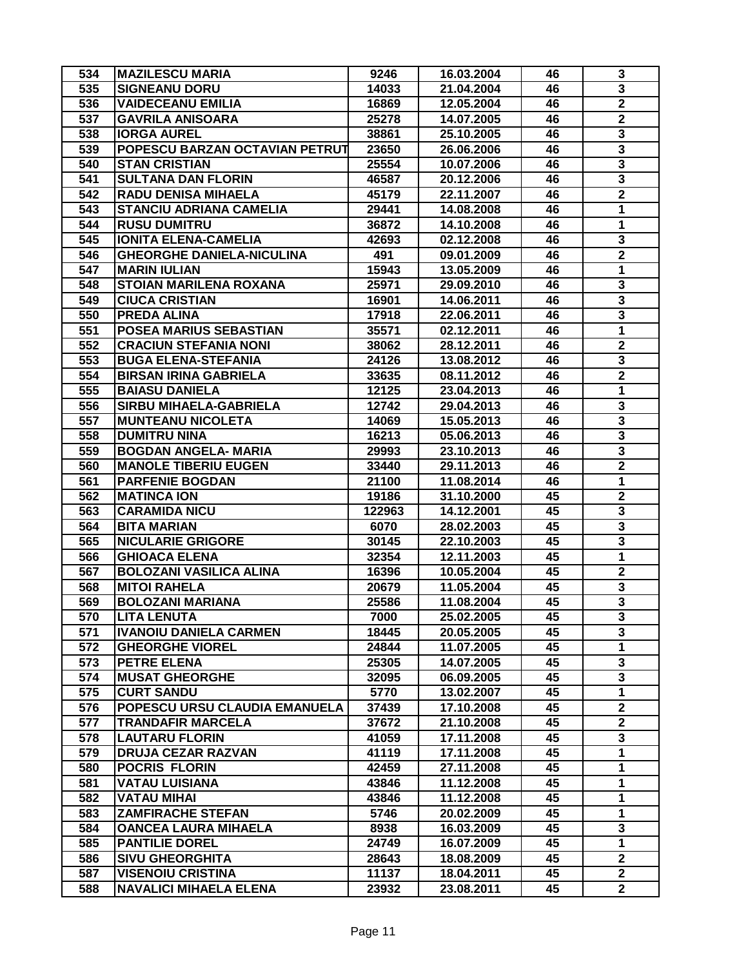| 534              | <b>MAZILESCU MARIA</b>           | 9246   | 16.03.2004 | 46 | 3                       |
|------------------|----------------------------------|--------|------------|----|-------------------------|
| 535              | <b>SIGNEANU DORU</b>             | 14033  | 21.04.2004 | 46 | $\overline{\mathbf{3}}$ |
| 536              | <b>VAIDECEANU EMILIA</b>         | 16869  | 12.05.2004 | 46 | $\overline{\mathbf{2}}$ |
| 537              | <b>GAVRILA ANISOARA</b>          | 25278  | 14.07.2005 | 46 | $\mathbf 2$             |
| 538              | <b>IORGA AUREL</b>               | 38861  | 25.10.2005 | 46 | 3                       |
| 539              | POPESCU BARZAN OCTAVIAN PETRUT   | 23650  | 26.06.2006 | 46 | $\overline{\mathbf{3}}$ |
| 540              | <b>STAN CRISTIAN</b>             | 25554  | 10.07.2006 | 46 | 3                       |
| 541              | <b>SULTANA DAN FLORIN</b>        | 46587  | 20.12.2006 | 46 | 3                       |
| 542              | <b>RADU DENISA MIHAELA</b>       | 45179  | 22.11.2007 | 46 | $\mathbf 2$             |
| $\overline{543}$ | <b>STANCIU ADRIANA CAMELIA</b>   | 29441  | 14.08.2008 | 46 | $\mathbf{1}$            |
| 544              | <b>RUSU DUMITRU</b>              | 36872  | 14.10.2008 | 46 | $\overline{1}$          |
| 545              | <b>IONITA ELENA-CAMELIA</b>      | 42693  | 02.12.2008 | 46 | 3                       |
| 546              | <b>GHEORGHE DANIELA-NICULINA</b> | 491    | 09.01.2009 | 46 | $\mathbf 2$             |
| 547              | <b>MARIN IULIAN</b>              | 15943  | 13.05.2009 | 46 | 1                       |
| 548              | <b>STOIAN MARILENA ROXANA</b>    | 25971  | 29.09.2010 | 46 | $\overline{\mathbf{3}}$ |
| 549              | <b>CIUCA CRISTIAN</b>            | 16901  | 14.06.2011 | 46 | $\overline{\mathbf{3}}$ |
| 550              | PREDA ALINA                      | 17918  | 22.06.2011 | 46 | $\overline{\mathbf{3}}$ |
| 551              | POSEA MARIUS SEBASTIAN           | 35571  | 02.12.2011 | 46 | 1                       |
| 552              | <b>CRACIUN STEFANIA NONI</b>     | 38062  | 28.12.2011 | 46 | $\mathbf 2$             |
| 553              | <b>BUGA ELENA-STEFANIA</b>       | 24126  | 13.08.2012 | 46 | 3                       |
| 554              | <b>BIRSAN IRINA GABRIELA</b>     | 33635  | 08.11.2012 | 46 | $\mathbf 2$             |
| 555              | <b>BAIASU DANIELA</b>            | 12125  | 23.04.2013 | 46 | 1                       |
| 556              | <b>SIRBU MIHAELA-GABRIELA</b>    | 12742  | 29.04.2013 | 46 | 3                       |
| 557              | <b>MUNTEANU NICOLETA</b>         |        |            |    | 3                       |
|                  |                                  | 14069  | 15.05.2013 | 46 | 3                       |
| 558              | <b>DUMITRU NINA</b>              | 16213  | 05.06.2013 | 46 |                         |
| 559              | <b>BOGDAN ANGELA- MARIA</b>      | 29993  | 23.10.2013 | 46 | 3                       |
| 560              | <b>MANOLE TIBERIU EUGEN</b>      | 33440  | 29.11.2013 | 46 | $\mathbf 2$             |
| 561              | <b>PARFENIE BOGDAN</b>           | 21100  | 11.08.2014 | 46 | $\mathbf{1}$            |
| 562              | <b>MATINCA ION</b>               | 19186  | 31.10.2000 | 45 | $\overline{\mathbf{2}}$ |
| 563              | <b>CARAMIDA NICU</b>             | 122963 | 14.12.2001 | 45 | 3                       |
| 564              | <b>BITA MARIAN</b>               | 6070   | 28.02.2003 | 45 | $\overline{\mathbf{3}}$ |
| 565              | <b>NICULARIE GRIGORE</b>         | 30145  | 22.10.2003 | 45 | $\overline{\mathbf{3}}$ |
| 566              | <b>GHIOACA ELENA</b>             | 32354  | 12.11.2003 | 45 | $\mathbf{1}$            |
| 567              | <b>BOLOZANI VASILICA ALINA</b>   | 16396  | 10.05.2004 | 45 | $\boldsymbol{2}$        |
| 568              | <b>MITOI RAHELA</b>              | 20679  | 11.05.2004 | 45 | 3                       |
| 569              | <b>BOLOZANI MARIANA</b>          | 25586  | 11.08.2004 | 45 | $\overline{\mathbf{3}}$ |
| 570              | <b>LITA LENUTA</b>               | 7000   | 25.02.2005 | 45 | 3                       |
| 571              | <b>IVANOIU DANIELA CARMEN</b>    | 18445  | 20.05.2005 | 45 | 3                       |
| 572              | <b>GHEORGHE VIOREL</b>           | 24844  | 11.07.2005 | 45 | $\mathbf{1}$            |
| 573              | <b>PETRE ELENA</b>               | 25305  | 14.07.2005 | 45 | 3                       |
| 574              | <b>MUSAT GHEORGHE</b>            | 32095  | 06.09.2005 | 45 | 3                       |
| 575              | <b>CURT SANDU</b>                | 5770   | 13.02.2007 | 45 | $\mathbf{1}$            |
| 576              | POPESCU URSU CLAUDIA EMANUELA    | 37439  | 17.10.2008 | 45 | $\overline{2}$          |
| 577              | <b>TRANDAFIR MARCELA</b>         | 37672  | 21.10.2008 | 45 | $\overline{\mathbf{2}}$ |
| 578              | <b>LAUTARU FLORIN</b>            | 41059  | 17.11.2008 | 45 | 3                       |
| 579              | <b>DRUJA CEZAR RAZVAN</b>        | 41119  | 17.11.2008 | 45 | 1                       |
| 580              | <b>POCRIS FLORIN</b>             | 42459  | 27.11.2008 | 45 | 1                       |
| 581              | <b>VATAU LUISIANA</b>            | 43846  | 11.12.2008 | 45 | 1                       |
| 582              | <b>VATAU MIHAI</b>               | 43846  | 11.12.2008 | 45 | $\mathbf{1}$            |
| 583              | <b>ZAMFIRACHE STEFAN</b>         | 5746   | 20.02.2009 | 45 | 1                       |
| 584              | <b>OANCEA LAURA MIHAELA</b>      | 8938   | 16.03.2009 | 45 | $\overline{\mathbf{3}}$ |
| 585              | <b>PANTILIE DOREL</b>            | 24749  | 16.07.2009 | 45 | $\overline{1}$          |
| 586              | <b>SIVU GHEORGHITA</b>           | 28643  | 18.08.2009 | 45 | $\mathbf{2}$            |
| 587              | <b>VISENOIU CRISTINA</b>         | 11137  | 18.04.2011 | 45 | $\mathbf{2}$            |
| 588              | <b>NAVALICI MIHAELA ELENA</b>    | 23932  | 23.08.2011 | 45 | $\mathbf{2}$            |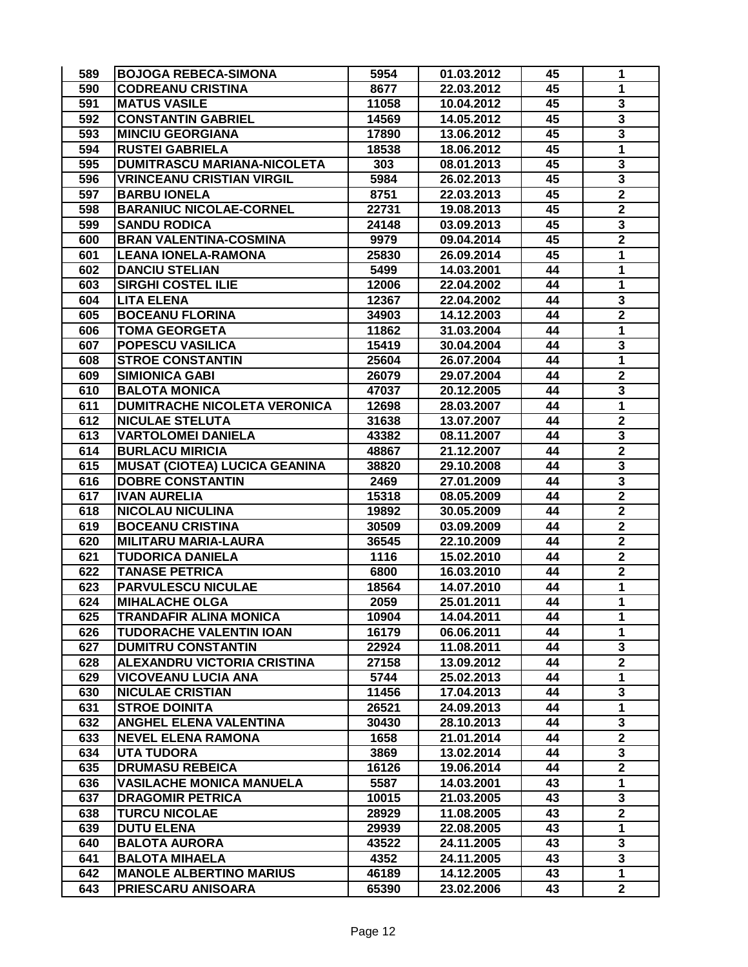| 590<br><b>CODREANU CRISTINA</b><br>8677<br>45<br>1<br>22.03.2012<br>3<br>591<br><b>MATUS VASILE</b><br>11058<br>45<br>10.04.2012<br>$\overline{\mathbf{3}}$<br>592<br><b>CONSTANTIN GABRIEL</b><br>45<br>14569<br>14.05.2012<br>$\overline{\mathbf{3}}$<br>593<br><b>MINCIU GEORGIANA</b><br>45<br>17890<br>13.06.2012<br>$\overline{\mathbf{1}}$<br>594<br><b>RUSTEI GABRIELA</b><br>18538<br>45<br>18.06.2012<br>595<br>3<br>DUMITRASCU MARIANA-NICOLETA<br>303<br>08.01.2013<br>45<br>$\overline{\mathbf{3}}$<br>596<br><b>VRINCEANU CRISTIAN VIRGIL</b><br>5984<br>26.02.2013<br>45<br>$\overline{\mathbf{2}}$<br>597<br><b>BARBU IONELA</b><br>8751<br>22.03.2013<br>45<br>$\overline{2}$<br>598<br><b>BARANIUC NICOLAE-CORNEL</b><br>22731<br>45<br>19.08.2013<br>3<br>599<br><b>SANDU RODICA</b><br>24148<br>03.09.2013<br>45<br>$\overline{\mathbf{2}}$<br>600<br><b>BRAN VALENTINA-COSMINA</b><br>45<br>9979<br>09.04.2014<br>601<br><b>LEANA IONELA-RAMONA</b><br>1<br>25830<br>26.09.2014<br>45<br>602<br><b>DANCIU STELIAN</b><br>5499<br>44<br>1<br>14.03.2001<br><b>SIRGHI COSTEL ILIE</b><br>1<br>603<br>12006<br>22.04.2002<br>44<br>604<br>3<br><b>LITA ELENA</b><br>12367<br>22.04.2002<br>44<br>$\overline{2}$<br>605<br><b>BOCEANU FLORINA</b><br>44<br>34903<br>14.12.2003<br>1<br>606<br>44<br><b>TOMA GEORGETA</b><br>11862<br>31.03.2004<br>3<br>607<br>POPESCU VASILICA<br>15419<br>44<br>30.04.2004<br>1<br>608<br><b>STROE CONSTANTIN</b><br>25604<br>26.07.2004<br>44<br>$\mathbf 2$<br>609<br><b>SIMIONICA GABI</b><br>44<br>26079<br>29.07.2004<br>3<br>610<br><b>BALOTA MONICA</b><br>47037<br>20.12.2005<br>44<br>1<br>611<br><b>DUMITRACHE NICOLETA VERONICA</b><br>44<br>12698<br>28.03.2007<br>$\mathbf 2$<br>612<br><b>NICULAE STELUTA</b><br>31638<br>13.07.2007<br>44<br>$\overline{\mathbf{3}}$<br>613<br><b>VARTOLOMEI DANIELA</b><br>43382<br>44<br>08.11.2007<br>$\mathbf 2$<br>614<br><b>BURLACU MIRICIA</b><br>48867<br>21.12.2007<br>44<br>3<br>615<br><b>MUSAT (CIOTEA) LUCICA GEANINA</b><br>44<br>38820<br>29.10.2008<br>616<br>3<br><b>DOBRE CONSTANTIN</b><br>2469<br>27.01.2009<br>44<br>$\overline{\mathbf{2}}$<br>617<br><b>IVAN AURELIA</b><br>44<br>15318<br>08.05.2009<br>$\mathbf 2$<br>618<br><b>NICOLAU NICULINA</b><br>19892<br>30.05.2009<br>44<br>$\overline{\mathbf{2}}$<br>619<br><b>BOCEANU CRISTINA</b><br>44<br>30509<br>03.09.2009<br>$\mathbf 2$<br>620<br>36545<br>44<br><b>MILITARU MARIA-LAURA</b><br>22.10.2009<br>$\overline{2}$<br>621<br><b>TUDORICA DANIELA</b><br>1116<br>44<br>15.02.2010<br>$\mathbf 2$<br>622<br><b>TANASE PETRICA</b><br>44<br>6800<br>16.03.2010<br>1<br>623<br><b>PARVULESCU NICULAE</b><br>18564<br>14.07.2010<br>44<br>$\mathbf{1}$<br>624<br>44<br><b>MIHALACHE OLGA</b><br>2059<br>25.01.2011<br>TRANDAFIR ALINA MONICA<br>14.04.2011<br>10904<br>625<br>44<br>T<br>1<br>626<br>16179<br>44<br><b>TUDORACHE VALENTIN IOAN</b><br>06.06.2011<br>3<br>627<br><b>DUMITRU CONSTANTIN</b><br>11.08.2011<br>44<br>22924 | 589 | <b>BOJOGA REBECA-SIMONA</b> | 5954 | 01.03.2012 | 45 | 1 |
|---------------------------------------------------------------------------------------------------------------------------------------------------------------------------------------------------------------------------------------------------------------------------------------------------------------------------------------------------------------------------------------------------------------------------------------------------------------------------------------------------------------------------------------------------------------------------------------------------------------------------------------------------------------------------------------------------------------------------------------------------------------------------------------------------------------------------------------------------------------------------------------------------------------------------------------------------------------------------------------------------------------------------------------------------------------------------------------------------------------------------------------------------------------------------------------------------------------------------------------------------------------------------------------------------------------------------------------------------------------------------------------------------------------------------------------------------------------------------------------------------------------------------------------------------------------------------------------------------------------------------------------------------------------------------------------------------------------------------------------------------------------------------------------------------------------------------------------------------------------------------------------------------------------------------------------------------------------------------------------------------------------------------------------------------------------------------------------------------------------------------------------------------------------------------------------------------------------------------------------------------------------------------------------------------------------------------------------------------------------------------------------------------------------------------------------------------------------------------------------------------------------------------------------------------------------------------------------------------------------------------------------------------------------------------------------------------------------------------------------------------------------------------------------------------------------------------------------------------------------------------------------------------------------------------------------------------------------------------------------------------------------------------|-----|-----------------------------|------|------------|----|---|
|                                                                                                                                                                                                                                                                                                                                                                                                                                                                                                                                                                                                                                                                                                                                                                                                                                                                                                                                                                                                                                                                                                                                                                                                                                                                                                                                                                                                                                                                                                                                                                                                                                                                                                                                                                                                                                                                                                                                                                                                                                                                                                                                                                                                                                                                                                                                                                                                                                                                                                                                                                                                                                                                                                                                                                                                                                                                                                                                                                                                                           |     |                             |      |            |    |   |
|                                                                                                                                                                                                                                                                                                                                                                                                                                                                                                                                                                                                                                                                                                                                                                                                                                                                                                                                                                                                                                                                                                                                                                                                                                                                                                                                                                                                                                                                                                                                                                                                                                                                                                                                                                                                                                                                                                                                                                                                                                                                                                                                                                                                                                                                                                                                                                                                                                                                                                                                                                                                                                                                                                                                                                                                                                                                                                                                                                                                                           |     |                             |      |            |    |   |
|                                                                                                                                                                                                                                                                                                                                                                                                                                                                                                                                                                                                                                                                                                                                                                                                                                                                                                                                                                                                                                                                                                                                                                                                                                                                                                                                                                                                                                                                                                                                                                                                                                                                                                                                                                                                                                                                                                                                                                                                                                                                                                                                                                                                                                                                                                                                                                                                                                                                                                                                                                                                                                                                                                                                                                                                                                                                                                                                                                                                                           |     |                             |      |            |    |   |
|                                                                                                                                                                                                                                                                                                                                                                                                                                                                                                                                                                                                                                                                                                                                                                                                                                                                                                                                                                                                                                                                                                                                                                                                                                                                                                                                                                                                                                                                                                                                                                                                                                                                                                                                                                                                                                                                                                                                                                                                                                                                                                                                                                                                                                                                                                                                                                                                                                                                                                                                                                                                                                                                                                                                                                                                                                                                                                                                                                                                                           |     |                             |      |            |    |   |
|                                                                                                                                                                                                                                                                                                                                                                                                                                                                                                                                                                                                                                                                                                                                                                                                                                                                                                                                                                                                                                                                                                                                                                                                                                                                                                                                                                                                                                                                                                                                                                                                                                                                                                                                                                                                                                                                                                                                                                                                                                                                                                                                                                                                                                                                                                                                                                                                                                                                                                                                                                                                                                                                                                                                                                                                                                                                                                                                                                                                                           |     |                             |      |            |    |   |
|                                                                                                                                                                                                                                                                                                                                                                                                                                                                                                                                                                                                                                                                                                                                                                                                                                                                                                                                                                                                                                                                                                                                                                                                                                                                                                                                                                                                                                                                                                                                                                                                                                                                                                                                                                                                                                                                                                                                                                                                                                                                                                                                                                                                                                                                                                                                                                                                                                                                                                                                                                                                                                                                                                                                                                                                                                                                                                                                                                                                                           |     |                             |      |            |    |   |
|                                                                                                                                                                                                                                                                                                                                                                                                                                                                                                                                                                                                                                                                                                                                                                                                                                                                                                                                                                                                                                                                                                                                                                                                                                                                                                                                                                                                                                                                                                                                                                                                                                                                                                                                                                                                                                                                                                                                                                                                                                                                                                                                                                                                                                                                                                                                                                                                                                                                                                                                                                                                                                                                                                                                                                                                                                                                                                                                                                                                                           |     |                             |      |            |    |   |
|                                                                                                                                                                                                                                                                                                                                                                                                                                                                                                                                                                                                                                                                                                                                                                                                                                                                                                                                                                                                                                                                                                                                                                                                                                                                                                                                                                                                                                                                                                                                                                                                                                                                                                                                                                                                                                                                                                                                                                                                                                                                                                                                                                                                                                                                                                                                                                                                                                                                                                                                                                                                                                                                                                                                                                                                                                                                                                                                                                                                                           |     |                             |      |            |    |   |
|                                                                                                                                                                                                                                                                                                                                                                                                                                                                                                                                                                                                                                                                                                                                                                                                                                                                                                                                                                                                                                                                                                                                                                                                                                                                                                                                                                                                                                                                                                                                                                                                                                                                                                                                                                                                                                                                                                                                                                                                                                                                                                                                                                                                                                                                                                                                                                                                                                                                                                                                                                                                                                                                                                                                                                                                                                                                                                                                                                                                                           |     |                             |      |            |    |   |
|                                                                                                                                                                                                                                                                                                                                                                                                                                                                                                                                                                                                                                                                                                                                                                                                                                                                                                                                                                                                                                                                                                                                                                                                                                                                                                                                                                                                                                                                                                                                                                                                                                                                                                                                                                                                                                                                                                                                                                                                                                                                                                                                                                                                                                                                                                                                                                                                                                                                                                                                                                                                                                                                                                                                                                                                                                                                                                                                                                                                                           |     |                             |      |            |    |   |
|                                                                                                                                                                                                                                                                                                                                                                                                                                                                                                                                                                                                                                                                                                                                                                                                                                                                                                                                                                                                                                                                                                                                                                                                                                                                                                                                                                                                                                                                                                                                                                                                                                                                                                                                                                                                                                                                                                                                                                                                                                                                                                                                                                                                                                                                                                                                                                                                                                                                                                                                                                                                                                                                                                                                                                                                                                                                                                                                                                                                                           |     |                             |      |            |    |   |
|                                                                                                                                                                                                                                                                                                                                                                                                                                                                                                                                                                                                                                                                                                                                                                                                                                                                                                                                                                                                                                                                                                                                                                                                                                                                                                                                                                                                                                                                                                                                                                                                                                                                                                                                                                                                                                                                                                                                                                                                                                                                                                                                                                                                                                                                                                                                                                                                                                                                                                                                                                                                                                                                                                                                                                                                                                                                                                                                                                                                                           |     |                             |      |            |    |   |
|                                                                                                                                                                                                                                                                                                                                                                                                                                                                                                                                                                                                                                                                                                                                                                                                                                                                                                                                                                                                                                                                                                                                                                                                                                                                                                                                                                                                                                                                                                                                                                                                                                                                                                                                                                                                                                                                                                                                                                                                                                                                                                                                                                                                                                                                                                                                                                                                                                                                                                                                                                                                                                                                                                                                                                                                                                                                                                                                                                                                                           |     |                             |      |            |    |   |
|                                                                                                                                                                                                                                                                                                                                                                                                                                                                                                                                                                                                                                                                                                                                                                                                                                                                                                                                                                                                                                                                                                                                                                                                                                                                                                                                                                                                                                                                                                                                                                                                                                                                                                                                                                                                                                                                                                                                                                                                                                                                                                                                                                                                                                                                                                                                                                                                                                                                                                                                                                                                                                                                                                                                                                                                                                                                                                                                                                                                                           |     |                             |      |            |    |   |
|                                                                                                                                                                                                                                                                                                                                                                                                                                                                                                                                                                                                                                                                                                                                                                                                                                                                                                                                                                                                                                                                                                                                                                                                                                                                                                                                                                                                                                                                                                                                                                                                                                                                                                                                                                                                                                                                                                                                                                                                                                                                                                                                                                                                                                                                                                                                                                                                                                                                                                                                                                                                                                                                                                                                                                                                                                                                                                                                                                                                                           |     |                             |      |            |    |   |
|                                                                                                                                                                                                                                                                                                                                                                                                                                                                                                                                                                                                                                                                                                                                                                                                                                                                                                                                                                                                                                                                                                                                                                                                                                                                                                                                                                                                                                                                                                                                                                                                                                                                                                                                                                                                                                                                                                                                                                                                                                                                                                                                                                                                                                                                                                                                                                                                                                                                                                                                                                                                                                                                                                                                                                                                                                                                                                                                                                                                                           |     |                             |      |            |    |   |
|                                                                                                                                                                                                                                                                                                                                                                                                                                                                                                                                                                                                                                                                                                                                                                                                                                                                                                                                                                                                                                                                                                                                                                                                                                                                                                                                                                                                                                                                                                                                                                                                                                                                                                                                                                                                                                                                                                                                                                                                                                                                                                                                                                                                                                                                                                                                                                                                                                                                                                                                                                                                                                                                                                                                                                                                                                                                                                                                                                                                                           |     |                             |      |            |    |   |
|                                                                                                                                                                                                                                                                                                                                                                                                                                                                                                                                                                                                                                                                                                                                                                                                                                                                                                                                                                                                                                                                                                                                                                                                                                                                                                                                                                                                                                                                                                                                                                                                                                                                                                                                                                                                                                                                                                                                                                                                                                                                                                                                                                                                                                                                                                                                                                                                                                                                                                                                                                                                                                                                                                                                                                                                                                                                                                                                                                                                                           |     |                             |      |            |    |   |
|                                                                                                                                                                                                                                                                                                                                                                                                                                                                                                                                                                                                                                                                                                                                                                                                                                                                                                                                                                                                                                                                                                                                                                                                                                                                                                                                                                                                                                                                                                                                                                                                                                                                                                                                                                                                                                                                                                                                                                                                                                                                                                                                                                                                                                                                                                                                                                                                                                                                                                                                                                                                                                                                                                                                                                                                                                                                                                                                                                                                                           |     |                             |      |            |    |   |
|                                                                                                                                                                                                                                                                                                                                                                                                                                                                                                                                                                                                                                                                                                                                                                                                                                                                                                                                                                                                                                                                                                                                                                                                                                                                                                                                                                                                                                                                                                                                                                                                                                                                                                                                                                                                                                                                                                                                                                                                                                                                                                                                                                                                                                                                                                                                                                                                                                                                                                                                                                                                                                                                                                                                                                                                                                                                                                                                                                                                                           |     |                             |      |            |    |   |
|                                                                                                                                                                                                                                                                                                                                                                                                                                                                                                                                                                                                                                                                                                                                                                                                                                                                                                                                                                                                                                                                                                                                                                                                                                                                                                                                                                                                                                                                                                                                                                                                                                                                                                                                                                                                                                                                                                                                                                                                                                                                                                                                                                                                                                                                                                                                                                                                                                                                                                                                                                                                                                                                                                                                                                                                                                                                                                                                                                                                                           |     |                             |      |            |    |   |
|                                                                                                                                                                                                                                                                                                                                                                                                                                                                                                                                                                                                                                                                                                                                                                                                                                                                                                                                                                                                                                                                                                                                                                                                                                                                                                                                                                                                                                                                                                                                                                                                                                                                                                                                                                                                                                                                                                                                                                                                                                                                                                                                                                                                                                                                                                                                                                                                                                                                                                                                                                                                                                                                                                                                                                                                                                                                                                                                                                                                                           |     |                             |      |            |    |   |
|                                                                                                                                                                                                                                                                                                                                                                                                                                                                                                                                                                                                                                                                                                                                                                                                                                                                                                                                                                                                                                                                                                                                                                                                                                                                                                                                                                                                                                                                                                                                                                                                                                                                                                                                                                                                                                                                                                                                                                                                                                                                                                                                                                                                                                                                                                                                                                                                                                                                                                                                                                                                                                                                                                                                                                                                                                                                                                                                                                                                                           |     |                             |      |            |    |   |
|                                                                                                                                                                                                                                                                                                                                                                                                                                                                                                                                                                                                                                                                                                                                                                                                                                                                                                                                                                                                                                                                                                                                                                                                                                                                                                                                                                                                                                                                                                                                                                                                                                                                                                                                                                                                                                                                                                                                                                                                                                                                                                                                                                                                                                                                                                                                                                                                                                                                                                                                                                                                                                                                                                                                                                                                                                                                                                                                                                                                                           |     |                             |      |            |    |   |
|                                                                                                                                                                                                                                                                                                                                                                                                                                                                                                                                                                                                                                                                                                                                                                                                                                                                                                                                                                                                                                                                                                                                                                                                                                                                                                                                                                                                                                                                                                                                                                                                                                                                                                                                                                                                                                                                                                                                                                                                                                                                                                                                                                                                                                                                                                                                                                                                                                                                                                                                                                                                                                                                                                                                                                                                                                                                                                                                                                                                                           |     |                             |      |            |    |   |
|                                                                                                                                                                                                                                                                                                                                                                                                                                                                                                                                                                                                                                                                                                                                                                                                                                                                                                                                                                                                                                                                                                                                                                                                                                                                                                                                                                                                                                                                                                                                                                                                                                                                                                                                                                                                                                                                                                                                                                                                                                                                                                                                                                                                                                                                                                                                                                                                                                                                                                                                                                                                                                                                                                                                                                                                                                                                                                                                                                                                                           |     |                             |      |            |    |   |
|                                                                                                                                                                                                                                                                                                                                                                                                                                                                                                                                                                                                                                                                                                                                                                                                                                                                                                                                                                                                                                                                                                                                                                                                                                                                                                                                                                                                                                                                                                                                                                                                                                                                                                                                                                                                                                                                                                                                                                                                                                                                                                                                                                                                                                                                                                                                                                                                                                                                                                                                                                                                                                                                                                                                                                                                                                                                                                                                                                                                                           |     |                             |      |            |    |   |
|                                                                                                                                                                                                                                                                                                                                                                                                                                                                                                                                                                                                                                                                                                                                                                                                                                                                                                                                                                                                                                                                                                                                                                                                                                                                                                                                                                                                                                                                                                                                                                                                                                                                                                                                                                                                                                                                                                                                                                                                                                                                                                                                                                                                                                                                                                                                                                                                                                                                                                                                                                                                                                                                                                                                                                                                                                                                                                                                                                                                                           |     |                             |      |            |    |   |
|                                                                                                                                                                                                                                                                                                                                                                                                                                                                                                                                                                                                                                                                                                                                                                                                                                                                                                                                                                                                                                                                                                                                                                                                                                                                                                                                                                                                                                                                                                                                                                                                                                                                                                                                                                                                                                                                                                                                                                                                                                                                                                                                                                                                                                                                                                                                                                                                                                                                                                                                                                                                                                                                                                                                                                                                                                                                                                                                                                                                                           |     |                             |      |            |    |   |
|                                                                                                                                                                                                                                                                                                                                                                                                                                                                                                                                                                                                                                                                                                                                                                                                                                                                                                                                                                                                                                                                                                                                                                                                                                                                                                                                                                                                                                                                                                                                                                                                                                                                                                                                                                                                                                                                                                                                                                                                                                                                                                                                                                                                                                                                                                                                                                                                                                                                                                                                                                                                                                                                                                                                                                                                                                                                                                                                                                                                                           |     |                             |      |            |    |   |
|                                                                                                                                                                                                                                                                                                                                                                                                                                                                                                                                                                                                                                                                                                                                                                                                                                                                                                                                                                                                                                                                                                                                                                                                                                                                                                                                                                                                                                                                                                                                                                                                                                                                                                                                                                                                                                                                                                                                                                                                                                                                                                                                                                                                                                                                                                                                                                                                                                                                                                                                                                                                                                                                                                                                                                                                                                                                                                                                                                                                                           |     |                             |      |            |    |   |
|                                                                                                                                                                                                                                                                                                                                                                                                                                                                                                                                                                                                                                                                                                                                                                                                                                                                                                                                                                                                                                                                                                                                                                                                                                                                                                                                                                                                                                                                                                                                                                                                                                                                                                                                                                                                                                                                                                                                                                                                                                                                                                                                                                                                                                                                                                                                                                                                                                                                                                                                                                                                                                                                                                                                                                                                                                                                                                                                                                                                                           |     |                             |      |            |    |   |
|                                                                                                                                                                                                                                                                                                                                                                                                                                                                                                                                                                                                                                                                                                                                                                                                                                                                                                                                                                                                                                                                                                                                                                                                                                                                                                                                                                                                                                                                                                                                                                                                                                                                                                                                                                                                                                                                                                                                                                                                                                                                                                                                                                                                                                                                                                                                                                                                                                                                                                                                                                                                                                                                                                                                                                                                                                                                                                                                                                                                                           |     |                             |      |            |    |   |
|                                                                                                                                                                                                                                                                                                                                                                                                                                                                                                                                                                                                                                                                                                                                                                                                                                                                                                                                                                                                                                                                                                                                                                                                                                                                                                                                                                                                                                                                                                                                                                                                                                                                                                                                                                                                                                                                                                                                                                                                                                                                                                                                                                                                                                                                                                                                                                                                                                                                                                                                                                                                                                                                                                                                                                                                                                                                                                                                                                                                                           |     |                             |      |            |    |   |
|                                                                                                                                                                                                                                                                                                                                                                                                                                                                                                                                                                                                                                                                                                                                                                                                                                                                                                                                                                                                                                                                                                                                                                                                                                                                                                                                                                                                                                                                                                                                                                                                                                                                                                                                                                                                                                                                                                                                                                                                                                                                                                                                                                                                                                                                                                                                                                                                                                                                                                                                                                                                                                                                                                                                                                                                                                                                                                                                                                                                                           |     |                             |      |            |    |   |
|                                                                                                                                                                                                                                                                                                                                                                                                                                                                                                                                                                                                                                                                                                                                                                                                                                                                                                                                                                                                                                                                                                                                                                                                                                                                                                                                                                                                                                                                                                                                                                                                                                                                                                                                                                                                                                                                                                                                                                                                                                                                                                                                                                                                                                                                                                                                                                                                                                                                                                                                                                                                                                                                                                                                                                                                                                                                                                                                                                                                                           |     |                             |      |            |    |   |
|                                                                                                                                                                                                                                                                                                                                                                                                                                                                                                                                                                                                                                                                                                                                                                                                                                                                                                                                                                                                                                                                                                                                                                                                                                                                                                                                                                                                                                                                                                                                                                                                                                                                                                                                                                                                                                                                                                                                                                                                                                                                                                                                                                                                                                                                                                                                                                                                                                                                                                                                                                                                                                                                                                                                                                                                                                                                                                                                                                                                                           |     |                             |      |            |    |   |
|                                                                                                                                                                                                                                                                                                                                                                                                                                                                                                                                                                                                                                                                                                                                                                                                                                                                                                                                                                                                                                                                                                                                                                                                                                                                                                                                                                                                                                                                                                                                                                                                                                                                                                                                                                                                                                                                                                                                                                                                                                                                                                                                                                                                                                                                                                                                                                                                                                                                                                                                                                                                                                                                                                                                                                                                                                                                                                                                                                                                                           |     |                             |      |            |    |   |
| <b>ALEXANDRU VICTORIA CRISTINA</b><br>$\mathbf 2$<br>628<br>27158<br>13.09.2012<br>44                                                                                                                                                                                                                                                                                                                                                                                                                                                                                                                                                                                                                                                                                                                                                                                                                                                                                                                                                                                                                                                                                                                                                                                                                                                                                                                                                                                                                                                                                                                                                                                                                                                                                                                                                                                                                                                                                                                                                                                                                                                                                                                                                                                                                                                                                                                                                                                                                                                                                                                                                                                                                                                                                                                                                                                                                                                                                                                                     |     |                             |      |            |    |   |
| 629<br><b>VICOVEANU LUCIA ANA</b><br>44<br>$\mathbf{1}$<br>5744<br>25.02.2013                                                                                                                                                                                                                                                                                                                                                                                                                                                                                                                                                                                                                                                                                                                                                                                                                                                                                                                                                                                                                                                                                                                                                                                                                                                                                                                                                                                                                                                                                                                                                                                                                                                                                                                                                                                                                                                                                                                                                                                                                                                                                                                                                                                                                                                                                                                                                                                                                                                                                                                                                                                                                                                                                                                                                                                                                                                                                                                                             |     |                             |      |            |    |   |
| 3<br>630<br><b>NICULAE CRISTIAN</b><br>11456<br>44<br>17.04.2013                                                                                                                                                                                                                                                                                                                                                                                                                                                                                                                                                                                                                                                                                                                                                                                                                                                                                                                                                                                                                                                                                                                                                                                                                                                                                                                                                                                                                                                                                                                                                                                                                                                                                                                                                                                                                                                                                                                                                                                                                                                                                                                                                                                                                                                                                                                                                                                                                                                                                                                                                                                                                                                                                                                                                                                                                                                                                                                                                          |     |                             |      |            |    |   |
| 631<br>$\mathbf{1}$<br><b>STROE DOINITA</b><br>26521<br>24.09.2013<br>44                                                                                                                                                                                                                                                                                                                                                                                                                                                                                                                                                                                                                                                                                                                                                                                                                                                                                                                                                                                                                                                                                                                                                                                                                                                                                                                                                                                                                                                                                                                                                                                                                                                                                                                                                                                                                                                                                                                                                                                                                                                                                                                                                                                                                                                                                                                                                                                                                                                                                                                                                                                                                                                                                                                                                                                                                                                                                                                                                  |     |                             |      |            |    |   |
| 632<br>3<br><b>ANGHEL ELENA VALENTINA</b><br>28.10.2013<br>30430<br>44                                                                                                                                                                                                                                                                                                                                                                                                                                                                                                                                                                                                                                                                                                                                                                                                                                                                                                                                                                                                                                                                                                                                                                                                                                                                                                                                                                                                                                                                                                                                                                                                                                                                                                                                                                                                                                                                                                                                                                                                                                                                                                                                                                                                                                                                                                                                                                                                                                                                                                                                                                                                                                                                                                                                                                                                                                                                                                                                                    |     |                             |      |            |    |   |
| $\mathbf{2}$<br>633<br><b>NEVEL ELENA RAMONA</b><br>1658<br>21.01.2014<br>44                                                                                                                                                                                                                                                                                                                                                                                                                                                                                                                                                                                                                                                                                                                                                                                                                                                                                                                                                                                                                                                                                                                                                                                                                                                                                                                                                                                                                                                                                                                                                                                                                                                                                                                                                                                                                                                                                                                                                                                                                                                                                                                                                                                                                                                                                                                                                                                                                                                                                                                                                                                                                                                                                                                                                                                                                                                                                                                                              |     |                             |      |            |    |   |
| 3<br>634<br><b>UTA TUDORA</b><br>3869<br>13.02.2014<br>44                                                                                                                                                                                                                                                                                                                                                                                                                                                                                                                                                                                                                                                                                                                                                                                                                                                                                                                                                                                                                                                                                                                                                                                                                                                                                                                                                                                                                                                                                                                                                                                                                                                                                                                                                                                                                                                                                                                                                                                                                                                                                                                                                                                                                                                                                                                                                                                                                                                                                                                                                                                                                                                                                                                                                                                                                                                                                                                                                                 |     |                             |      |            |    |   |
| $\mathbf{2}$<br>635<br><b>DRUMASU REBEICA</b><br>16126<br>44<br>19.06.2014                                                                                                                                                                                                                                                                                                                                                                                                                                                                                                                                                                                                                                                                                                                                                                                                                                                                                                                                                                                                                                                                                                                                                                                                                                                                                                                                                                                                                                                                                                                                                                                                                                                                                                                                                                                                                                                                                                                                                                                                                                                                                                                                                                                                                                                                                                                                                                                                                                                                                                                                                                                                                                                                                                                                                                                                                                                                                                                                                |     |                             |      |            |    |   |
| 636<br><b>VASILACHE MONICA MANUELA</b><br>5587<br>14.03.2001<br>43<br>1                                                                                                                                                                                                                                                                                                                                                                                                                                                                                                                                                                                                                                                                                                                                                                                                                                                                                                                                                                                                                                                                                                                                                                                                                                                                                                                                                                                                                                                                                                                                                                                                                                                                                                                                                                                                                                                                                                                                                                                                                                                                                                                                                                                                                                                                                                                                                                                                                                                                                                                                                                                                                                                                                                                                                                                                                                                                                                                                                   |     |                             |      |            |    |   |
| $\overline{\mathbf{3}}$<br>637<br><b>DRAGOMIR PETRICA</b><br>43<br>10015<br>21.03.2005                                                                                                                                                                                                                                                                                                                                                                                                                                                                                                                                                                                                                                                                                                                                                                                                                                                                                                                                                                                                                                                                                                                                                                                                                                                                                                                                                                                                                                                                                                                                                                                                                                                                                                                                                                                                                                                                                                                                                                                                                                                                                                                                                                                                                                                                                                                                                                                                                                                                                                                                                                                                                                                                                                                                                                                                                                                                                                                                    |     |                             |      |            |    |   |
| $\overline{2}$<br>638<br><b>TURCU NICOLAE</b><br>28929<br>11.08.2005<br>43                                                                                                                                                                                                                                                                                                                                                                                                                                                                                                                                                                                                                                                                                                                                                                                                                                                                                                                                                                                                                                                                                                                                                                                                                                                                                                                                                                                                                                                                                                                                                                                                                                                                                                                                                                                                                                                                                                                                                                                                                                                                                                                                                                                                                                                                                                                                                                                                                                                                                                                                                                                                                                                                                                                                                                                                                                                                                                                                                |     |                             |      |            |    |   |
| 639<br><b>DUTU ELENA</b><br>43<br>$\mathbf{1}$<br>29939<br>22.08.2005                                                                                                                                                                                                                                                                                                                                                                                                                                                                                                                                                                                                                                                                                                                                                                                                                                                                                                                                                                                                                                                                                                                                                                                                                                                                                                                                                                                                                                                                                                                                                                                                                                                                                                                                                                                                                                                                                                                                                                                                                                                                                                                                                                                                                                                                                                                                                                                                                                                                                                                                                                                                                                                                                                                                                                                                                                                                                                                                                     |     |                             |      |            |    |   |
| 640<br>3<br><b>BALOTA AURORA</b><br>43522<br>24.11.2005<br>43                                                                                                                                                                                                                                                                                                                                                                                                                                                                                                                                                                                                                                                                                                                                                                                                                                                                                                                                                                                                                                                                                                                                                                                                                                                                                                                                                                                                                                                                                                                                                                                                                                                                                                                                                                                                                                                                                                                                                                                                                                                                                                                                                                                                                                                                                                                                                                                                                                                                                                                                                                                                                                                                                                                                                                                                                                                                                                                                                             |     |                             |      |            |    |   |
| $\overline{\mathbf{3}}$<br>641<br>43<br><b>BALOTA MIHAELA</b><br>4352<br>24.11.2005                                                                                                                                                                                                                                                                                                                                                                                                                                                                                                                                                                                                                                                                                                                                                                                                                                                                                                                                                                                                                                                                                                                                                                                                                                                                                                                                                                                                                                                                                                                                                                                                                                                                                                                                                                                                                                                                                                                                                                                                                                                                                                                                                                                                                                                                                                                                                                                                                                                                                                                                                                                                                                                                                                                                                                                                                                                                                                                                       |     |                             |      |            |    |   |
| 642<br>43<br>1<br><b>MANOLE ALBERTINO MARIUS</b><br>46189<br>14.12.2005                                                                                                                                                                                                                                                                                                                                                                                                                                                                                                                                                                                                                                                                                                                                                                                                                                                                                                                                                                                                                                                                                                                                                                                                                                                                                                                                                                                                                                                                                                                                                                                                                                                                                                                                                                                                                                                                                                                                                                                                                                                                                                                                                                                                                                                                                                                                                                                                                                                                                                                                                                                                                                                                                                                                                                                                                                                                                                                                                   |     |                             |      |            |    |   |
| $\overline{2}$<br>643<br>43<br>PRIESCARU ANISOARA<br>65390<br>23.02.2006                                                                                                                                                                                                                                                                                                                                                                                                                                                                                                                                                                                                                                                                                                                                                                                                                                                                                                                                                                                                                                                                                                                                                                                                                                                                                                                                                                                                                                                                                                                                                                                                                                                                                                                                                                                                                                                                                                                                                                                                                                                                                                                                                                                                                                                                                                                                                                                                                                                                                                                                                                                                                                                                                                                                                                                                                                                                                                                                                  |     |                             |      |            |    |   |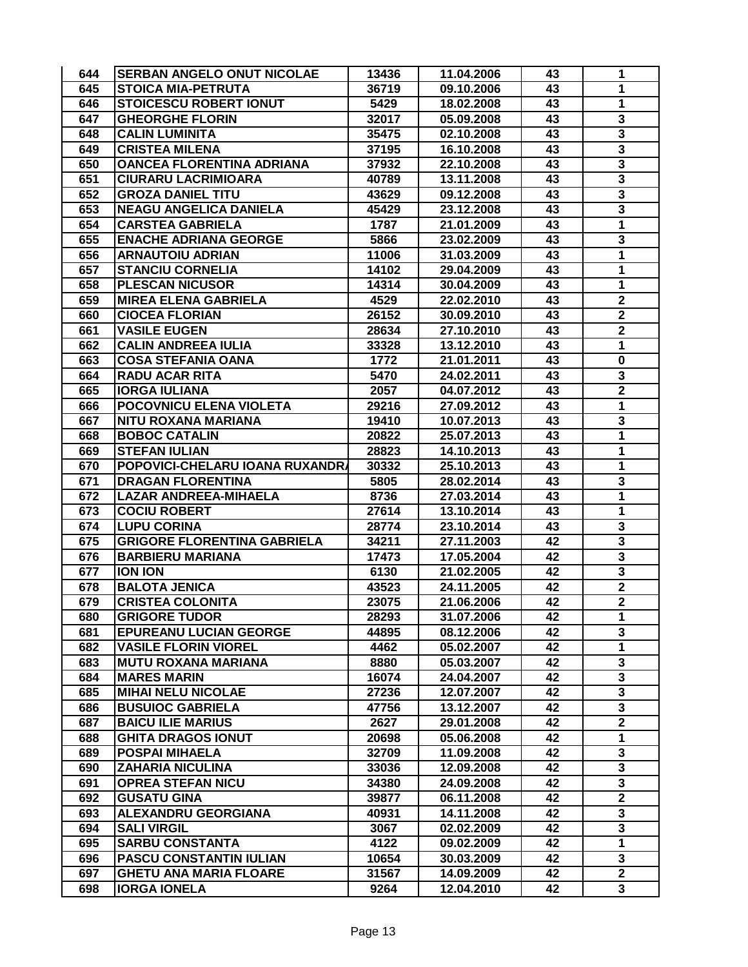| 644        | <b>SERBAN ANGELO ONUT NICOLAE</b>                     | 13436          | 11.04.2006               | 43       | 1                            |
|------------|-------------------------------------------------------|----------------|--------------------------|----------|------------------------------|
| 645        | <b>STOICA MIA-PETRUTA</b>                             | 36719          | 09.10.2006               | 43       | 1                            |
| 646        | <b>STOICESCU ROBERT IONUT</b>                         | 5429           | 18.02.2008               | 43       | $\mathbf{1}$                 |
| 647        | <b>GHEORGHE FLORIN</b>                                | 32017          | 05.09.2008               | 43       | 3                            |
| 648        | <b>CALIN LUMINITA</b>                                 | 35475          | 02.10.2008               | 43       | 3                            |
| 649        | <b>CRISTEA MILENA</b>                                 | 37195          | 16.10.2008               | 43       | $\overline{\mathbf{3}}$      |
| 650        | <b>OANCEA FLORENTINA ADRIANA</b>                      | 37932          | 22.10.2008               | 43       | $\overline{\mathbf{3}}$      |
| 651        | <b>CIURARU LACRIMIOARA</b>                            | 40789          | 13.11.2008               | 43       | 3                            |
| 652        | <b>GROZA DANIEL TITU</b>                              | 43629          | 09.12.2008               | 43       | $\overline{\mathbf{3}}$      |
| 653        | <b>NEAGU ANGELICA DANIELA</b>                         | 45429          | 23.12.2008               | 43       | $\overline{\mathbf{3}}$      |
| 654        | <b>CARSTEA GABRIELA</b>                               | 1787           | 21.01.2009               | 43       | $\mathbf{1}$                 |
| 655        | <b>ENACHE ADRIANA GEORGE</b>                          | 5866           | 23.02.2009               | 43       | 3                            |
| 656        | <b>ARNAUTOIU ADRIAN</b>                               | 11006          | 31.03.2009               | 43       | 1                            |
| 657        | <b>STANCIU CORNELIA</b>                               | 14102          | 29.04.2009               | 43       | 1                            |
| 658        | <b>PLESCAN NICUSOR</b>                                | 14314          | 30.04.2009               | 43       | 1                            |
| 659        | <b>MIREA ELENA GABRIELA</b>                           | 4529           | 22.02.2010               | 43       | $\overline{\mathbf{2}}$      |
| 660        | <b>CIOCEA FLORIAN</b>                                 | 26152          | 30.09.2010               | 43       | $\mathbf 2$                  |
| 661        | <b>VASILE EUGEN</b>                                   | 28634          | 27.10.2010               | 43       | $\mathbf 2$                  |
| 662        | <b>CALIN ANDREEA IULIA</b>                            | 33328          | 13.12.2010               | 43       | 1                            |
| 663        | <b>COSA STEFANIA OANA</b>                             | 1772           | 21.01.2011               | 43       | $\mathbf 0$                  |
| 664        | <b>RADU ACAR RITA</b>                                 | 5470           | 24.02.2011               | 43       | 3                            |
| 665        | <b>IORGA IULIANA</b>                                  | 2057           | 04.07.2012               | 43       | $\overline{\mathbf{2}}$      |
| 666        | POCOVNICU ELENA VIOLETA                               | 29216          | 27.09.2012               | 43       | 1                            |
| 667        | <b>NITU ROXANA MARIANA</b>                            | 19410          | 10.07.2013               | 43       | $\overline{\mathbf{3}}$      |
| 668        | <b>BOBOC CATALIN</b>                                  | 20822          | 25.07.2013               | 43       | 1                            |
| 669        | <b>STEFAN IULIAN</b>                                  | 28823          | 14.10.2013               | 43       | 1                            |
| 670        | POPOVICI-CHELARU IOANA RUXANDRA                       | 30332          | 25.10.2013               | 43       | $\mathbf{1}$                 |
| 671        | <b>DRAGAN FLORENTINA</b>                              | 5805           | 28.02.2014               | 43       | 3                            |
| 672        | <b>LAZAR ANDREEA-MIHAELA</b>                          | 8736           | 27.03.2014               | 43       | 1                            |
| 673        | <b>COCIU ROBERT</b>                                   | 27614          | 13.10.2014               | 43       | 1                            |
| 674        | <b>LUPU CORINA</b>                                    | 28774          | 23.10.2014               | 43       | 3                            |
| 675        | <b>GRIGORE FLORENTINA GABRIELA</b>                    | 34211          | 27.11.2003               | 42       | $\overline{\mathbf{3}}$      |
| 676        | <b>BARBIERU MARIANA</b>                               | 17473          | 17.05.2004               | 42       | $\overline{\mathbf{3}}$      |
| 677        | <b>ION ION</b>                                        | 6130           | 21.02.2005               | 42       | $\overline{\mathbf{3}}$      |
| 678        | <b>BALOTA JENICA</b>                                  | 43523          | 24.11.2005               | 42       | $\mathbf 2$                  |
| 679        | <b>CRISTEA COLONITA</b>                               | 23075          | 21.06.2006               | 42       | $\overline{\mathbf{2}}$      |
|            |                                                       |                |                          | 42       |                              |
| 680<br>681 | <b>GRIGORE TUDOR</b><br><b>EPUREANU LUCIAN GEORGE</b> | 28293<br>44895 | 31.07.2006<br>08.12.2006 | 42       | 1<br>3                       |
| 682        | <b>VASILE FLORIN VIOREL</b>                           | 4462           | 05.02.2007               | 42       | 1                            |
| 683        | <b>MUTU ROXANA MARIANA</b>                            | 8880           | 05.03.2007               | 42       | 3                            |
| 684        | <b>MARES MARIN</b>                                    | 16074          | 24.04.2007               | 42       | 3                            |
| 685        | <b>MIHAI NELU NICOLAE</b>                             | 27236          | 12.07.2007               | 42       | 3                            |
| 686        | <b>BUSUIOC GABRIELA</b>                               |                |                          | 42       | 3                            |
| 687        | <b>BAICU ILIE MARIUS</b>                              | 47756<br>2627  | 13.12.2007<br>29.01.2008 | 42       | $\mathbf{2}$                 |
| 688        | <b>GHITA DRAGOS IONUT</b>                             | 20698          | 05.06.2008               | 42       | $\mathbf{1}$                 |
|            | <b>POSPAI MIHAELA</b>                                 | 32709          |                          |          | 3                            |
| 689        | <b>ZAHARIA NICULINA</b>                               |                | 11.09.2008               | 42       |                              |
| 690<br>691 | <b>OPREA STEFAN NICU</b>                              | 33036<br>34380 | 12.09.2008<br>24.09.2008 | 42<br>42 | 3<br>$\overline{\mathbf{3}}$ |
| 692        | <b>GUSATU GINA</b>                                    |                |                          |          | $\overline{2}$               |
| 693        | <b>ALEXANDRU GEORGIANA</b>                            | 39877          | 06.11.2008               | 42<br>42 | $\overline{\mathbf{3}}$      |
| 694        |                                                       | 40931          | 14.11.2008               |          | $\overline{\mathbf{3}}$      |
|            | <b>SALI VIRGIL</b><br><b>SARBU CONSTANTA</b>          | 3067           | 02.02.2009               | 42       |                              |
| 695        |                                                       | 4122           | 09.02.2009               | 42       | $\mathbf 1$                  |
| 696        | <b>PASCU CONSTANTIN IULIAN</b>                        | 10654          | 30.03.2009               | 42       | 3<br>$\overline{2}$          |
| 697        | <b>GHETU ANA MARIA FLOARE</b>                         | 31567          | 14.09.2009               | 42       |                              |
| 698        | <b>IORGA IONELA</b>                                   | 9264           | 12.04.2010               | 42       | 3                            |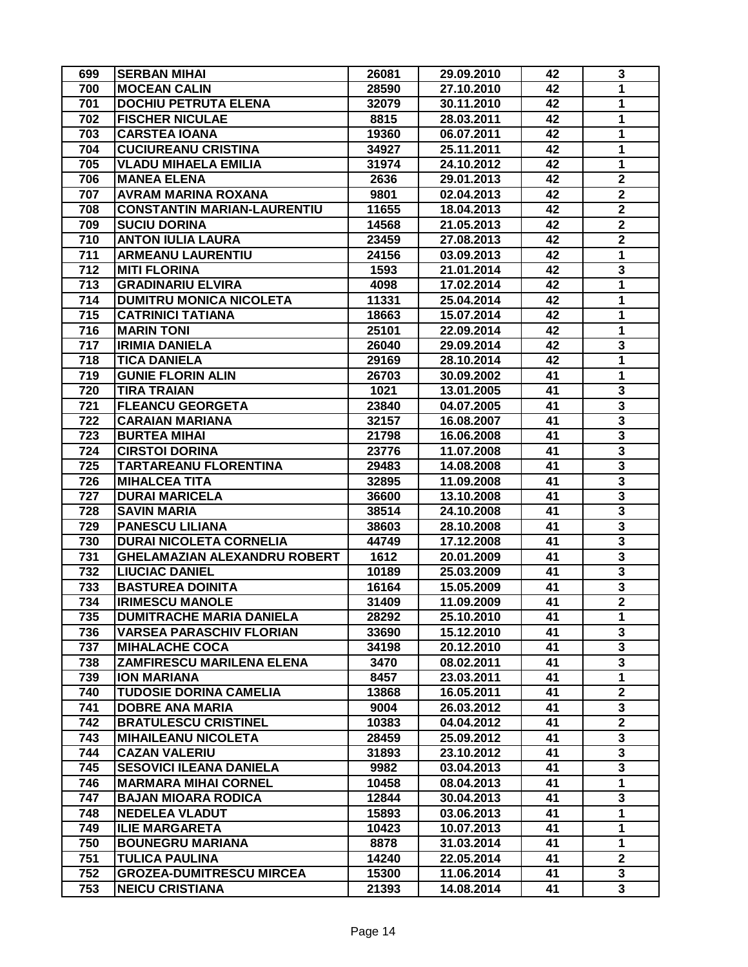| 699              | <b>SERBAN MIHAI</b>                 | 26081 | 29.09.2010 | 42 | 3                       |
|------------------|-------------------------------------|-------|------------|----|-------------------------|
| 700              | <b>MOCEAN CALIN</b>                 | 28590 | 27.10.2010 | 42 | 1                       |
| 701              | <b>DOCHIU PETRUTA ELENA</b>         | 32079 | 30.11.2010 | 42 | 1                       |
| 702              | <b>FISCHER NICULAE</b>              | 8815  | 28.03.2011 | 42 | 1                       |
| 703              | <b>CARSTEA IOANA</b>                | 19360 | 06.07.2011 | 42 | 1                       |
| 704              | <b>CUCIUREANU CRISTINA</b>          | 34927 | 25.11.2011 | 42 | 1                       |
| 705              | <b>VLADU MIHAELA EMILIA</b>         | 31974 | 24.10.2012 | 42 | 1                       |
| 706              | <b>MANEA ELENA</b>                  | 2636  | 29.01.2013 | 42 | $\overline{\mathbf{2}}$ |
| 707              | <b>AVRAM MARINA ROXANA</b>          | 9801  | 02.04.2013 | 42 | $\mathbf 2$             |
| 708              | <b>CONSTANTIN MARIAN-LAURENTIU</b>  | 11655 | 18.04.2013 | 42 | $\overline{2}$          |
| 709              | <b>SUCIU DORINA</b>                 | 14568 | 21.05.2013 | 42 | $\overline{\mathbf{2}}$ |
| 710              | <b>ANTON IULIA LAURA</b>            | 23459 | 27.08.2013 | 42 | $\overline{\mathbf{2}}$ |
| 711              | <b>ARMEANU LAURENTIU</b>            | 24156 | 03.09.2013 | 42 | 1                       |
| $\overline{712}$ | <b>MITI FLORINA</b>                 | 1593  | 21.01.2014 | 42 | 3                       |
| 713              | <b>GRADINARIU ELVIRA</b>            | 4098  | 17.02.2014 | 42 | 1                       |
| 714              | <b>DUMITRU MONICA NICOLETA</b>      | 11331 | 25.04.2014 | 42 | 1                       |
| 715              | <b>CATRINICI TATIANA</b>            | 18663 | 15.07.2014 | 42 | 1                       |
| 716              | <b>MARIN TONI</b>                   | 25101 | 22.09.2014 | 42 | 1                       |
| 717              | <b>IRIMIA DANIELA</b>               | 26040 | 29.09.2014 | 42 | 3                       |
| 718              | <b>TICA DANIELA</b>                 | 29169 | 28.10.2014 | 42 | 1                       |
| 719              | <b>GUNIE FLORIN ALIN</b>            | 26703 | 30.09.2002 | 41 | 1                       |
| 720              | <b>TIRA TRAIAN</b>                  | 1021  | 13.01.2005 | 41 | 3                       |
| 721              | <b>FLEANCU GEORGETA</b>             | 23840 | 04.07.2005 | 41 | $\overline{\mathbf{3}}$ |
| 722              | <b>CARAIAN MARIANA</b>              | 32157 | 16.08.2007 | 41 | $\overline{\mathbf{3}}$ |
| 723              | <b>BURTEA MIHAI</b>                 | 21798 | 16.06.2008 | 41 | 3                       |
| 724              | <b>CIRSTOI DORINA</b>               | 23776 | 11.07.2008 | 41 | 3                       |
| 725              | <b>TARTAREANU FLORENTINA</b>        | 29483 | 14.08.2008 | 41 | 3                       |
| 726              | <b>MIHALCEA TITA</b>                | 32895 | 11.09.2008 | 41 | $\overline{\mathbf{3}}$ |
| 727              | <b>DURAI MARICELA</b>               | 36600 | 13.10.2008 | 41 | $\overline{\mathbf{3}}$ |
| 728              | <b>SAVIN MARIA</b>                  | 38514 | 24.10.2008 | 41 | 3                       |
| 729              | <b>PANESCU LILIANA</b>              | 38603 | 28.10.2008 | 41 | $\overline{\mathbf{3}}$ |
| 730              | <b>DURAI NICOLETA CORNELIA</b>      | 44749 | 17.12.2008 | 41 | $\overline{\mathbf{3}}$ |
| 731              | <b>GHELAMAZIAN ALEXANDRU ROBERT</b> | 1612  | 20.01.2009 | 41 | $\overline{\mathbf{3}}$ |
| 732              | <b>LIUCIAC DANIEL</b>               | 10189 | 25.03.2009 | 41 | 3                       |
| 733              | <b>BASTUREA DOINITA</b>             | 16164 | 15.05.2009 | 41 | $\overline{\mathbf{3}}$ |
| 734              | <b>IRIMESCU MANOLE</b>              | 31409 | 11.09.2009 | 41 | $\overline{\mathbf{2}}$ |
| 735              | <b>DUMITRACHE MARIA DANIELA</b>     | 28292 | 25.10.2010 | 41 | 1                       |
| 736              | <b>VARSEA PARASCHIV FLORIAN</b>     | 33690 | 15.12.2010 | 41 | 3                       |
| 737              | <b>MIHALACHE COCA</b>               | 34198 | 20.12.2010 | 41 | $\overline{\mathbf{3}}$ |
| 738              | ZAMFIRESCU MARILENA ELENA           | 3470  | 08.02.2011 | 41 | 3                       |
| 739              | <b>ION MARIANA</b>                  | 8457  | 23.03.2011 | 41 | $\mathbf{1}$            |
| 740              | <b>TUDOSIE DORINA CAMELIA</b>       | 13868 | 16.05.2011 | 41 | $\mathbf 2$             |
| 741              | <b>DOBRE ANA MARIA</b>              | 9004  | 26.03.2012 | 41 | 3                       |
| 742              | <b>BRATULESCU CRISTINEL</b>         | 10383 | 04.04.2012 | 41 | $\overline{\mathbf{2}}$ |
| 743              | <b>MIHAILEANU NICOLETA</b>          | 28459 | 25.09.2012 | 41 | 3                       |
| 744              | <b>CAZAN VALERIU</b>                | 31893 | 23.10.2012 | 41 | 3                       |
| 745              | <b>SESOVICI ILEANA DANIELA</b>      | 9982  | 03.04.2013 | 41 | $\overline{\mathbf{3}}$ |
| 746              | <b>MARMARA MIHAI CORNEL</b>         | 10458 | 08.04.2013 | 41 | $\overline{1}$          |
| 747              | <b>BAJAN MIOARA RODICA</b>          | 12844 | 30.04.2013 | 41 | 3                       |
| 748              | <b>NEDELEA VLADUT</b>               | 15893 | 03.06.2013 | 41 | $\mathbf 1$             |
| 749              | <b>ILIE MARGARETA</b>               | 10423 | 10.07.2013 | 41 | 1                       |
| 750              | <b>BOUNEGRU MARIANA</b>             | 8878  | 31.03.2014 | 41 | $\mathbf{1}$            |
| 751              | <b>TULICA PAULINA</b>               | 14240 | 22.05.2014 | 41 | $\overline{2}$          |
| 752              | <b>GROZEA-DUMITRESCU MIRCEA</b>     | 15300 | 11.06.2014 | 41 | 3                       |
| 753              | <b>NEICU CRISTIANA</b>              | 21393 | 14.08.2014 | 41 | $\overline{\mathbf{3}}$ |
|                  |                                     |       |            |    |                         |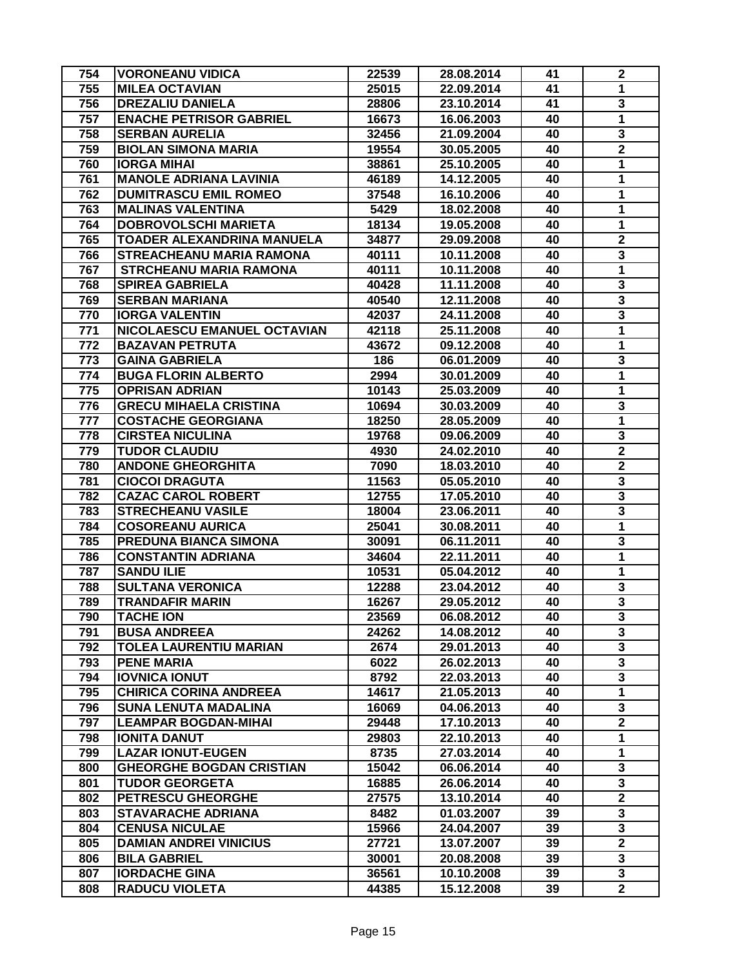| 754 | <b>VORONEANU VIDICA</b>         | 22539 | 28.08.2014 | 41 | $\boldsymbol{2}$        |
|-----|---------------------------------|-------|------------|----|-------------------------|
| 755 | <b>MILEA OCTAVIAN</b>           | 25015 | 22.09.2014 | 41 | $\mathbf{1}$            |
| 756 | <b>DREZALIU DANIELA</b>         | 28806 | 23.10.2014 | 41 | 3                       |
| 757 | <b>ENACHE PETRISOR GABRIEL</b>  | 16673 | 16.06.2003 | 40 | 1                       |
| 758 | <b>SERBAN AURELIA</b>           | 32456 | 21.09.2004 | 40 | 3                       |
| 759 | <b>BIOLAN SIMONA MARIA</b>      | 19554 | 30.05.2005 | 40 | $\overline{\mathbf{2}}$ |
| 760 | <b>IORGA MIHAI</b>              | 38861 | 25.10.2005 | 40 | 1                       |
| 761 | <b>MANOLE ADRIANA LAVINIA</b>   | 46189 | 14.12.2005 | 40 | $\mathbf{1}$            |
| 762 | <b>DUMITRASCU EMIL ROMEO</b>    | 37548 | 16.10.2006 | 40 | 1                       |
| 763 | <b>MALINAS VALENTINA</b>        | 5429  | 18.02.2008 | 40 | $\mathbf{1}$            |
| 764 | <b>DOBROVOLSCHI MARIETA</b>     | 18134 | 19.05.2008 | 40 | $\overline{1}$          |
| 765 | TOADER ALEXANDRINA MANUELA      | 34877 | 29.09.2008 | 40 | $\overline{\mathbf{2}}$ |
| 766 | <b>STREACHEANU MARIA RAMONA</b> | 40111 | 10.11.2008 | 40 | 3                       |
| 767 | <b>STRCHEANU MARIA RAMONA</b>   | 40111 | 10.11.2008 | 40 | $\overline{\mathbf{1}}$ |
| 768 | <b>SPIREA GABRIELA</b>          | 40428 | 11.11.2008 | 40 | $\overline{\mathbf{3}}$ |
| 769 | <b>SERBAN MARIANA</b>           | 40540 | 12.11.2008 | 40 | $\overline{\mathbf{3}}$ |
| 770 | <b>IORGA VALENTIN</b>           | 42037 | 24.11.2008 | 40 | $\overline{\mathbf{3}}$ |
| 771 | NICOLAESCU EMANUEL OCTAVIAN     | 42118 | 25.11.2008 | 40 | 1                       |
| 772 | <b>BAZAVAN PETRUTA</b>          | 43672 | 09.12.2008 | 40 | 1                       |
| 773 | <b>GAINA GABRIELA</b>           | 186   | 06.01.2009 | 40 | $\overline{\mathbf{3}}$ |
| 774 | <b>BUGA FLORIN ALBERTO</b>      | 2994  | 30.01.2009 | 40 | 1                       |
| 775 | <b>OPRISAN ADRIAN</b>           | 10143 | 25.03.2009 | 40 | 1                       |
| 776 | <b>GRECU MIHAELA CRISTINA</b>   | 10694 | 30.03.2009 | 40 | $\overline{\mathbf{3}}$ |
| 777 | <b>COSTACHE GEORGIANA</b>       | 18250 | 28.05.2009 | 40 | $\mathbf{1}$            |
| 778 | <b>CIRSTEA NICULINA</b>         | 19768 | 09.06.2009 | 40 | 3                       |
| 779 | <b>TUDOR CLAUDIU</b>            | 4930  | 24.02.2010 | 40 | $\mathbf 2$             |
| 780 | <b>ANDONE GHEORGHITA</b>        | 7090  | 18.03.2010 | 40 | $\overline{\mathbf{2}}$ |
| 781 | <b>CIOCOI DRAGUTA</b>           | 11563 | 05.05.2010 | 40 | $\overline{\mathbf{3}}$ |
| 782 | <b>CAZAC CAROL ROBERT</b>       | 12755 | 17.05.2010 | 40 | $\overline{\mathbf{3}}$ |
| 783 | <b>STRECHEANU VASILE</b>        | 18004 | 23.06.2011 | 40 | 3                       |
| 784 | <b>COSOREANU AURICA</b>         | 25041 | 30.08.2011 | 40 | $\overline{1}$          |
| 785 | PREDUNA BIANCA SIMONA           | 30091 | 06.11.2011 | 40 | 3                       |
| 786 | <b>CONSTANTIN ADRIANA</b>       | 34604 | 22.11.2011 | 40 | 1                       |
| 787 | <b>SANDU ILIE</b>               | 10531 | 05.04.2012 | 40 | $\mathbf{1}$            |
| 788 | <b>SULTANA VERONICA</b>         | 12288 | 23.04.2012 | 40 | ${\bf 3}$               |
| 789 | <b>TRANDAFIR MARIN</b>          | 16267 | 29.05.2012 | 40 | $\overline{\mathbf{3}}$ |
| 790 | <b>TACHE ION</b>                | 23569 | 06.08.2012 | 40 | 3                       |
| 791 | <b>BUSA ANDREEA</b>             | 24262 | 14.08.2012 | 40 | 3                       |
| 792 | <b>TOLEA LAURENTIU MARIAN</b>   | 2674  | 29.01.2013 | 40 | $\overline{\mathbf{3}}$ |
| 793 | <b>PENE MARIA</b>               | 6022  | 26.02.2013 | 40 | 3                       |
| 794 | <b>IOVNICA IONUT</b>            | 8792  | 22.03.2013 | 40 | 3                       |
| 795 | <b>CHIRICA CORINA ANDREEA</b>   | 14617 | 21.05.2013 | 40 | $\mathbf{1}$            |
| 796 | <b>SUNA LENUTA MADALINA</b>     | 16069 | 04.06.2013 | 40 | 3                       |
| 797 | <b>LEAMPAR BOGDAN-MIHAI</b>     | 29448 | 17.10.2013 | 40 | $\overline{\mathbf{2}}$ |
| 798 | <b>IONITA DANUT</b>             | 29803 | 22.10.2013 | 40 | 1                       |
| 799 | <b>LAZAR IONUT-EUGEN</b>        | 8735  | 27.03.2014 | 40 | 1                       |
| 800 | <b>GHEORGHE BOGDAN CRISTIAN</b> | 15042 | 06.06.2014 | 40 | $\overline{\mathbf{3}}$ |
| 801 | <b>TUDOR GEORGETA</b>           | 16885 | 26.06.2014 | 40 | 3                       |
| 802 | <b>PETRESCU GHEORGHE</b>        | 27575 | 13.10.2014 | 40 | $\overline{2}$          |
| 803 | <b>STAVARACHE ADRIANA</b>       | 8482  | 01.03.2007 | 39 | 3                       |
| 804 | <b>CENUSA NICULAE</b>           | 15966 | 24.04.2007 | 39 | $\overline{\mathbf{3}}$ |
| 805 | <b>DAMIAN ANDREI VINICIUS</b>   | 27721 | 13.07.2007 | 39 | $\overline{\mathbf{2}}$ |
| 806 | <b>BILA GABRIEL</b>             | 30001 | 20.08.2008 | 39 | 3                       |
| 807 | <b>IORDACHE GINA</b>            | 36561 | 10.10.2008 | 39 | 3                       |
| 808 | <b>RADUCU VIOLETA</b>           | 44385 | 15.12.2008 | 39 | $\overline{2}$          |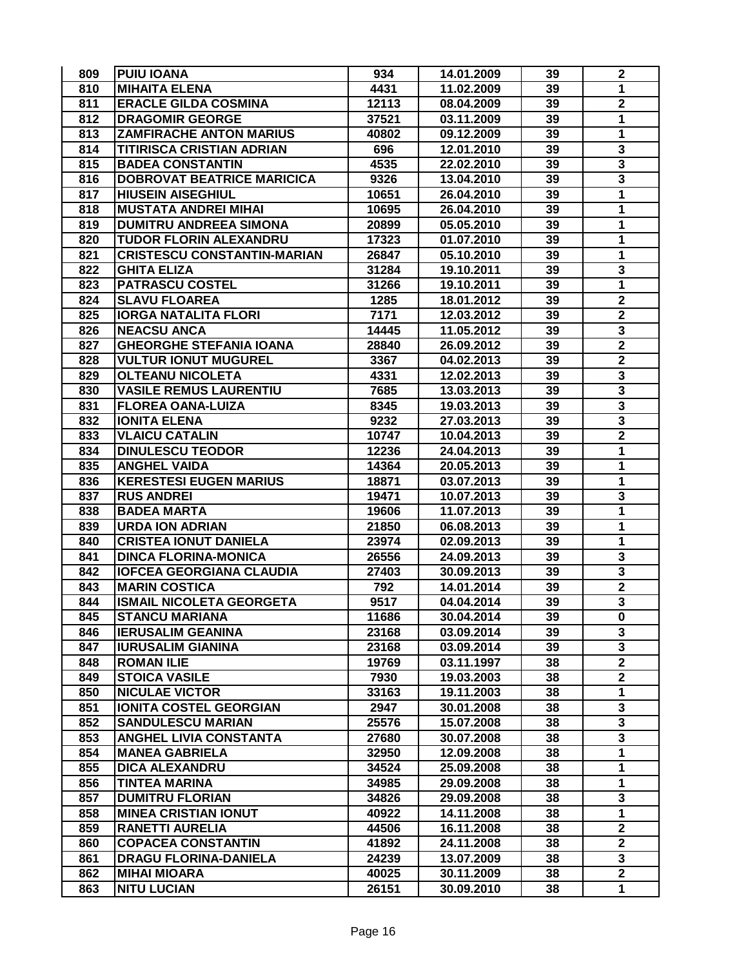| 809        | <b>PUIU IOANA</b>                            | 934   | 14.01.2009 | 39       | $\mathbf 2$                  |
|------------|----------------------------------------------|-------|------------|----------|------------------------------|
| 810        | <b>MIHAITA ELENA</b>                         | 4431  | 11.02.2009 | 39       | 1                            |
| 811        | <b>ERACLE GILDA COSMINA</b>                  | 12113 | 08.04.2009 | 39       | $\overline{2}$               |
| 812        | <b>DRAGOMIR GEORGE</b>                       | 37521 | 03.11.2009 | 39       | 1                            |
| 813        | <b>ZAMFIRACHE ANTON MARIUS</b>               | 40802 | 09.12.2009 | 39       | 1                            |
| 814        | <b>TITIRISCA CRISTIAN ADRIAN</b>             | 696   | 12.01.2010 | 39       | 3                            |
| 815        | <b>BADEA CONSTANTIN</b>                      | 4535  | 22.02.2010 | 39       | $\overline{\mathbf{3}}$      |
| 816        | <b>DOBROVAT BEATRICE MARICICA</b>            | 9326  | 13.04.2010 | 39       | 3                            |
| 817        | <b>HIUSEIN AISEGHIUL</b>                     | 10651 | 26.04.2010 | 39       | $\mathbf{1}$                 |
| 818        | <b>MUSTATA ANDREI MIHAI</b>                  | 10695 | 26.04.2010 | 39       | 1                            |
| 819        | <b>DUMITRU ANDREEA SIMONA</b>                | 20899 | 05.05.2010 | 39       | 1                            |
| 820        | TUDOR FLORIN ALEXANDRU                       | 17323 | 01.07.2010 | 39       | 1                            |
| 821        | <b>CRISTESCU CONSTANTIN-MARIAN</b>           | 26847 | 05.10.2010 | 39       | 1                            |
| 822        | <b>GHITA ELIZA</b>                           | 31284 | 19.10.2011 | 39       | 3                            |
| 823        | <b>PATRASCU COSTEL</b>                       | 31266 | 19.10.2011 | 39       | $\overline{\mathbf{1}}$      |
| 824        | <b>SLAVU FLOAREA</b>                         | 1285  | 18.01.2012 | 39       | $\mathbf 2$                  |
| 825        | <b>IORGA NATALITA FLORI</b>                  | 7171  | 12.03.2012 | 39       | $\boldsymbol{2}$             |
| 826        | <b>NEACSU ANCA</b>                           | 14445 | 11.05.2012 | 39       | 3                            |
| 827        | <b>GHEORGHE STEFANIA IOANA</b>               | 28840 | 26.09.2012 | 39       | $\overline{\mathbf{2}}$      |
| 828        | <b>VULTUR IONUT MUGUREL</b>                  | 3367  | 04.02.2013 | 39       | $\overline{\mathbf{2}}$      |
| 829        | <b>OLTEANU NICOLETA</b>                      | 4331  | 12.02.2013 | 39       | 3                            |
| 830        | <b>VASILE REMUS LAURENTIU</b>                | 7685  | 13.03.2013 | 39       | $\overline{\mathbf{3}}$      |
| 831        | <b>FLOREA OANA-LUIZA</b>                     | 8345  | 19.03.2013 | 39       | 3                            |
| 832        | <b>IONITA ELENA</b>                          | 9232  | 27.03.2013 | 39       | 3                            |
| 833        | <b>VLAICU CATALIN</b>                        | 10747 | 10.04.2013 | 39       | $\mathbf 2$                  |
| 834        | <b>DINULESCU TEODOR</b>                      | 12236 | 24.04.2013 | 39       | $\mathbf{1}$                 |
| 835        | <b>ANGHEL VAIDA</b>                          |       |            |          | 1                            |
|            |                                              | 14364 | 20.05.2013 | 39<br>39 | 1                            |
| 836<br>837 | <b>KERESTESI EUGEN MARIUS</b>                | 18871 | 03.07.2013 | 39       |                              |
| 838        | <b>RUS ANDREI</b>                            | 19471 | 10.07.2013 | 39       | 3<br>$\overline{\mathbf{1}}$ |
|            | <b>BADEA MARTA</b><br><b>URDA ION ADRIAN</b> | 19606 | 11.07.2013 |          |                              |
| 839        |                                              | 21850 | 06.08.2013 | 39       | 1                            |
| 840        | <b>CRISTEA IONUT DANIELA</b>                 | 23974 | 02.09.2013 | 39       | 1                            |
| 841        | <b>DINCA FLORINA-MONICA</b>                  | 26556 | 24.09.2013 | 39       | 3<br>$\overline{\mathbf{3}}$ |
| 842        | <b>IOFCEA GEORGIANA CLAUDIA</b>              | 27403 | 30.09.2013 | 39       |                              |
| 843        | <b>MARIN COSTICA</b>                         | 792   | 14.01.2014 | 39       | $\mathbf 2$                  |
| 844        | <b>ISMAIL NICOLETA GEORGETA</b>              | 9517  | 04.04.2014 | 39       | 3                            |
| 845        | <b>STANCU MARIANA</b>                        | 11686 | 30.04.2014 | 39       | 0                            |
| 846        | <b>IERUSALIM GEANINA</b>                     | 23168 | 03.09.2014 | 39       | 3                            |
| 847        | <b>IURUSALIM GIANINA</b>                     | 23168 | 03.09.2014 | 39       | 3                            |
| 848        | <b>ROMAN ILIE</b>                            | 19769 | 03.11.1997 | 38       | $\overline{2}$               |
| 849        | <b>STOICA VASILE</b>                         | 7930  | 19.03.2003 | 38       | $\mathbf{2}$                 |
| 850        | <b>NICULAE VICTOR</b>                        | 33163 | 19.11.2003 | 38       | $\mathbf{1}$                 |
| 851        | <b>IONITA COSTEL GEORGIAN</b>                | 2947  | 30.01.2008 | 38       | 3                            |
| 852        | <b>SANDULESCU MARIAN</b>                     | 25576 | 15.07.2008 | 38       | 3                            |
| 853        | <b>ANGHEL LIVIA CONSTANTA</b>                | 27680 | 30.07.2008 | 38       | 3                            |
| 854        | <b>MANEA GABRIELA</b>                        | 32950 | 12.09.2008 | 38       | 1                            |
| 855        | <b>DICA ALEXANDRU</b>                        | 34524 | 25.09.2008 | 38       | 1                            |
| 856        | <b>TINTEA MARINA</b>                         | 34985 | 29.09.2008 | 38       | $\mathbf{1}$                 |
| 857        | <b>DUMITRU FLORIAN</b>                       | 34826 | 29.09.2008 | 38       | 3                            |
| 858        | <b>MINEA CRISTIAN IONUT</b>                  | 40922 | 14.11.2008 | 38       | $\mathbf 1$                  |
| 859        | <b>RANETTI AURELIA</b>                       | 44506 | 16.11.2008 | 38       | $\overline{\mathbf{2}}$      |
| 860        | <b>COPACEA CONSTANTIN</b>                    | 41892 | 24.11.2008 | 38       | $\overline{2}$               |
| 861        | <b>DRAGU FLORINA-DANIELA</b>                 | 24239 | 13.07.2009 | 38       | 3                            |
| 862        | <b>MIHAI MIOARA</b>                          | 40025 | 30.11.2009 | 38       | $\overline{2}$               |
| 863        | <b>NITU LUCIAN</b>                           | 26151 | 30.09.2010 | 38       | 1                            |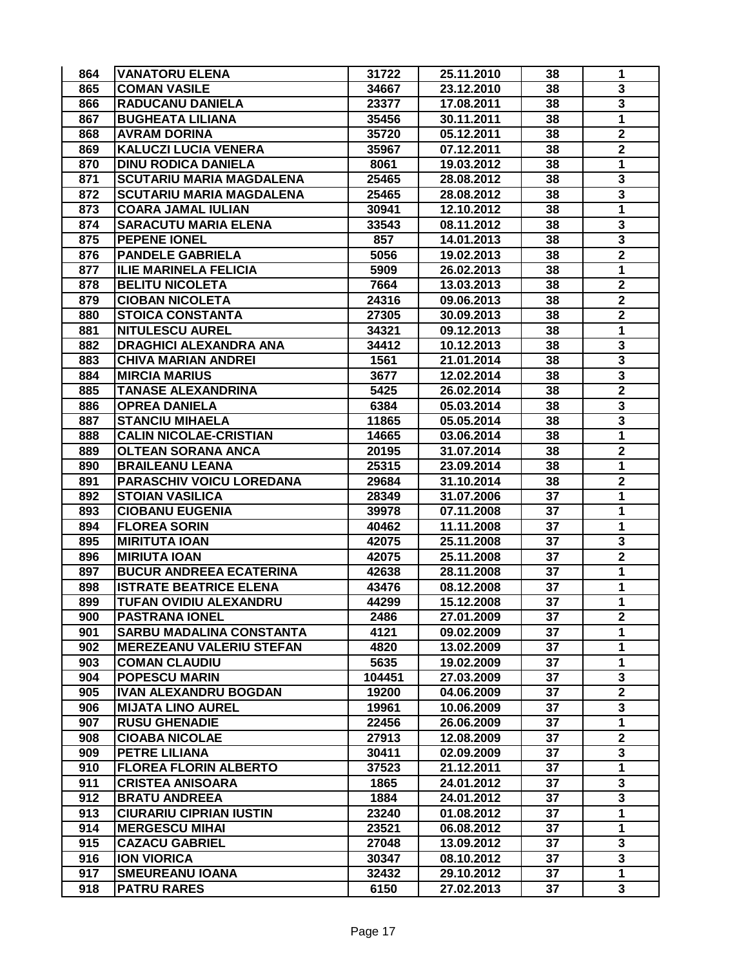| 865<br>38<br><b>COMAN VASILE</b><br>34667<br>23.12.2010             |                         |
|---------------------------------------------------------------------|-------------------------|
|                                                                     | 3                       |
| 866<br><b>RADUCANU DANIELA</b><br>38<br>23377<br>17.08.2011         | $\overline{\mathbf{3}}$ |
| 867<br><b>BUGHEATA LILIANA</b><br>35456<br>30.11.2011<br>38         | 1                       |
| 35720<br>868<br><b>AVRAM DORINA</b><br>05.12.2011<br>38             | $\mathbf 2$             |
| 869<br><b>KALUCZI LUCIA VENERA</b><br>07.12.2011<br>38<br>35967     | $\overline{\mathbf{2}}$ |
| 870<br><b>DINU RODICA DANIELA</b><br>19.03.2012<br>38<br>8061       | 1                       |
| 871<br><b>SCUTARIU MARIA MAGDALENA</b><br>25465<br>28.08.2012<br>38 | 3                       |
| 872<br><b>SCUTARIU MARIA MAGDALENA</b><br>25465<br>28.08.2012<br>38 | 3                       |
| 873<br><b>COARA JAMAL IULIAN</b><br>38<br>30941<br>12.10.2012       | $\mathbf{1}$            |
| 874<br><b>SARACUTU MARIA ELENA</b><br>08.11.2012<br>33543<br>38     | 3                       |
| 875<br><b>PEPENE IONEL</b><br>857<br>14.01.2013<br>38               | 3                       |
| 876<br><b>PANDELE GABRIELA</b><br>5056<br>19.02.2013<br>38          | $\mathbf 2$             |
| 877<br><b>ILIE MARINELA FELICIA</b><br>5909<br>38<br>26.02.2013     | 1                       |
| 878<br>38<br><b>BELITU NICOLETA</b><br>7664<br>13.03.2013           | $\overline{\mathbf{2}}$ |
| 879<br>38<br><b>CIOBAN NICOLETA</b><br>24316<br>09.06.2013          | $\mathbf 2$             |
| 880<br>38<br><b>STOICA CONSTANTA</b><br>27305<br>30.09.2013         | $\mathbf 2$             |
| 881<br><b>NITULESCU AUREL</b><br>38<br>34321<br>09.12.2013          | 1                       |
| 882<br>38<br><b>DRAGHICI ALEXANDRA ANA</b><br>34412<br>10.12.2013   | $\overline{\mathbf{3}}$ |
| 883<br><b>CHIVA MARIAN ANDREI</b><br>1561<br>38<br>21.01.2014       | 3                       |
| 884<br><b>MIRCIA MARIUS</b><br>3677<br>38<br>12.02.2014             | 3                       |
| 885<br><b>TANASE ALEXANDRINA</b><br>5425<br>26.02.2014<br>38        | $\mathbf 2$             |
| 886<br><b>OPREA DANIELA</b><br>6384<br>05.03.2014<br>38             | 3                       |
| 887<br><b>STANCIU MIHAELA</b><br>11865<br>05.05.2014<br>38          | 3                       |
| <b>CALIN NICOLAE-CRISTIAN</b><br>888<br>14665<br>03.06.2014<br>38   | 1                       |
| 889<br><b>OLTEAN SORANA ANCA</b><br>20195<br>31.07.2014<br>38       | $\mathbf 2$             |
| 890<br><b>BRAILEANU LEANA</b><br>38<br>25315<br>23.09.2014          | $\mathbf{1}$            |
| PARASCHIV VOICU LOREDANA<br>31.10.2014<br>38<br>891<br>29684        | $\mathbf 2$             |
| 37<br>892<br><b>STOIAN VASILICA</b><br>28349<br>31.07.2006          | 1                       |
| 893<br><b>CIOBANU EUGENIA</b><br>39978<br>07.11.2008<br>37          | 1                       |
| 894<br><b>FLOREA SORIN</b><br>37<br>40462<br>11.11.2008             | 1                       |
| 895<br><b>MIRITUTA IOAN</b><br>37<br>42075<br>25.11.2008            | 3                       |
| 896<br><b>MIRIUTA IOAN</b><br>42075<br>37<br>25.11.2008             | $\overline{\mathbf{2}}$ |
| 897<br>37<br><b>BUCUR ANDREEA ECATERINA</b><br>42638<br>28.11.2008  | 1                       |
| 37<br>898<br><b>ISTRATE BEATRICE ELENA</b><br>43476<br>08.12.2008   | $\mathbf{1}$            |
| 899<br>TUFAN OVIDIU ALEXANDRU<br>15.12.2008<br>37<br>44299          | $\mathbf{1}$            |
| 900<br><b>PASTRANA IONEL</b><br>2486<br>27.01.2009<br>37            | 2                       |
| 901<br><b>SARBU MADALINA CONSTANTA</b><br>4121<br>09.02.2009<br>37  | 1                       |
| 902<br><b>MEREZEANU VALERIU STEFAN</b><br>4820<br>37<br>13.02.2009  | $\mathbf{1}$            |
| 903<br><b>COMAN CLAUDIU</b><br>37<br>5635<br>19.02.2009             | $\mathbf{1}$            |
| 904<br>37<br><b>POPESCU MARIN</b><br>104451<br>27.03.2009           | 3                       |
| 905<br>37<br><b>IVAN ALEXANDRU BOGDAN</b><br>19200<br>04.06.2009    | $\mathbf 2$             |
| 906<br>37<br><b>MIJATA LINO AUREL</b><br>10.06.2009<br>19961        | $\mathbf{3}$            |
| 907<br><b>RUSU GHENADIE</b><br>22456<br>26.06.2009<br>37            | $\mathbf{1}$            |
| 908<br><b>CIOABA NICOLAE</b><br>27913<br>12.08.2009<br>37           | $\mathbf 2$             |
| 909<br><b>PETRE LILIANA</b><br>30411<br>02.09.2009<br>37            | 3                       |
| 37<br>910<br><b>FLOREA FLORIN ALBERTO</b><br>37523<br>21.12.2011    | $\overline{1}$          |
| 911<br><b>CRISTEA ANISOARA</b><br>1865<br>24.01.2012<br>37          | 3                       |
| 912<br><b>BRATU ANDREEA</b><br>37<br>1884<br>24.01.2012             | $\overline{\mathbf{3}}$ |
| 913<br>37<br><b>CIURARIU CIPRIAN IUSTIN</b><br>23240<br>01.08.2012  | 1                       |
| 914<br>23521<br>37<br><b>MERGESCU MIHAI</b><br>06.08.2012           | 1                       |
| 915<br><b>CAZACU GABRIEL</b><br>27048<br>37<br>13.09.2012           | 3                       |
| 916<br><b>ION VIORICA</b><br>30347<br>37<br>08.10.2012              | 3                       |
| 917<br><b>SMEUREANU IOANA</b><br>32432<br>29.10.2012<br>37          | 1                       |
| 918<br><b>PATRU RARES</b><br>6150<br>27.02.2013<br>37               | $\overline{\mathbf{3}}$ |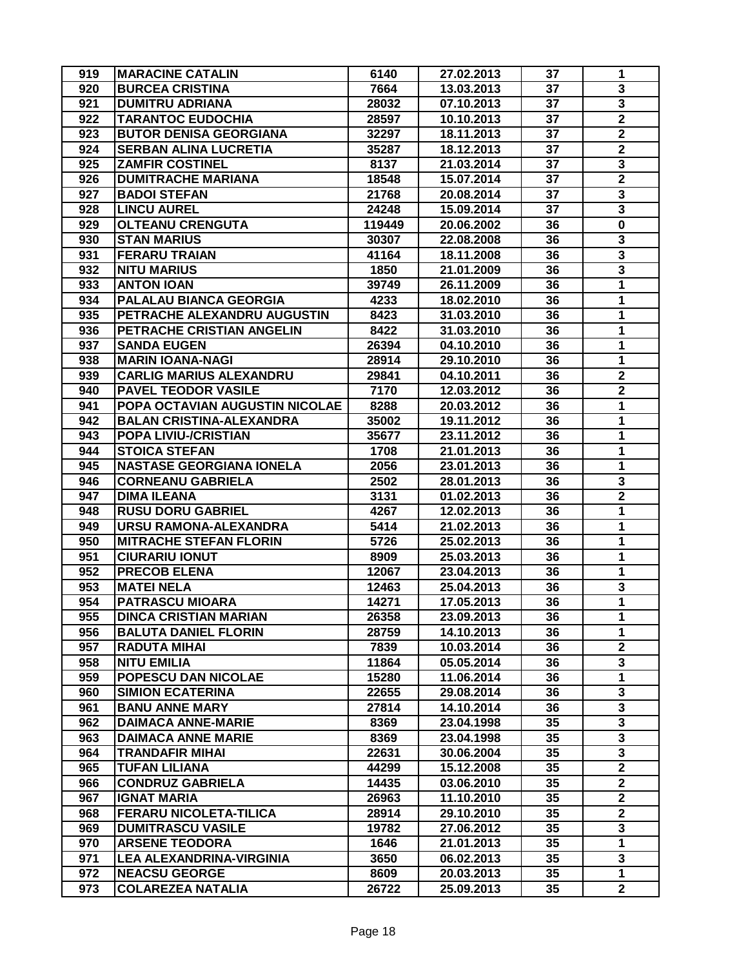| 919 | <b>MARACINE CATALIN</b>         | 6140   | 27.02.2013 | 37 | 1                       |
|-----|---------------------------------|--------|------------|----|-------------------------|
| 920 | <b>BURCEA CRISTINA</b>          | 7664   | 13.03.2013 | 37 | 3                       |
| 921 | <b>DUMITRU ADRIANA</b>          | 28032  | 07.10.2013 | 37 | $\overline{\mathbf{3}}$ |
| 922 | <b>TARANTOC EUDOCHIA</b>        | 28597  | 10.10.2013 | 37 | $\mathbf 2$             |
| 923 | <b>BUTOR DENISA GEORGIANA</b>   | 32297  | 18.11.2013 | 37 | $\mathbf 2$             |
| 924 | <b>SERBAN ALINA LUCRETIA</b>    | 35287  | 18.12.2013 | 37 | $\overline{\mathbf{2}}$ |
| 925 | <b>ZAMFIR COSTINEL</b>          | 8137   | 21.03.2014 | 37 | 3                       |
| 926 | <b>DUMITRACHE MARIANA</b>       | 18548  | 15.07.2014 | 37 | $\overline{\mathbf{2}}$ |
| 927 | <b>BADOI STEFAN</b>             | 21768  | 20.08.2014 | 37 | $\overline{\mathbf{3}}$ |
| 928 | <b>LINCU AUREL</b>              | 24248  | 15.09.2014 | 37 | $\overline{\mathbf{3}}$ |
| 929 | <b>OLTEANU CRENGUTA</b>         | 119449 | 20.06.2002 | 36 | $\mathbf 0$             |
| 930 | <b>STAN MARIUS</b>              | 30307  | 22.08.2008 | 36 | 3                       |
| 931 | <b>FERARU TRAIAN</b>            | 41164  | 18.11.2008 | 36 | 3                       |
| 932 | <b>NITU MARIUS</b>              | 1850   | 21.01.2009 | 36 | 3                       |
| 933 | <b>ANTON IOAN</b>               | 39749  | 26.11.2009 | 36 | 1                       |
| 934 | PALALAU BIANCA GEORGIA          | 4233   | 18.02.2010 | 36 | 1                       |
| 935 | PETRACHE ALEXANDRU AUGUSTIN     | 8423   | 31.03.2010 | 36 | 1                       |
| 936 | PETRACHE CRISTIAN ANGELIN       | 8422   | 31.03.2010 | 36 | 1                       |
| 937 | <b>SANDA EUGEN</b>              | 26394  | 04.10.2010 | 36 | 1                       |
| 938 | <b>MARIN IOANA-NAGI</b>         | 28914  | 29.10.2010 | 36 | $\mathbf{1}$            |
| 939 | <b>CARLIG MARIUS ALEXANDRU</b>  | 29841  | 04.10.2011 | 36 | $\mathbf 2$             |
| 940 | <b>PAVEL TEODOR VASILE</b>      | 7170   | 12.03.2012 | 36 | $\mathbf 2$             |
| 941 | POPA OCTAVIAN AUGUSTIN NICOLAE  | 8288   | 20.03.2012 | 36 | 1                       |
| 942 | <b>BALAN CRISTINA-ALEXANDRA</b> | 35002  | 19.11.2012 | 36 | 1                       |
| 943 | POPA LIVIU-/CRISTIAN            | 35677  | 23.11.2012 | 36 | 1                       |
| 944 | <b>STOICA STEFAN</b>            | 1708   | 21.01.2013 | 36 | 1                       |
| 945 | <b>NASTASE GEORGIANA IONELA</b> | 2056   | 23.01.2013 | 36 | $\mathbf{1}$            |
| 946 | <b>CORNEANU GABRIELA</b>        | 2502   | 28.01.2013 | 36 | 3                       |
| 947 | <b>DIMA ILEANA</b>              | 3131   | 01.02.2013 | 36 | $\mathbf 2$             |
| 948 | <b>RUSU DORU GABRIEL</b>        | 4267   | 12.02.2013 | 36 | 1                       |
| 949 | URSU RAMONA-ALEXANDRA           | 5414   | 21.02.2013 | 36 | 1                       |
| 950 | <b>MITRACHE STEFAN FLORIN</b>   | 5726   | 25.02.2013 | 36 | 1                       |
| 951 | <b>CIURARIU IONUT</b>           | 8909   | 25.03.2013 | 36 | 1                       |
| 952 | <b>PRECOB ELENA</b>             | 12067  | 23.04.2013 | 36 | 1                       |
| 953 | <b>MATEI NELA</b>               | 12463  | 25.04.2013 | 36 | 3                       |
| 954 | <b>PATRASCU MIOARA</b>          | 14271  | 17.05.2013 | 36 | $\mathbf{1}$            |
| 955 | <b>DINCA CRISTIAN MARIAN</b>    | 26358  | 23.09.2013 | 36 | 1                       |
| 956 | <b>BALUTA DANIEL FLORIN</b>     | 28759  | 14.10.2013 | 36 | 1                       |
| 957 | <b>RADUTA MIHAI</b>             | 7839   | 10.03.2014 | 36 | $\overline{2}$          |
| 958 | <b>NITU EMILIA</b>              | 11864  | 05.05.2014 | 36 | 3                       |
| 959 | POPESCU DAN NICOLAE             | 15280  | 11.06.2014 | 36 | $\mathbf{1}$            |
| 960 | <b>SIMION ECATERINA</b>         | 22655  | 29.08.2014 | 36 | 3                       |
| 961 | <b>BANU ANNE MARY</b>           | 27814  | 14.10.2014 | 36 | 3                       |
| 962 | <b>DAIMACA ANNE-MARIE</b>       | 8369   | 23.04.1998 | 35 | 3                       |
| 963 | <b>DAIMACA ANNE MARIE</b>       | 8369   | 23.04.1998 | 35 | 3                       |
| 964 | <b>TRANDAFIR MIHAI</b>          | 22631  | 30.06.2004 | 35 | 3                       |
| 965 | <b>TUFAN LILIANA</b>            | 44299  | 15.12.2008 | 35 | $\overline{2}$          |
| 966 | <b>CONDRUZ GABRIELA</b>         | 14435  | 03.06.2010 | 35 | $\overline{2}$          |
| 967 | <b>IGNAT MARIA</b>              | 26963  | 11.10.2010 | 35 | $\mathbf 2$             |
| 968 | <b>FERARU NICOLETA-TILICA</b>   | 28914  | 29.10.2010 | 35 | $\overline{2}$          |
| 969 | <b>DUMITRASCU VASILE</b>        | 19782  | 27.06.2012 | 35 | 3                       |
| 970 | <b>ARSENE TEODORA</b>           | 1646   | 21.01.2013 | 35 | $\mathbf 1$             |
| 971 | <b>LEA ALEXANDRINA-VIRGINIA</b> | 3650   | 06.02.2013 | 35 | 3                       |
| 972 | <b>NEACSU GEORGE</b>            | 8609   | 20.03.2013 | 35 | 1                       |
| 973 | <b>COLAREZEA NATALIA</b>        | 26722  | 25.09.2013 | 35 | $\mathbf 2$             |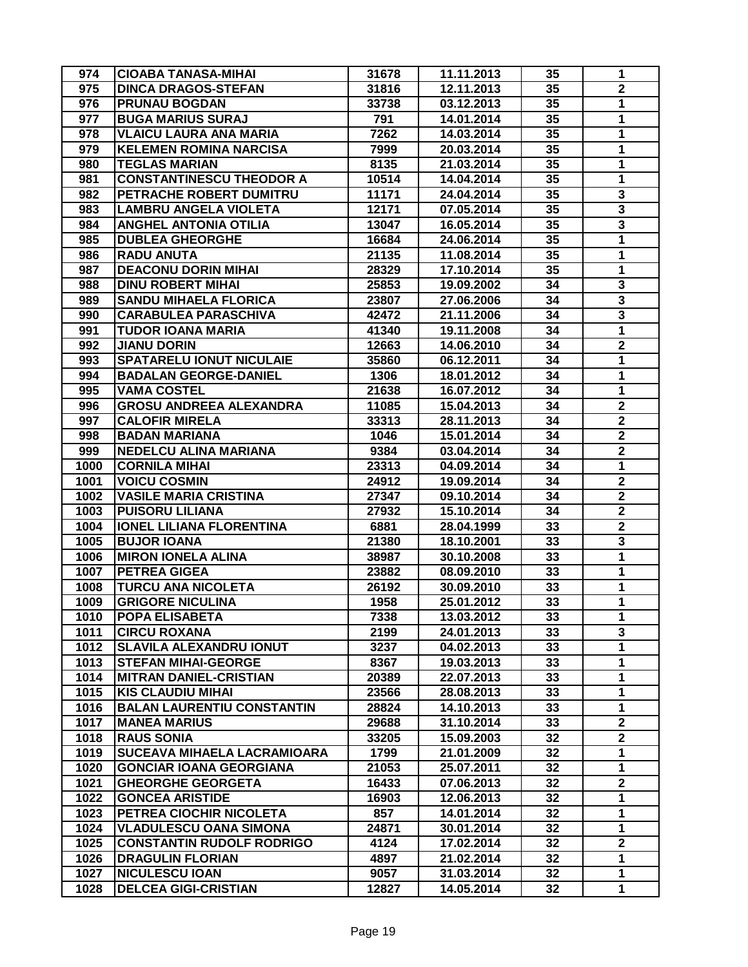| 974  | <b>CIOABA TANASA-MIHAI</b>        | 31678 | 11.11.2013 | 35 | 1                       |
|------|-----------------------------------|-------|------------|----|-------------------------|
| 975  | <b>DINCA DRAGOS-STEFAN</b>        | 31816 | 12.11.2013 | 35 | $\mathbf 2$             |
| 976  | <b>PRUNAU BOGDAN</b>              | 33738 | 03.12.2013 | 35 | $\mathbf{1}$            |
| 977  | <b>BUGA MARIUS SURAJ</b>          | 791   | 14.01.2014 | 35 | 1                       |
| 978  | <b>VLAICU LAURA ANA MARIA</b>     | 7262  | 14.03.2014 | 35 | 1                       |
| 979  | <b>KELEMEN ROMINA NARCISA</b>     | 7999  | 20.03.2014 | 35 | 1                       |
| 980  | <b>TEGLAS MARIAN</b>              | 8135  | 21.03.2014 | 35 | 1                       |
| 981  | <b>CONSTANTINESCU THEODOR A</b>   | 10514 | 14.04.2014 | 35 | 1                       |
| 982  | PETRACHE ROBERT DUMITRU           | 11171 | 24.04.2014 | 35 | 3                       |
| 983  | <b>LAMBRU ANGELA VIOLETA</b>      | 12171 | 07.05.2014 | 35 | $\overline{\mathbf{3}}$ |
| 984  | <b>ANGHEL ANTONIA OTILIA</b>      | 13047 | 16.05.2014 | 35 | 3                       |
| 985  | <b>DUBLEA GHEORGHE</b>            | 16684 | 24.06.2014 | 35 | $\mathbf{1}$            |
| 986  | <b>RADU ANUTA</b>                 | 21135 | 11.08.2014 | 35 | 1                       |
| 987  | <b>DEACONU DORIN MIHAI</b>        | 28329 | 17.10.2014 | 35 | 1                       |
| 988  | <b>DINU ROBERT MIHAI</b>          | 25853 | 19.09.2002 | 34 | $\overline{\mathbf{3}}$ |
| 989  | <b>SANDU MIHAELA FLORICA</b>      | 23807 | 27.06.2006 | 34 | $\overline{\mathbf{3}}$ |
| 990  | <b>CARABULEA PARASCHIVA</b>       | 42472 | 21.11.2006 | 34 | $\overline{\mathbf{3}}$ |
| 991  | TUDOR IOANA MARIA                 | 41340 | 19.11.2008 | 34 | 1                       |
| 992  | <b>JIANU DORIN</b>                | 12663 | 14.06.2010 | 34 | $\overline{\mathbf{2}}$ |
| 993  | <b>SPATARELU IONUT NICULAIE</b>   | 35860 | 06.12.2011 | 34 | 1                       |
| 994  | <b>BADALAN GEORGE-DANIEL</b>      | 1306  | 18.01.2012 | 34 | 1                       |
| 995  | <b>VAMA COSTEL</b>                | 21638 | 16.07.2012 | 34 | 1                       |
| 996  | <b>GROSU ANDREEA ALEXANDRA</b>    | 11085 | 15.04.2013 | 34 | $\mathbf 2$             |
| 997  | <b>CALOFIR MIRELA</b>             | 33313 | 28.11.2013 | 34 | $\mathbf 2$             |
| 998  | <b>BADAN MARIANA</b>              | 1046  | 15.01.2014 | 34 | $\mathbf 2$             |
| 999  | <b>NEDELCU ALINA MARIANA</b>      | 9384  | 03.04.2014 | 34 | $\mathbf 2$             |
| 1000 | <b>CORNILA MIHAI</b>              | 23313 | 04.09.2014 | 34 | $\mathbf{1}$            |
| 1001 | <b>VOICU COSMIN</b>               | 24912 | 19.09.2014 | 34 | $\overline{\mathbf{2}}$ |
| 1002 | <b>VASILE MARIA CRISTINA</b>      | 27347 | 09.10.2014 | 34 | $\overline{2}$          |
| 1003 | <b>PUISORU LILIANA</b>            | 27932 | 15.10.2014 | 34 | $\mathbf 2$             |
| 1004 | <b>IONEL LILIANA FLORENTINA</b>   | 6881  | 28.04.1999 | 33 | $\overline{2}$          |
| 1005 | <b>BUJOR IOANA</b>                | 21380 | 18.10.2001 | 33 | 3                       |
| 1006 | <b>MIRON IONELA ALINA</b>         | 38987 | 30.10.2008 | 33 | 1                       |
| 1007 | <b>PETREA GIGEA</b>               | 23882 | 08.09.2010 | 33 | 1                       |
| 1008 | TURCU ANA NICOLETA                | 26192 | 30.09.2010 | 33 | $\mathbf{1}$            |
| 1009 | <b>GRIGORE NICULINA</b>           | 1958  | 25.01.2012 | 33 | $\mathbf{1}$            |
| 1010 | <b>POPA ELISABETA</b>             | 7338  | 13.03.2012 | 33 | 1                       |
| 1011 | <b>CIRCU ROXANA</b>               | 2199  | 24.01.2013 | 33 | 3                       |
| 1012 | <b>SLAVILA ALEXANDRU IONUT</b>    | 3237  | 04.02.2013 | 33 | $\mathbf{1}$            |
| 1013 | <b>STEFAN MIHAI-GEORGE</b>        | 8367  | 19.03.2013 | 33 | $\mathbf 1$             |
| 1014 | <b>MITRAN DANIEL-CRISTIAN</b>     | 20389 | 22.07.2013 | 33 | 1                       |
| 1015 | <b>KIS CLAUDIU MIHAI</b>          | 23566 | 28.08.2013 | 33 | $\mathbf 1$             |
| 1016 | <b>BALAN LAURENTIU CONSTANTIN</b> | 28824 | 14.10.2013 | 33 | $\mathbf{1}$            |
| 1017 | <b>MANEA MARIUS</b>               | 29688 | 31.10.2014 | 33 | $\overline{\mathbf{2}}$ |
| 1018 | <b>RAUS SONIA</b>                 | 33205 | 15.09.2003 | 32 | $\mathbf 2$             |
| 1019 | SUCEAVA MIHAELA LACRAMIOARA       | 1799  | 21.01.2009 | 32 | 1                       |
| 1020 | <b>GONCIAR IOANA GEORGIANA</b>    | 21053 | 25.07.2011 | 32 | 1                       |
| 1021 | <b>GHEORGHE GEORGETA</b>          | 16433 | 07.06.2013 | 32 | $\overline{2}$          |
| 1022 | <b>GONCEA ARISTIDE</b>            | 16903 | 12.06.2013 | 32 | $\mathbf{1}$            |
| 1023 | PETREA CIOCHIR NICOLETA           | 857   | 14.01.2014 | 32 | 1                       |
| 1024 | <b>VLADULESCU OANA SIMONA</b>     | 24871 | 30.01.2014 | 32 | $\mathbf 1$             |
| 1025 | <b>CONSTANTIN RUDOLF RODRIGO</b>  | 4124  | 17.02.2014 | 32 | $\overline{\mathbf{2}}$ |
| 1026 | <b>DRAGULIN FLORIAN</b>           | 4897  | 21.02.2014 | 32 | 1                       |
| 1027 | <b>NICULESCU IOAN</b>             | 9057  | 31.03.2014 | 32 | 1                       |
| 1028 | <b>DELCEA GIGI-CRISTIAN</b>       | 12827 | 14.05.2014 | 32 | 1                       |
|      |                                   |       |            |    |                         |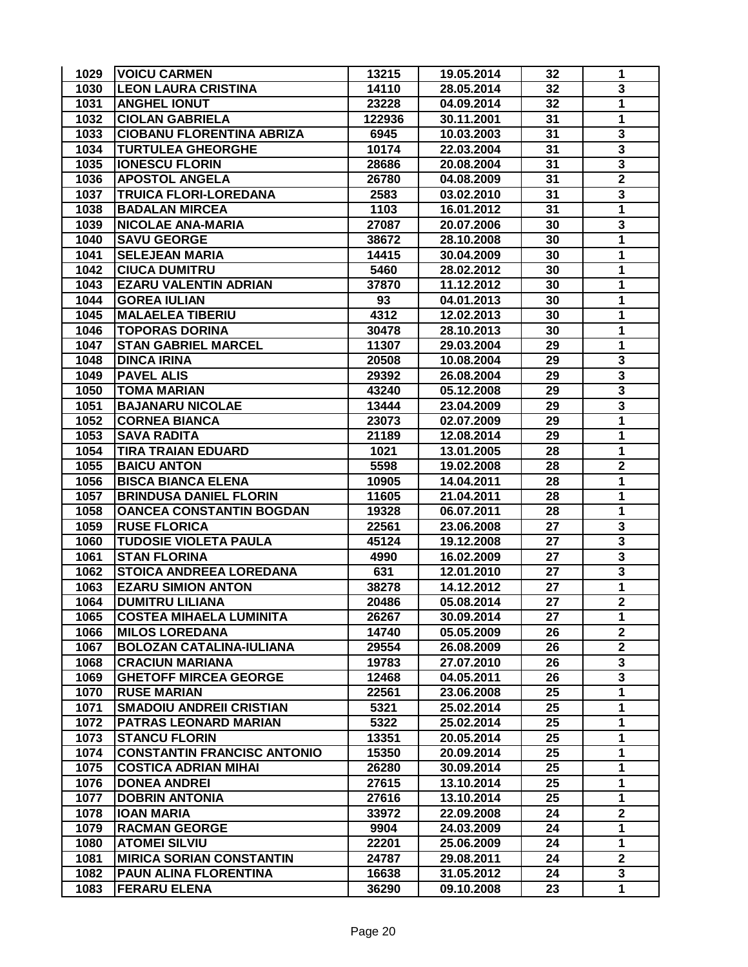| 1029 | <b>VOICU CARMEN</b>                | 13215  | 19.05.2014 | 32 | 1                       |
|------|------------------------------------|--------|------------|----|-------------------------|
| 1030 | <b>LEON LAURA CRISTINA</b>         | 14110  | 28.05.2014 | 32 | 3                       |
| 1031 | <b>ANGHEL IONUT</b>                | 23228  | 04.09.2014 | 32 | 1                       |
| 1032 | <b>CIOLAN GABRIELA</b>             | 122936 | 30.11.2001 | 31 | 1                       |
| 1033 | <b>CIOBANU FLORENTINA ABRIZA</b>   | 6945   | 10.03.2003 | 31 | 3                       |
| 1034 | <b>TURTULEA GHEORGHE</b>           | 10174  | 22.03.2004 | 31 | 3                       |
| 1035 | <b>IONESCU FLORIN</b>              | 28686  | 20.08.2004 | 31 | $\overline{\mathbf{3}}$ |
| 1036 | <b>APOSTOL ANGELA</b>              | 26780  | 04.08.2009 | 31 | $\overline{\mathbf{2}}$ |
| 1037 | <b>TRUICA FLORI-LOREDANA</b>       | 2583   | 03.02.2010 | 31 | 3                       |
| 1038 | <b>BADALAN MIRCEA</b>              | 1103   | 16.01.2012 | 31 | $\mathbf{1}$            |
| 1039 | <b>NICOLAE ANA-MARIA</b>           | 27087  | 20.07.2006 | 30 | 3                       |
| 1040 | <b>SAVU GEORGE</b>                 | 38672  | 28.10.2008 | 30 | 1                       |
| 1041 | <b>SELEJEAN MARIA</b>              | 14415  | 30.04.2009 | 30 | 1                       |
| 1042 | <b>CIUCA DUMITRU</b>               | 5460   | 28.02.2012 | 30 | 1                       |
| 1043 | <b>EZARU VALENTIN ADRIAN</b>       | 37870  | 11.12.2012 | 30 | 1                       |
| 1044 | <b>GOREA IULIAN</b>                | 93     | 04.01.2013 | 30 | 1                       |
| 1045 | <b>MALAELEA TIBERIU</b>            | 4312   | 12.02.2013 | 30 | 1                       |
| 1046 | <b>TOPORAS DORINA</b>              | 30478  | 28.10.2013 | 30 | 1                       |
| 1047 | <b>STAN GABRIEL MARCEL</b>         | 11307  | 29.03.2004 | 29 | 1                       |
| 1048 | <b>DINCA IRINA</b>                 | 20508  | 10.08.2004 | 29 | 3                       |
| 1049 | <b>PAVEL ALIS</b>                  | 29392  | 26.08.2004 | 29 | 3                       |
| 1050 | <b>TOMA MARIAN</b>                 | 43240  | 05.12.2008 | 29 | 3                       |
| 1051 | <b>BAJANARU NICOLAE</b>            | 13444  | 23.04.2009 | 29 | $\overline{\mathbf{3}}$ |
| 1052 | <b>CORNEA BIANCA</b>               | 23073  | 02.07.2009 | 29 | 1                       |
| 1053 | <b>SAVA RADITA</b>                 | 21189  | 12.08.2014 | 29 | 1                       |
| 1054 | <b>TIRA TRAIAN EDUARD</b>          | 1021   | 13.01.2005 | 28 | $\mathbf{1}$            |
| 1055 | <b>BAICU ANTON</b>                 | 5598   | 19.02.2008 | 28 | $\mathbf 2$             |
| 1056 | <b>BISCA BIANCA ELENA</b>          | 10905  | 14.04.2011 | 28 | 1                       |
| 1057 | <b>BRINDUSA DANIEL FLORIN</b>      | 11605  | 21.04.2011 | 28 | 1                       |
| 1058 | <b>OANCEA CONSTANTIN BOGDAN</b>    | 19328  | 06.07.2011 | 28 | 1                       |
| 1059 | <b>RUSE FLORICA</b>                | 22561  | 23.06.2008 | 27 | $\overline{\mathbf{3}}$ |
| 1060 | <b>TUDOSIE VIOLETA PAULA</b>       | 45124  | 19.12.2008 | 27 | $\overline{\mathbf{3}}$ |
| 1061 | <b>STAN FLORINA</b>                | 4990   | 16.02.2009 | 27 | $\overline{\mathbf{3}}$ |
| 1062 | <b>STOICA ANDREEA LOREDANA</b>     | 631    | 12.01.2010 | 27 | 3                       |
| 1063 | <b>EZARU SIMION ANTON</b>          | 38278  | 14.12.2012 | 27 | $\overline{1}$          |
| 1064 | <b>DUMITRU LILIANA</b>             | 20486  | 05.08.2014 | 27 | $\overline{\mathbf{2}}$ |
| 1065 | <b>COSTEA MIHAELA LUMINITA</b>     | 26267  | 30.09.2014 | 27 | 1                       |
| 1066 | <b>MILOS LOREDANA</b>              | 14740  | 05.05.2009 | 26 | $\overline{2}$          |
| 1067 | <b>BOLOZAN CATALINA-IULIANA</b>    | 29554  | 26.08.2009 | 26 | $\overline{2}$          |
| 1068 | <b>CRACIUN MARIANA</b>             | 19783  | 27.07.2010 | 26 | 3                       |
| 1069 | <b>GHETOFF MIRCEA GEORGE</b>       | 12468  | 04.05.2011 | 26 | 3                       |
| 1070 | <b>RUSE MARIAN</b>                 | 22561  | 23.06.2008 | 25 | 1                       |
| 1071 | <b>SMADOIU ANDREII CRISTIAN</b>    | 5321   | 25.02.2014 | 25 | $\mathbf{1}$            |
| 1072 | PATRAS LEONARD MARIAN              | 5322   | 25.02.2014 | 25 | $\mathbf{1}$            |
| 1073 | <b>STANCU FLORIN</b>               | 13351  | 20.05.2014 | 25 | 1                       |
| 1074 | <b>CONSTANTIN FRANCISC ANTONIO</b> | 15350  | 20.09.2014 | 25 | 1                       |
| 1075 | <b>COSTICA ADRIAN MIHAI</b>        | 26280  | 30.09.2014 | 25 | 1                       |
| 1076 | <b>DONEA ANDREI</b>                | 27615  | 13.10.2014 | 25 | 1                       |
| 1077 | <b>DOBRIN ANTONIA</b>              | 27616  | 13.10.2014 | 25 | $\mathbf{1}$            |
| 1078 | <b>IOAN MARIA</b>                  | 33972  | 22.09.2008 | 24 | $\mathbf 2$             |
| 1079 | <b>RACMAN GEORGE</b>               | 9904   | 24.03.2009 | 24 | $\mathbf 1$             |
| 1080 | <b>ATOMEI SILVIU</b>               | 22201  | 25.06.2009 | 24 | $\mathbf{1}$            |
| 1081 | <b>MIRICA SORIAN CONSTANTIN</b>    | 24787  | 29.08.2011 | 24 | $\mathbf 2$             |
| 1082 | PAUN ALINA FLORENTINA              | 16638  | 31.05.2012 | 24 | 3                       |
| 1083 | <b>FERARU ELENA</b>                | 36290  | 09.10.2008 | 23 | $\mathbf 1$             |